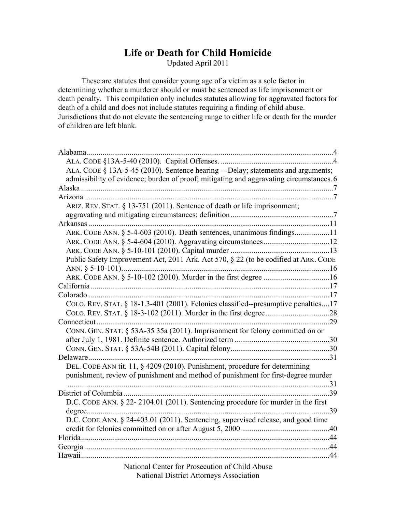### **Life or Death for Child Homicide**

Updated April 2011

These are statutes that consider young age of a victim as a sole factor in determining whether a murderer should or must be sentenced as life imprisonment or death penalty. This compilation only includes statutes allowing for aggravated factors for death of a child and does not include statutes requiring a finding of child abuse. Jurisdictions that do not elevate the sentencing range to either life or death for the murder of children are left blank.

| Alabama                                                                                 |  |  |
|-----------------------------------------------------------------------------------------|--|--|
|                                                                                         |  |  |
| ALA. CODE § 13A-5-45 (2010). Sentence hearing -- Delay; statements and arguments;       |  |  |
| admissibility of evidence; burden of proof; mitigating and aggravating circumstances. 6 |  |  |
|                                                                                         |  |  |
|                                                                                         |  |  |
| ARIZ. REV. STAT. § 13-751 (2011). Sentence of death or life imprisonment;               |  |  |
|                                                                                         |  |  |
|                                                                                         |  |  |
|                                                                                         |  |  |
|                                                                                         |  |  |
|                                                                                         |  |  |
| Public Safety Improvement Act, 2011 Ark. Act 570, § 22 (to be codified at ARK. CODE     |  |  |
|                                                                                         |  |  |
|                                                                                         |  |  |
|                                                                                         |  |  |
|                                                                                         |  |  |
| COLO. REV. STAT. § 18-1.3-401 (2001). Felonies classified--presumptive penalties17      |  |  |
|                                                                                         |  |  |
|                                                                                         |  |  |
| CONN. GEN. STAT. § 53A-35 35a (2011). Imprisonment for felony committed on or           |  |  |
|                                                                                         |  |  |
|                                                                                         |  |  |
|                                                                                         |  |  |
| DEL. CODE ANN tit. 11, § 4209 (2010). Punishment, procedure for determining             |  |  |
| punishment, review of punishment and method of punishment for first-degree murder       |  |  |
|                                                                                         |  |  |
| 39                                                                                      |  |  |
| D.C. CODE ANN. § 22-2104.01 (2011). Sentencing procedure for murder in the first        |  |  |
| 39                                                                                      |  |  |
| D.C. CODE ANN. § 24-403.01 (2011). Sentencing, supervised release, and good time        |  |  |
|                                                                                         |  |  |
|                                                                                         |  |  |
|                                                                                         |  |  |
|                                                                                         |  |  |
| National Center for Prosecution of Child Abuse                                          |  |  |
| <b>National District Attorneys Association</b>                                          |  |  |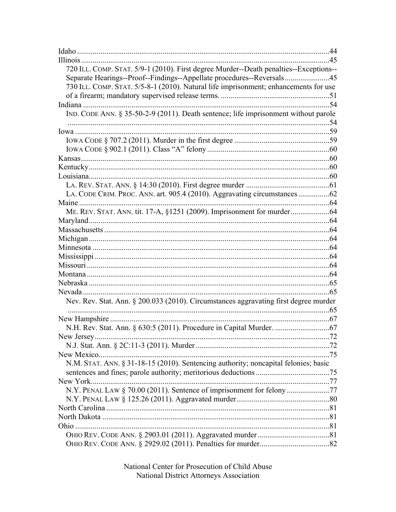|                                                                                       | .45  |
|---------------------------------------------------------------------------------------|------|
| 720 ILL. COMP. STAT. 5/9-1 (2010). First degree Murder--Death penalties--Exceptions-- |      |
| Separate Hearings--Proof--Findings--Appellate procedures--Reversals45                 |      |
| 730 ILL. COMP. STAT. 5/5-8-1 (2010). Natural life imprisonment; enhancements for use  |      |
|                                                                                       |      |
|                                                                                       | . 54 |
| IND. CODE ANN. § 35-50-2-9 (2011). Death sentence; life imprisonment without parole   |      |
|                                                                                       |      |
|                                                                                       |      |
|                                                                                       |      |
|                                                                                       |      |
|                                                                                       |      |
|                                                                                       |      |
|                                                                                       |      |
|                                                                                       |      |
|                                                                                       |      |
|                                                                                       |      |
|                                                                                       |      |
|                                                                                       |      |
|                                                                                       |      |
|                                                                                       |      |
|                                                                                       |      |
|                                                                                       |      |
|                                                                                       |      |
|                                                                                       |      |
|                                                                                       |      |
|                                                                                       |      |
| Nev. Rev. Stat. Ann. § 200.033 (2010). Circumstances aggravating first degree murder  |      |
|                                                                                       |      |
|                                                                                       |      |
|                                                                                       |      |
|                                                                                       |      |
|                                                                                       |      |
|                                                                                       |      |
| N.M. STAT. ANN. § 31-18-15 (2010). Sentencing authority; noncapital felonies; basic   |      |
|                                                                                       |      |
|                                                                                       |      |
|                                                                                       |      |
|                                                                                       |      |
|                                                                                       |      |
|                                                                                       |      |
|                                                                                       |      |
|                                                                                       |      |
|                                                                                       |      |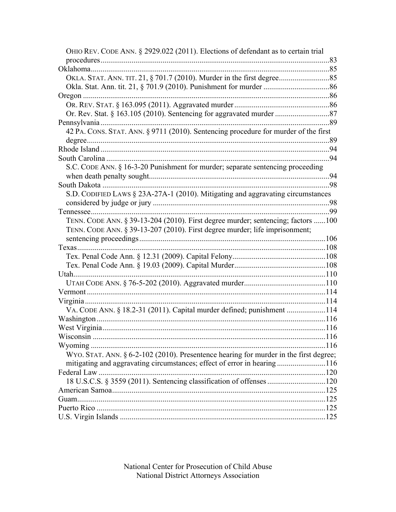| OHIO REV. CODE ANN. § 2929.022 (2011). Elections of defendant as to certain trial     |      |
|---------------------------------------------------------------------------------------|------|
|                                                                                       |      |
|                                                                                       |      |
|                                                                                       |      |
|                                                                                       |      |
| Oregon                                                                                |      |
|                                                                                       |      |
|                                                                                       |      |
|                                                                                       | 89   |
| 42 PA. CONS. STAT. ANN. § 9711 (2010). Sentencing procedure for murder of the first   |      |
|                                                                                       | .89  |
|                                                                                       |      |
|                                                                                       |      |
| S.C. CODE ANN. § 16-3-20 Punishment for murder; separate sentencing proceeding        |      |
|                                                                                       |      |
|                                                                                       |      |
| S.D. CODIFIED LAWS § 23A-27A-1 (2010). Mitigating and aggravating circumstances       |      |
|                                                                                       |      |
| Tennessee                                                                             | 99   |
| TENN. CODE ANN. § 39-13-204 (2010). First degree murder; sentencing; factors 100      |      |
| TENN. CODE ANN. § 39-13-207 (2010). First degree murder; life imprisonment;           |      |
|                                                                                       |      |
|                                                                                       |      |
|                                                                                       |      |
|                                                                                       |      |
| Utah                                                                                  |      |
|                                                                                       |      |
|                                                                                       |      |
|                                                                                       |      |
| VA. CODE ANN. § 18.2-31 (2011). Capital murder defined; punishment 114                |      |
|                                                                                       |      |
|                                                                                       |      |
|                                                                                       | .116 |
|                                                                                       | 116  |
| WYO. STAT. ANN. § 6-2-102 (2010). Presentence hearing for murder in the first degree; |      |
| mitigating and aggravating circumstances; effect of error in hearing 116              |      |
|                                                                                       |      |
| 18 U.S.C.S. § 3559 (2011). Sentencing classification of offenses 120                  |      |
|                                                                                       |      |
| Guam                                                                                  |      |
|                                                                                       |      |
|                                                                                       |      |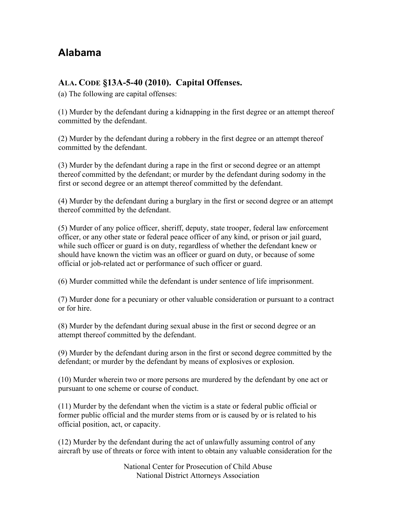# **Alabama**

### **ALA. CODE §13A-5-40 (2010). Capital Offenses.**

(a) The following are capital offenses:

(1) Murder by the defendant during a kidnapping in the first degree or an attempt thereof committed by the defendant.

(2) Murder by the defendant during a robbery in the first degree or an attempt thereof committed by the defendant.

(3) Murder by the defendant during a rape in the first or second degree or an attempt thereof committed by the defendant; or murder by the defendant during sodomy in the first or second degree or an attempt thereof committed by the defendant.

(4) Murder by the defendant during a burglary in the first or second degree or an attempt thereof committed by the defendant.

(5) Murder of any police officer, sheriff, deputy, state trooper, federal law enforcement officer, or any other state or federal peace officer of any kind, or prison or jail guard, while such officer or guard is on duty, regardless of whether the defendant knew or should have known the victim was an officer or guard on duty, or because of some official or job-related act or performance of such officer or guard.

(6) Murder committed while the defendant is under sentence of life imprisonment.

(7) Murder done for a pecuniary or other valuable consideration or pursuant to a contract or for hire.

(8) Murder by the defendant during sexual abuse in the first or second degree or an attempt thereof committed by the defendant.

(9) Murder by the defendant during arson in the first or second degree committed by the defendant; or murder by the defendant by means of explosives or explosion.

(10) Murder wherein two or more persons are murdered by the defendant by one act or pursuant to one scheme or course of conduct.

(11) Murder by the defendant when the victim is a state or federal public official or former public official and the murder stems from or is caused by or is related to his official position, act, or capacity.

(12) Murder by the defendant during the act of unlawfully assuming control of any aircraft by use of threats or force with intent to obtain any valuable consideration for the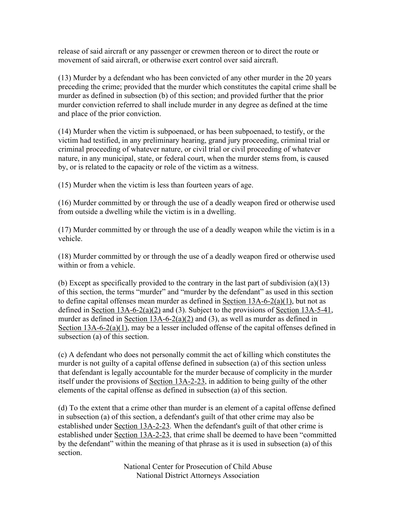release of said aircraft or any passenger or crewmen thereon or to direct the route or movement of said aircraft, or otherwise exert control over said aircraft.

(13) Murder by a defendant who has been convicted of any other murder in the 20 years preceding the crime; provided that the murder which constitutes the capital crime shall be murder as defined in subsection (b) of this section; and provided further that the prior murder conviction referred to shall include murder in any degree as defined at the time and place of the prior conviction.

(14) Murder when the victim is subpoenaed, or has been subpoenaed, to testify, or the victim had testified, in any preliminary hearing, grand jury proceeding, criminal trial or criminal proceeding of whatever nature, or civil trial or civil proceeding of whatever nature, in any municipal, state, or federal court, when the murder stems from, is caused by, or is related to the capacity or role of the victim as a witness.

(15) Murder when the victim is less than fourteen years of age.

(16) Murder committed by or through the use of a deadly weapon fired or otherwise used from outside a dwelling while the victim is in a dwelling.

(17) Murder committed by or through the use of a deadly weapon while the victim is in a vehicle.

(18) Murder committed by or through the use of a deadly weapon fired or otherwise used within or from a vehicle.

(b) Except as specifically provided to the contrary in the last part of subdivision (a)(13) of this section, the terms "murder" and "murder by the defendant" as used in this section to define capital offenses mean murder as defined in Section 13A-6-2(a)(1), but not as defined in Section 13A-6-2(a)(2) and (3). Subject to the provisions of Section 13A-5-41, murder as defined in Section 13A-6-2(a)(2) and (3), as well as murder as defined in Section 13A-6-2(a)(1), may be a lesser included offense of the capital offenses defined in subsection (a) of this section.

(c) A defendant who does not personally commit the act of killing which constitutes the murder is not guilty of a capital offense defined in subsection (a) of this section unless that defendant is legally accountable for the murder because of complicity in the murder itself under the provisions of Section 13A-2-23, in addition to being guilty of the other elements of the capital offense as defined in subsection (a) of this section.

(d) To the extent that a crime other than murder is an element of a capital offense defined in subsection (a) of this section, a defendant's guilt of that other crime may also be established under Section 13A-2-23. When the defendant's guilt of that other crime is established under Section 13A-2-23, that crime shall be deemed to have been "committed by the defendant" within the meaning of that phrase as it is used in subsection (a) of this section.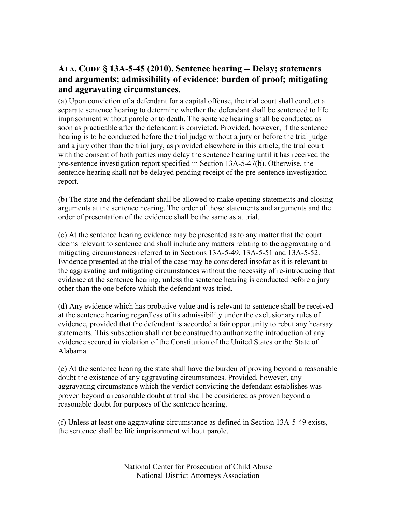### **ALA. CODE § 13A-5-45 (2010). Sentence hearing -- Delay; statements and arguments; admissibility of evidence; burden of proof; mitigating and aggravating circumstances.**

(a) Upon conviction of a defendant for a capital offense, the trial court shall conduct a separate sentence hearing to determine whether the defendant shall be sentenced to life imprisonment without parole or to death. The sentence hearing shall be conducted as soon as practicable after the defendant is convicted. Provided, however, if the sentence hearing is to be conducted before the trial judge without a jury or before the trial judge and a jury other than the trial jury, as provided elsewhere in this article, the trial court with the consent of both parties may delay the sentence hearing until it has received the pre-sentence investigation report specified in Section 13A-5-47(b). Otherwise, the sentence hearing shall not be delayed pending receipt of the pre-sentence investigation report.

(b) The state and the defendant shall be allowed to make opening statements and closing arguments at the sentence hearing. The order of those statements and arguments and the order of presentation of the evidence shall be the same as at trial.

(c) At the sentence hearing evidence may be presented as to any matter that the court deems relevant to sentence and shall include any matters relating to the aggravating and mitigating circumstances referred to in Sections 13A-5-49, 13A-5-51 and 13A-5-52. Evidence presented at the trial of the case may be considered insofar as it is relevant to the aggravating and mitigating circumstances without the necessity of re-introducing that evidence at the sentence hearing, unless the sentence hearing is conducted before a jury other than the one before which the defendant was tried.

(d) Any evidence which has probative value and is relevant to sentence shall be received at the sentence hearing regardless of its admissibility under the exclusionary rules of evidence, provided that the defendant is accorded a fair opportunity to rebut any hearsay statements. This subsection shall not be construed to authorize the introduction of any evidence secured in violation of the Constitution of the United States or the State of Alabama.

(e) At the sentence hearing the state shall have the burden of proving beyond a reasonable doubt the existence of any aggravating circumstances. Provided, however, any aggravating circumstance which the verdict convicting the defendant establishes was proven beyond a reasonable doubt at trial shall be considered as proven beyond a reasonable doubt for purposes of the sentence hearing.

(f) Unless at least one aggravating circumstance as defined in Section 13A-5-49 exists, the sentence shall be life imprisonment without parole.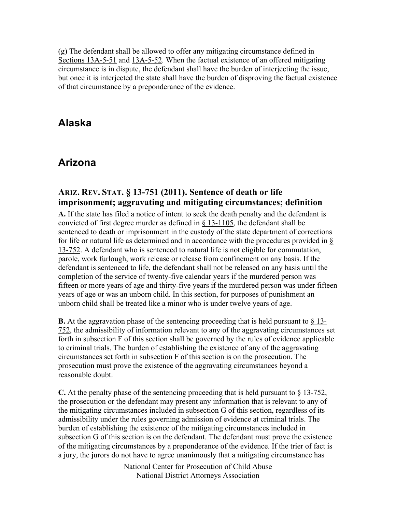(g) The defendant shall be allowed to offer any mitigating circumstance defined in Sections 13A-5-51 and 13A-5-52. When the factual existence of an offered mitigating circumstance is in dispute, the defendant shall have the burden of interjecting the issue, but once it is interjected the state shall have the burden of disproving the factual existence of that circumstance by a preponderance of the evidence.

### **Alaska**

## **Arizona**

#### **ARIZ. REV. STAT. § 13-751 (2011). Sentence of death or life imprisonment; aggravating and mitigating circumstances; definition**

**A.** If the state has filed a notice of intent to seek the death penalty and the defendant is convicted of first degree murder as defined in § 13-1105, the defendant shall be sentenced to death or imprisonment in the custody of the state department of corrections for life or natural life as determined and in accordance with the procedures provided in § 13-752. A defendant who is sentenced to natural life is not eligible for commutation, parole, work furlough, work release or release from confinement on any basis. If the defendant is sentenced to life, the defendant shall not be released on any basis until the completion of the service of twenty-five calendar years if the murdered person was fifteen or more years of age and thirty-five years if the murdered person was under fifteen years of age or was an unborn child. In this section, for purposes of punishment an unborn child shall be treated like a minor who is under twelve years of age.

**B.** At the aggravation phase of the sentencing proceeding that is held pursuant to  $\S$  13-752, the admissibility of information relevant to any of the aggravating circumstances set forth in subsection F of this section shall be governed by the rules of evidence applicable to criminal trials. The burden of establishing the existence of any of the aggravating circumstances set forth in subsection F of this section is on the prosecution. The prosecution must prove the existence of the aggravating circumstances beyond a reasonable doubt.

**C.** At the penalty phase of the sentencing proceeding that is held pursuant to § 13-752, the prosecution or the defendant may present any information that is relevant to any of the mitigating circumstances included in subsection G of this section, regardless of its admissibility under the rules governing admission of evidence at criminal trials. The burden of establishing the existence of the mitigating circumstances included in subsection G of this section is on the defendant. The defendant must prove the existence of the mitigating circumstances by a preponderance of the evidence. If the trier of fact is a jury, the jurors do not have to agree unanimously that a mitigating circumstance has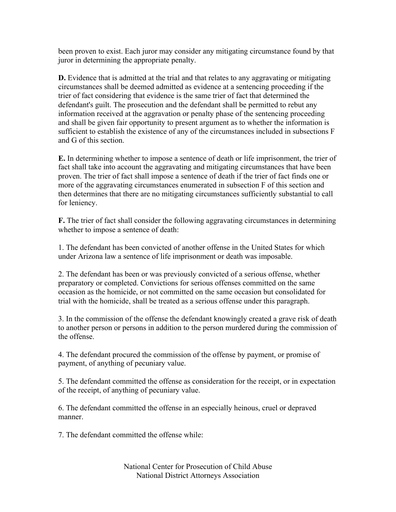been proven to exist. Each juror may consider any mitigating circumstance found by that juror in determining the appropriate penalty.

**D.** Evidence that is admitted at the trial and that relates to any aggravating or mitigating circumstances shall be deemed admitted as evidence at a sentencing proceeding if the trier of fact considering that evidence is the same trier of fact that determined the defendant's guilt. The prosecution and the defendant shall be permitted to rebut any information received at the aggravation or penalty phase of the sentencing proceeding and shall be given fair opportunity to present argument as to whether the information is sufficient to establish the existence of any of the circumstances included in subsections F and G of this section.

**E.** In determining whether to impose a sentence of death or life imprisonment, the trier of fact shall take into account the aggravating and mitigating circumstances that have been proven. The trier of fact shall impose a sentence of death if the trier of fact finds one or more of the aggravating circumstances enumerated in subsection F of this section and then determines that there are no mitigating circumstances sufficiently substantial to call for leniency.

**F.** The trier of fact shall consider the following aggravating circumstances in determining whether to impose a sentence of death:

1. The defendant has been convicted of another offense in the United States for which under Arizona law a sentence of life imprisonment or death was imposable.

2. The defendant has been or was previously convicted of a serious offense, whether preparatory or completed. Convictions for serious offenses committed on the same occasion as the homicide, or not committed on the same occasion but consolidated for trial with the homicide, shall be treated as a serious offense under this paragraph.

3. In the commission of the offense the defendant knowingly created a grave risk of death to another person or persons in addition to the person murdered during the commission of the offense.

4. The defendant procured the commission of the offense by payment, or promise of payment, of anything of pecuniary value.

5. The defendant committed the offense as consideration for the receipt, or in expectation of the receipt, of anything of pecuniary value.

6. The defendant committed the offense in an especially heinous, cruel or depraved manner.

7. The defendant committed the offense while: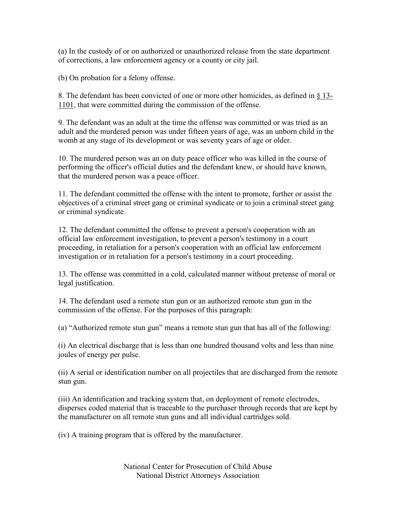(a) In the custody of or on authorized or unauthorized release from the state department of corrections, a law enforcement agency or a county or city jail.

(b) On probation for a felony offense.

8. The defendant has been convicted of one or more other homicides, as defined in  $§$  13-1101, that were committed during the commission of the offense.

9. The defendant was an adult at the time the offense was committed or was tried as an adult and the murdered person was under fifteen years of age, was an unborn child in the womb at any stage of its development or was seventy years of age or older.

10. The murdered person was an on duty peace officer who was killed in the course of performing the officer's official duties and the defendant knew, or should have known, that the murdered person was a peace officer.

11. The defendant committed the offense with the intent to promote, further or assist the objectives of a criminal street gang or criminal syndicate or to join a criminal street gang or criminal syndicate.

12. The defendant committed the offense to prevent a person's cooperation with an official law enforcement investigation, to prevent a person's testimony in a court proceeding, in retaliation for a person's cooperation with an official law enforcement investigation or in retaliation for a person's testimony in a court proceeding.

13. The offense was committed in a cold, calculated manner without pretense of moral or legal justification.

14. The defendant used a remote stun gun or an authorized remote stun gun in the commission of the offense. For the purposes of this paragraph:

(a) "Authorized remote stun gun" means a remote stun gun that has all of the following:

(i) An electrical discharge that is less than one hundred thousand volts and less than nine joules of energy per pulse.

(ii) A serial or identification number on all projectiles that are discharged from the remote stun gun.

(iii) An identification and tracking system that, on deployment of remote electrodes, disperses coded material that is traceable to the purchaser through records that are kept by the manufacturer on all remote stun guns and all individual cartridges sold.

(iv) A training program that is offered by the manufacturer.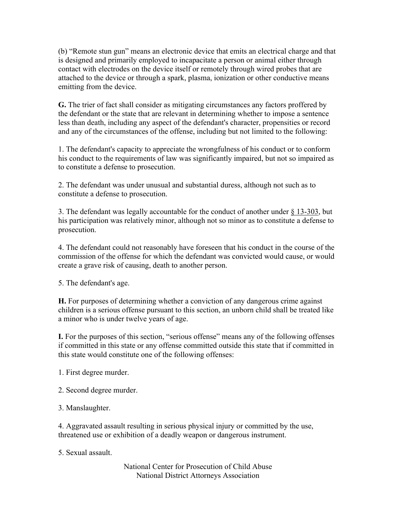(b) "Remote stun gun" means an electronic device that emits an electrical charge and that is designed and primarily employed to incapacitate a person or animal either through contact with electrodes on the device itself or remotely through wired probes that are attached to the device or through a spark, plasma, ionization or other conductive means emitting from the device.

**G.** The trier of fact shall consider as mitigating circumstances any factors proffered by the defendant or the state that are relevant in determining whether to impose a sentence less than death, including any aspect of the defendant's character, propensities or record and any of the circumstances of the offense, including but not limited to the following:

1. The defendant's capacity to appreciate the wrongfulness of his conduct or to conform his conduct to the requirements of law was significantly impaired, but not so impaired as to constitute a defense to prosecution.

2. The defendant was under unusual and substantial duress, although not such as to constitute a defense to prosecution.

3. The defendant was legally accountable for the conduct of another under § 13-303, but his participation was relatively minor, although not so minor as to constitute a defense to prosecution.

4. The defendant could not reasonably have foreseen that his conduct in the course of the commission of the offense for which the defendant was convicted would cause, or would create a grave risk of causing, death to another person.

5. The defendant's age.

**H.** For purposes of determining whether a conviction of any dangerous crime against children is a serious offense pursuant to this section, an unborn child shall be treated like a minor who is under twelve years of age.

**I.** For the purposes of this section, "serious offense" means any of the following offenses if committed in this state or any offense committed outside this state that if committed in this state would constitute one of the following offenses:

1. First degree murder.

- 2. Second degree murder.
- 3. Manslaughter.

4. Aggravated assault resulting in serious physical injury or committed by the use, threatened use or exhibition of a deadly weapon or dangerous instrument.

5. Sexual assault.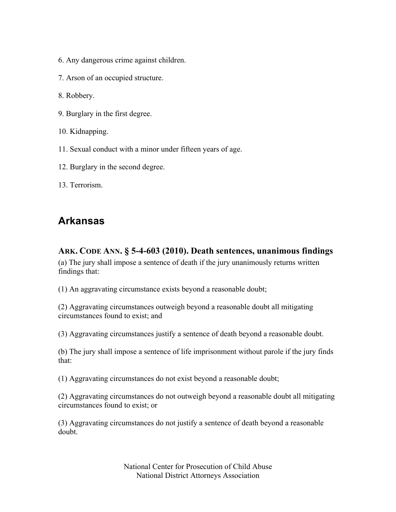- 6. Any dangerous crime against children.
- 7. Arson of an occupied structure.
- 8. Robbery.
- 9. Burglary in the first degree.
- 10. Kidnapping.
- 11. Sexual conduct with a minor under fifteen years of age.
- 12. Burglary in the second degree.
- 13. Terrorism.

## **Arkansas**

#### **ARK. CODE ANN. § 5-4-603 (2010). Death sentences, unanimous findings**

(a) The jury shall impose a sentence of death if the jury unanimously returns written findings that:

(1) An aggravating circumstance exists beyond a reasonable doubt;

(2) Aggravating circumstances outweigh beyond a reasonable doubt all mitigating circumstances found to exist; and

(3) Aggravating circumstances justify a sentence of death beyond a reasonable doubt.

(b) The jury shall impose a sentence of life imprisonment without parole if the jury finds that:

(1) Aggravating circumstances do not exist beyond a reasonable doubt;

(2) Aggravating circumstances do not outweigh beyond a reasonable doubt all mitigating circumstances found to exist; or

(3) Aggravating circumstances do not justify a sentence of death beyond a reasonable doubt.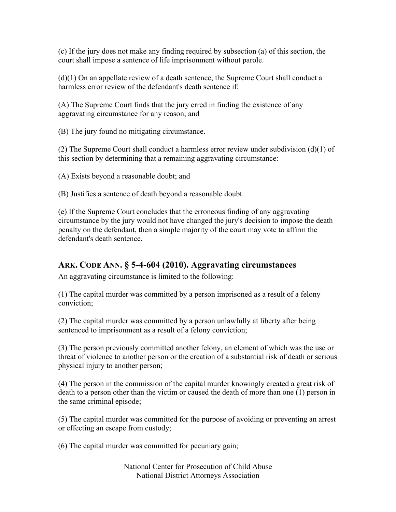(c) If the jury does not make any finding required by subsection (a) of this section, the court shall impose a sentence of life imprisonment without parole.

(d)(1) On an appellate review of a death sentence, the Supreme Court shall conduct a harmless error review of the defendant's death sentence if:

(A) The Supreme Court finds that the jury erred in finding the existence of any aggravating circumstance for any reason; and

(B) The jury found no mitigating circumstance.

(2) The Supreme Court shall conduct a harmless error review under subdivision (d)(1) of this section by determining that a remaining aggravating circumstance:

(A) Exists beyond a reasonable doubt; and

(B) Justifies a sentence of death beyond a reasonable doubt.

(e) If the Supreme Court concludes that the erroneous finding of any aggravating circumstance by the jury would not have changed the jury's decision to impose the death penalty on the defendant, then a simple majority of the court may vote to affirm the defendant's death sentence.

#### **ARK. CODE ANN. § 5-4-604 (2010). Aggravating circumstances**

An aggravating circumstance is limited to the following:

(1) The capital murder was committed by a person imprisoned as a result of a felony conviction;

(2) The capital murder was committed by a person unlawfully at liberty after being sentenced to imprisonment as a result of a felony conviction;

(3) The person previously committed another felony, an element of which was the use or threat of violence to another person or the creation of a substantial risk of death or serious physical injury to another person;

(4) The person in the commission of the capital murder knowingly created a great risk of death to a person other than the victim or caused the death of more than one (1) person in the same criminal episode;

(5) The capital murder was committed for the purpose of avoiding or preventing an arrest or effecting an escape from custody;

(6) The capital murder was committed for pecuniary gain;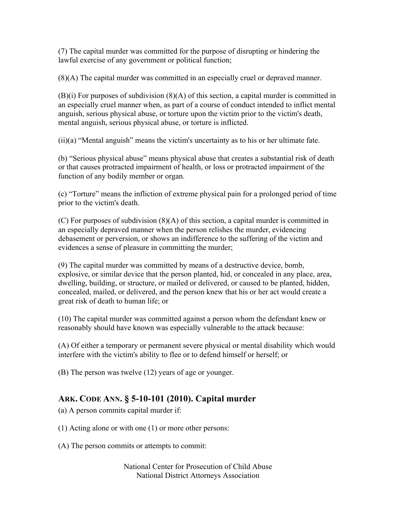(7) The capital murder was committed for the purpose of disrupting or hindering the lawful exercise of any government or political function;

(8)(A) The capital murder was committed in an especially cruel or depraved manner.

(B)(i) For purposes of subdivision (8)(A) of this section, a capital murder is committed in an especially cruel manner when, as part of a course of conduct intended to inflict mental anguish, serious physical abuse, or torture upon the victim prior to the victim's death, mental anguish, serious physical abuse, or torture is inflicted.

(ii)(a) "Mental anguish" means the victim's uncertainty as to his or her ultimate fate.

(b) "Serious physical abuse" means physical abuse that creates a substantial risk of death or that causes protracted impairment of health, or loss or protracted impairment of the function of any bodily member or organ.

(c) "Torture" means the infliction of extreme physical pain for a prolonged period of time prior to the victim's death.

(C) For purposes of subdivision (8)(A) of this section, a capital murder is committed in an especially depraved manner when the person relishes the murder, evidencing debasement or perversion, or shows an indifference to the suffering of the victim and evidences a sense of pleasure in committing the murder;

(9) The capital murder was committed by means of a destructive device, bomb, explosive, or similar device that the person planted, hid, or concealed in any place, area, dwelling, building, or structure, or mailed or delivered, or caused to be planted, hidden, concealed, mailed, or delivered, and the person knew that his or her act would create a great risk of death to human life; or

(10) The capital murder was committed against a person whom the defendant knew or reasonably should have known was especially vulnerable to the attack because:

(A) Of either a temporary or permanent severe physical or mental disability which would interfere with the victim's ability to flee or to defend himself or herself; or

(B) The person was twelve (12) years of age or younger.

### **ARK. CODE ANN. § 5-10-101 (2010). Capital murder**

(a) A person commits capital murder if:

(1) Acting alone or with one (1) or more other persons:

(A) The person commits or attempts to commit: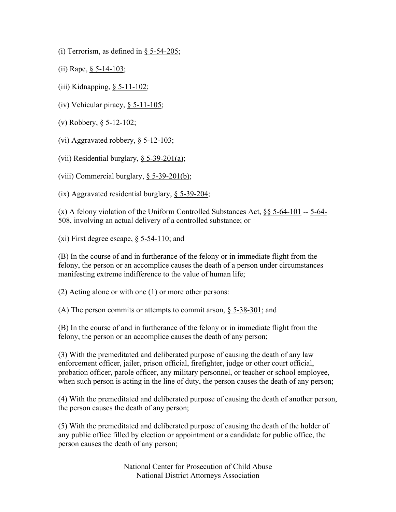(i) Terrorism, as defined in  $\S$  5-54-205;

(ii) Rape, § 5-14-103;

(iii) Kidnapping, § 5-11-102;

(iv) Vehicular piracy,  $\S$  5-11-105;

(v) Robbery, § 5-12-102;

(vi) Aggravated robbery,  $§ 5-12-103;$ 

(vii) Residential burglary,  $\S$  5-39-201(a);

(viii) Commercial burglary, § 5-39-201(b);

(ix) Aggravated residential burglary, § 5-39-204;

 $(x)$  A felony violation of the Uniform Controlled Substances Act,  $\S$ § 5-64-101 -- 5-64-508, involving an actual delivery of a controlled substance; or

(xi) First degree escape, § 5-54-110; and

(B) In the course of and in furtherance of the felony or in immediate flight from the felony, the person or an accomplice causes the death of a person under circumstances manifesting extreme indifference to the value of human life;

(2) Acting alone or with one (1) or more other persons:

(A) The person commits or attempts to commit arson, § 5-38-301; and

(B) In the course of and in furtherance of the felony or in immediate flight from the felony, the person or an accomplice causes the death of any person;

(3) With the premeditated and deliberated purpose of causing the death of any law enforcement officer, jailer, prison official, firefighter, judge or other court official, probation officer, parole officer, any military personnel, or teacher or school employee, when such person is acting in the line of duty, the person causes the death of any person;

(4) With the premeditated and deliberated purpose of causing the death of another person, the person causes the death of any person;

(5) With the premeditated and deliberated purpose of causing the death of the holder of any public office filled by election or appointment or a candidate for public office, the person causes the death of any person;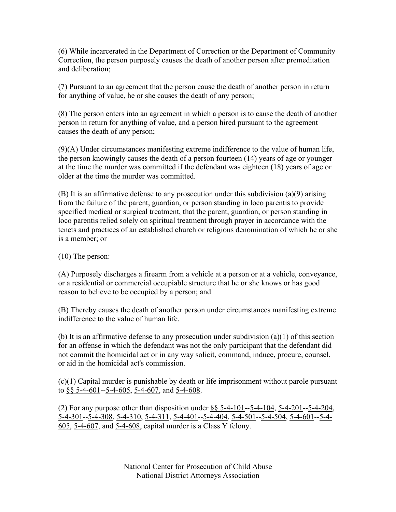(6) While incarcerated in the Department of Correction or the Department of Community Correction, the person purposely causes the death of another person after premeditation and deliberation;

(7) Pursuant to an agreement that the person cause the death of another person in return for anything of value, he or she causes the death of any person;

(8) The person enters into an agreement in which a person is to cause the death of another person in return for anything of value, and a person hired pursuant to the agreement causes the death of any person;

(9)(A) Under circumstances manifesting extreme indifference to the value of human life, the person knowingly causes the death of a person fourteen (14) years of age or younger at the time the murder was committed if the defendant was eighteen (18) years of age or older at the time the murder was committed.

(B) It is an affirmative defense to any prosecution under this subdivision (a)(9) arising from the failure of the parent, guardian, or person standing in loco parentis to provide specified medical or surgical treatment, that the parent, guardian, or person standing in loco parentis relied solely on spiritual treatment through prayer in accordance with the tenets and practices of an established church or religious denomination of which he or she is a member; or

(10) The person:

(A) Purposely discharges a firearm from a vehicle at a person or at a vehicle, conveyance, or a residential or commercial occupiable structure that he or she knows or has good reason to believe to be occupied by a person; and

(B) Thereby causes the death of another person under circumstances manifesting extreme indifference to the value of human life.

(b) It is an affirmative defense to any prosecution under subdivision (a)(1) of this section for an offense in which the defendant was not the only participant that the defendant did not commit the homicidal act or in any way solicit, command, induce, procure, counsel, or aid in the homicidal act's commission.

(c)(1) Capital murder is punishable by death or life imprisonment without parole pursuant to §§ 5-4-601--5-4-605, 5-4-607, and 5-4-608.

(2) For any purpose other than disposition under  $\S$ § 5-4-101--5-4-104, 5-4-201--5-4-204, 5-4-301--5-4-308, 5-4-310, 5-4-311, 5-4-401--5-4-404, 5-4-501--5-4-504, 5-4-601--5-4- 605, 5-4-607, and 5-4-608, capital murder is a Class Y felony.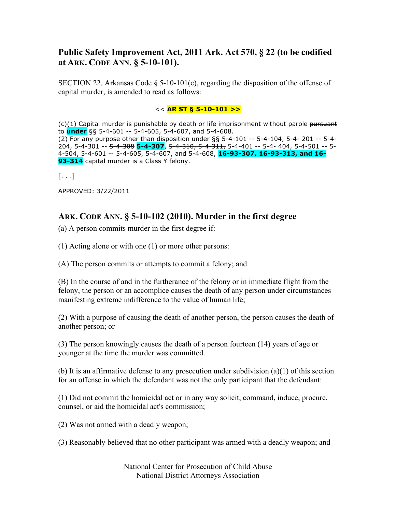#### **Public Safety Improvement Act, 2011 Ark. Act 570, § 22 (to be codified at ARK. CODE ANN. § 5-10-101).**

SECTION 22. Arkansas Code § 5-10-101(c), regarding the disposition of the offense of capital murder, is amended to read as follows:

#### << **AR ST § 5-10-101 >>**

 $(c)(1)$  Capital murder is punishable by death or life imprisonment without parole pursuant to **under** §§ 5-4-601 -- 5-4-605, 5-4-607, and 5-4-608. (2) For any purpose other than disposition under §§ 5-4-101 -- 5-4-104, 5-4- 201 -- 5-4- 204, 5-4-301 -- 5-4-308 **5-4-307**, 5-4-310, 5-4-311, 5-4-401 -- 5-4- 404, 5-4-501 -- 5- 4-504, 5-4-601 -- 5-4-605, 5-4-607, and 5-4-608, **16-93-307, 16-93-313, and 16- 93-314** capital murder is a Class Y felony.

 $[...]$ 

APPROVED: 3/22/2011

#### **ARK. CODE ANN. § 5-10-102 (2010). Murder in the first degree**

(a) A person commits murder in the first degree if:

(1) Acting alone or with one (1) or more other persons:

(A) The person commits or attempts to commit a felony; and

(B) In the course of and in the furtherance of the felony or in immediate flight from the felony, the person or an accomplice causes the death of any person under circumstances manifesting extreme indifference to the value of human life;

(2) With a purpose of causing the death of another person, the person causes the death of another person; or

(3) The person knowingly causes the death of a person fourteen (14) years of age or younger at the time the murder was committed.

(b) It is an affirmative defense to any prosecution under subdivision  $(a)(1)$  of this section for an offense in which the defendant was not the only participant that the defendant:

(1) Did not commit the homicidal act or in any way solicit, command, induce, procure, counsel, or aid the homicidal act's commission;

(2) Was not armed with a deadly weapon;

(3) Reasonably believed that no other participant was armed with a deadly weapon; and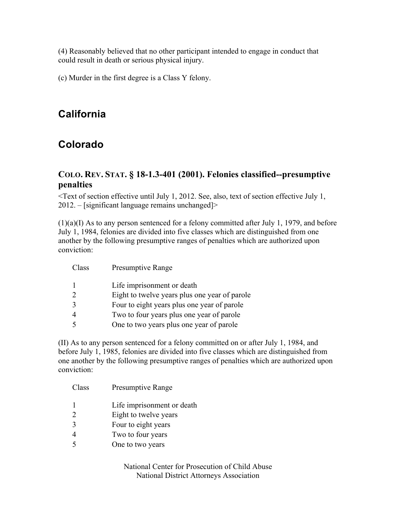(4) Reasonably believed that no other participant intended to engage in conduct that could result in death or serious physical injury.

(c) Murder in the first degree is a Class Y felony.

# **California**

# **Colorado**

#### **COLO. REV. STAT. § 18-1.3-401 (2001). Felonies classified--presumptive penalties**

<Text of section effective until July 1, 2012. See, also, text of section effective July 1, 2012. – [significant language remains unchanged]>

(1)(a)(I) As to any person sentenced for a felony committed after July 1, 1979, and before July 1, 1984, felonies are divided into five classes which are distinguished from one another by the following presumptive ranges of penalties which are authorized upon conviction:

| Class | <b>Presumptive Range</b> |
|-------|--------------------------|
|-------|--------------------------|

|        | Life imprisonment or death      |
|--------|---------------------------------|
| $\sim$ | Eight to twolve your plus and y |

- 2 Eight to twelve years plus one year of parole
- 3 Four to eight years plus one year of parole
- 4 Two to four years plus one year of parole
- 5 One to two years plus one year of parole

(II) As to any person sentenced for a felony committed on or after July 1, 1984, and before July 1, 1985, felonies are divided into five classes which are distinguished from one another by the following presumptive ranges of penalties which are authorized upon conviction:

| Class                       | <b>Presumptive Range</b>   |
|-----------------------------|----------------------------|
| 1                           | Life imprisonment or death |
| $\mathcal{D}_{\mathcal{L}}$ | Eight to twelve years      |
| 3                           | Four to eight years        |
|                             | Two to four years          |
| $\varsigma$                 | One to two years           |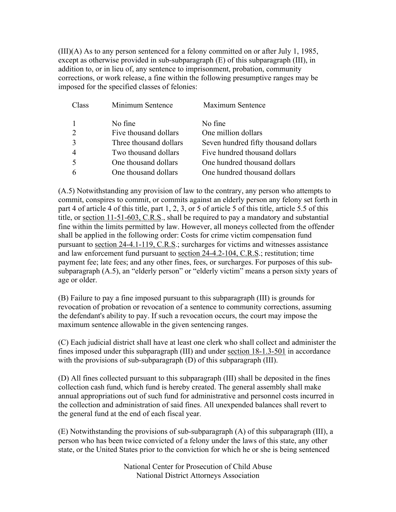(III)(A) As to any person sentenced for a felony committed on or after July 1, 1985, except as otherwise provided in sub-subparagraph (E) of this subparagraph (III), in addition to, or in lieu of, any sentence to imprisonment, probation, community corrections, or work release, a fine within the following presumptive ranges may be imposed for the specified classes of felonies:

| Class | Minimum Sentence       | Maximum Sentence                     |
|-------|------------------------|--------------------------------------|
|       | No fine                | No fine                              |
|       | Five thousand dollars  | One million dollars                  |
|       | Three thousand dollars | Seven hundred fifty thousand dollars |
|       | Two thousand dollars   | Five hundred thousand dollars        |
|       | One thousand dollars   | One hundred thousand dollars         |
|       | One thousand dollars   | One hundred thousand dollars         |

(A.5) Notwithstanding any provision of law to the contrary, any person who attempts to commit, conspires to commit, or commits against an elderly person any felony set forth in part 4 of article 4 of this title, part 1, 2, 3, or 5 of article 5 of this title, article 5.5 of this title, or section 11-51-603, C.R.S., shall be required to pay a mandatory and substantial fine within the limits permitted by law. However, all moneys collected from the offender shall be applied in the following order: Costs for crime victim compensation fund pursuant to section 24-4.1-119, C.R.S.; surcharges for victims and witnesses assistance and law enforcement fund pursuant to section 24-4.2-104, C.R.S.; restitution; time payment fee; late fees; and any other fines, fees, or surcharges. For purposes of this subsubparagraph (A.5), an "elderly person" or "elderly victim" means a person sixty years of age or older.

(B) Failure to pay a fine imposed pursuant to this subparagraph (III) is grounds for revocation of probation or revocation of a sentence to community corrections, assuming the defendant's ability to pay. If such a revocation occurs, the court may impose the maximum sentence allowable in the given sentencing ranges.

(C) Each judicial district shall have at least one clerk who shall collect and administer the fines imposed under this subparagraph (III) and under section 18-1.3-501 in accordance with the provisions of sub-subparagraph (D) of this subparagraph (III).

(D) All fines collected pursuant to this subparagraph (III) shall be deposited in the fines collection cash fund, which fund is hereby created. The general assembly shall make annual appropriations out of such fund for administrative and personnel costs incurred in the collection and administration of said fines. All unexpended balances shall revert to the general fund at the end of each fiscal year.

(E) Notwithstanding the provisions of sub-subparagraph (A) of this subparagraph (III), a person who has been twice convicted of a felony under the laws of this state, any other state, or the United States prior to the conviction for which he or she is being sentenced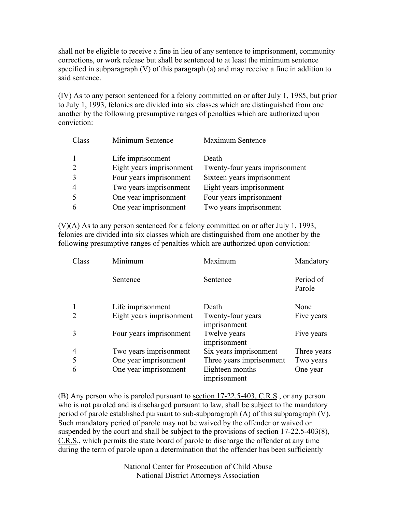shall not be eligible to receive a fine in lieu of any sentence to imprisonment, community corrections, or work release but shall be sentenced to at least the minimum sentence specified in subparagraph (V) of this paragraph (a) and may receive a fine in addition to said sentence.

(IV) As to any person sentenced for a felony committed on or after July 1, 1985, but prior to July 1, 1993, felonies are divided into six classes which are distinguished from one another by the following presumptive ranges of penalties which are authorized upon conviction:

| Class          | Minimum Sentence         | Maximum Sentence               |
|----------------|--------------------------|--------------------------------|
|                | Life imprisonment        | Death                          |
| $\mathcal{L}$  | Eight years imprisonment | Twenty-four years imprisonment |
| $\mathcal{R}$  | Four years imprisonment  | Sixteen years imprisonment     |
| $\overline{4}$ | Two years imprisonment   | Eight years imprisonment       |
| 5              | One year imprisonment    | Four years imprisonment        |
|                | One year imprisonment    | Two years imprisonment         |
|                |                          |                                |

(V)(A) As to any person sentenced for a felony committed on or after July 1, 1993, felonies are divided into six classes which are distinguished from one another by the following presumptive ranges of penalties which are authorized upon conviction:

| Class | Minimum                  | Maximum                           | Mandatory           |
|-------|--------------------------|-----------------------------------|---------------------|
|       | Sentence                 | Sentence                          | Period of<br>Parole |
|       | Life imprisonment        | Death                             | None                |
|       | Eight years imprisonment | Twenty-four years<br>imprisonment | Five years          |
|       | Four years imprisonment  | Twelve years<br>imprisonment      | Five years          |
|       | Two years imprisonment   | Six years imprisonment            | Three years         |
|       | One year imprisonment    | Three years imprisonment          | Two years           |
|       | One year imprisonment    | Eighteen months<br>imprisonment   | One year            |

(B) Any person who is paroled pursuant to section 17-22.5-403, C.R.S., or any person who is not paroled and is discharged pursuant to law, shall be subject to the mandatory period of parole established pursuant to sub-subparagraph (A) of this subparagraph (V). Such mandatory period of parole may not be waived by the offender or waived or suspended by the court and shall be subject to the provisions of section 17-22.5-403(8), C.R.S., which permits the state board of parole to discharge the offender at any time during the term of parole upon a determination that the offender has been sufficiently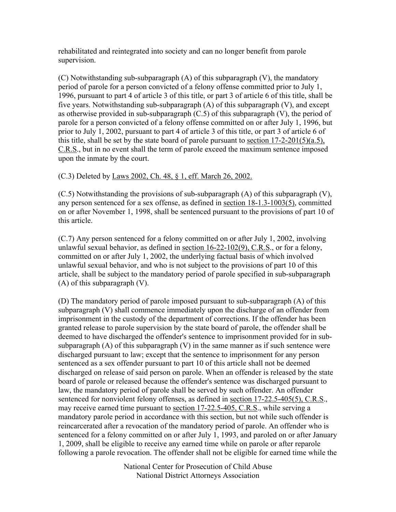rehabilitated and reintegrated into society and can no longer benefit from parole supervision.

(C) Notwithstanding sub-subparagraph (A) of this subparagraph (V), the mandatory period of parole for a person convicted of a felony offense committed prior to July 1, 1996, pursuant to part 4 of article 3 of this title, or part 3 of article 6 of this title, shall be five years. Notwithstanding sub-subparagraph (A) of this subparagraph (V), and except as otherwise provided in sub-subparagraph  $(C.5)$  of this subparagraph  $(V)$ , the period of parole for a person convicted of a felony offense committed on or after July 1, 1996, but prior to July 1, 2002, pursuant to part 4 of article 3 of this title, or part 3 of article 6 of this title, shall be set by the state board of parole pursuant to section  $17-2-201(5)(a.5)$ , C.R.S., but in no event shall the term of parole exceed the maximum sentence imposed upon the inmate by the court.

(C.3) Deleted by Laws 2002, Ch. 48, § 1, eff. March 26, 2002.

 $(C.5)$  Notwithstanding the provisions of sub-subparagraph  $(A)$  of this subparagraph  $(V)$ , any person sentenced for a sex offense, as defined in section 18-1.3-1003(5), committed on or after November 1, 1998, shall be sentenced pursuant to the provisions of part 10 of this article.

(C.7) Any person sentenced for a felony committed on or after July 1, 2002, involving unlawful sexual behavior, as defined in section 16-22-102(9), C.R.S., or for a felony, committed on or after July 1, 2002, the underlying factual basis of which involved unlawful sexual behavior, and who is not subject to the provisions of part 10 of this article, shall be subject to the mandatory period of parole specified in sub-subparagraph (A) of this subparagraph (V).

(D) The mandatory period of parole imposed pursuant to sub-subparagraph (A) of this subparagraph (V) shall commence immediately upon the discharge of an offender from imprisonment in the custody of the department of corrections. If the offender has been granted release to parole supervision by the state board of parole, the offender shall be deemed to have discharged the offender's sentence to imprisonment provided for in subsubparagraph  $(A)$  of this subparagraph  $(V)$  in the same manner as if such sentence were discharged pursuant to law; except that the sentence to imprisonment for any person sentenced as a sex offender pursuant to part 10 of this article shall not be deemed discharged on release of said person on parole. When an offender is released by the state board of parole or released because the offender's sentence was discharged pursuant to law, the mandatory period of parole shall be served by such offender. An offender sentenced for nonviolent felony offenses, as defined in section 17-22.5-405(5), C.R.S., may receive earned time pursuant to section 17-22.5-405, C.R.S., while serving a mandatory parole period in accordance with this section, but not while such offender is reincarcerated after a revocation of the mandatory period of parole. An offender who is sentenced for a felony committed on or after July 1, 1993, and paroled on or after January 1, 2009, shall be eligible to receive any earned time while on parole or after reparole following a parole revocation. The offender shall not be eligible for earned time while the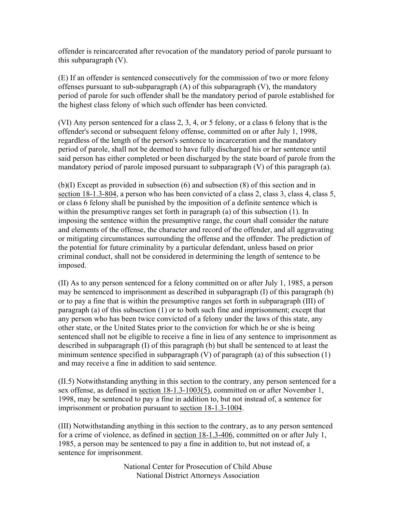offender is reincarcerated after revocation of the mandatory period of parole pursuant to this subparagraph (V).

(E) If an offender is sentenced consecutively for the commission of two or more felony offenses pursuant to sub-subparagraph (A) of this subparagraph (V), the mandatory period of parole for such offender shall be the mandatory period of parole established for the highest class felony of which such offender has been convicted.

(VI) Any person sentenced for a class 2, 3, 4, or 5 felony, or a class 6 felony that is the offender's second or subsequent felony offense, committed on or after July 1, 1998, regardless of the length of the person's sentence to incarceration and the mandatory period of parole, shall not be deemed to have fully discharged his or her sentence until said person has either completed or been discharged by the state board of parole from the mandatory period of parole imposed pursuant to subparagraph (V) of this paragraph (a).

(b)(I) Except as provided in subsection (6) and subsection (8) of this section and in section 18-1.3-804, a person who has been convicted of a class 2, class 3, class 4, class 5, or class 6 felony shall be punished by the imposition of a definite sentence which is within the presumptive ranges set forth in paragraph (a) of this subsection (1). In imposing the sentence within the presumptive range, the court shall consider the nature and elements of the offense, the character and record of the offender, and all aggravating or mitigating circumstances surrounding the offense and the offender. The prediction of the potential for future criminality by a particular defendant, unless based on prior criminal conduct, shall not be considered in determining the length of sentence to be imposed.

(II) As to any person sentenced for a felony committed on or after July 1, 1985, a person may be sentenced to imprisonment as described in subparagraph (I) of this paragraph (b) or to pay a fine that is within the presumptive ranges set forth in subparagraph (III) of paragraph (a) of this subsection (1) or to both such fine and imprisonment; except that any person who has been twice convicted of a felony under the laws of this state, any other state, or the United States prior to the conviction for which he or she is being sentenced shall not be eligible to receive a fine in lieu of any sentence to imprisonment as described in subparagraph (I) of this paragraph (b) but shall be sentenced to at least the minimum sentence specified in subparagraph  $(V)$  of paragraph (a) of this subsection  $(1)$ and may receive a fine in addition to said sentence.

(II.5) Notwithstanding anything in this section to the contrary, any person sentenced for a sex offense, as defined in section 18-1.3-1003(5), committed on or after November 1, 1998, may be sentenced to pay a fine in addition to, but not instead of, a sentence for imprisonment or probation pursuant to section 18-1.3-1004.

(III) Notwithstanding anything in this section to the contrary, as to any person sentenced for a crime of violence, as defined in section 18-1.3-406, committed on or after July 1, 1985, a person may be sentenced to pay a fine in addition to, but not instead of, a sentence for imprisonment.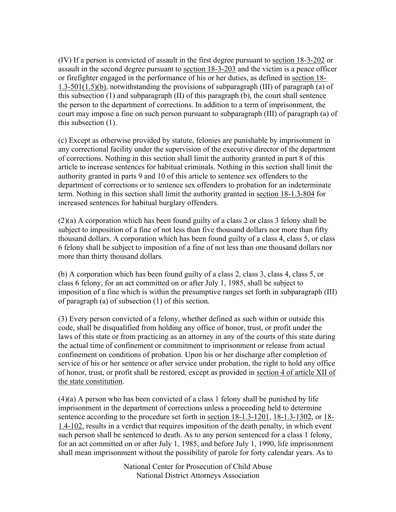(IV) If a person is convicted of assault in the first degree pursuant to section 18-3-202 or assault in the second degree pursuant to section 18-3-203 and the victim is a peace officer or firefighter engaged in the performance of his or her duties, as defined in section 18- 1.3-501(1.5)(b), notwithstanding the provisions of subparagraph (III) of paragraph (a) of this subsection (1) and subparagraph (II) of this paragraph (b), the court shall sentence the person to the department of corrections. In addition to a term of imprisonment, the court may impose a fine on such person pursuant to subparagraph (III) of paragraph (a) of this subsection (1).

(c) Except as otherwise provided by statute, felonies are punishable by imprisonment in any correctional facility under the supervision of the executive director of the department of corrections. Nothing in this section shall limit the authority granted in part 8 of this article to increase sentences for habitual criminals. Nothing in this section shall limit the authority granted in parts 9 and 10 of this article to sentence sex offenders to the department of corrections or to sentence sex offenders to probation for an indeterminate term. Nothing in this section shall limit the authority granted in section 18-1.3-804 for increased sentences for habitual burglary offenders.

(2)(a) A corporation which has been found guilty of a class 2 or class 3 felony shall be subject to imposition of a fine of not less than five thousand dollars nor more than fifty thousand dollars. A corporation which has been found guilty of a class 4, class 5, or class 6 felony shall be subject to imposition of a fine of not less than one thousand dollars nor more than thirty thousand dollars.

(b) A corporation which has been found guilty of a class 2, class 3, class 4, class 5, or class 6 felony, for an act committed on or after July 1, 1985, shall be subject to imposition of a fine which is within the presumptive ranges set forth in subparagraph (III) of paragraph (a) of subsection (1) of this section.

(3) Every person convicted of a felony, whether defined as such within or outside this code, shall be disqualified from holding any office of honor, trust, or profit under the laws of this state or from practicing as an attorney in any of the courts of this state during the actual time of confinement or commitment to imprisonment or release from actual confinement on conditions of probation. Upon his or her discharge after completion of service of his or her sentence or after service under probation, the right to hold any office of honor, trust, or profit shall be restored, except as provided in section 4 of article XII of the state constitution.

 $(4)(a)$  A person who has been convicted of a class 1 felony shall be punished by life imprisonment in the department of corrections unless a proceeding held to determine sentence according to the procedure set forth in section 18-1.3-1201, 18-1.3-1302, or 18- 1.4-102, results in a verdict that requires imposition of the death penalty, in which event such person shall be sentenced to death. As to any person sentenced for a class 1 felony, for an act committed on or after July 1, 1985, and before July 1, 1990, life imprisonment shall mean imprisonment without the possibility of parole for forty calendar years. As to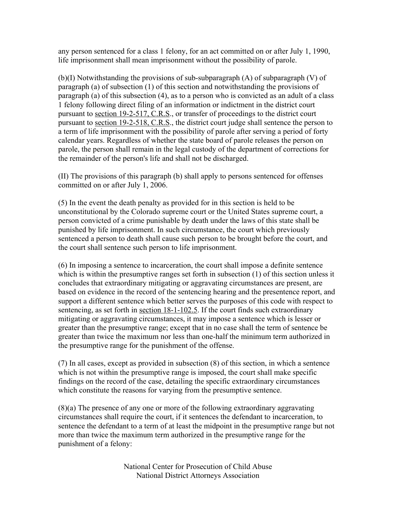any person sentenced for a class 1 felony, for an act committed on or after July 1, 1990, life imprisonment shall mean imprisonment without the possibility of parole.

(b)(I) Notwithstanding the provisions of sub-subparagraph (A) of subparagraph (V) of paragraph (a) of subsection (1) of this section and notwithstanding the provisions of paragraph (a) of this subsection (4), as to a person who is convicted as an adult of a class 1 felony following direct filing of an information or indictment in the district court pursuant to section 19-2-517, C.R.S., or transfer of proceedings to the district court pursuant to section 19-2-518, C.R.S., the district court judge shall sentence the person to a term of life imprisonment with the possibility of parole after serving a period of forty calendar years. Regardless of whether the state board of parole releases the person on parole, the person shall remain in the legal custody of the department of corrections for the remainder of the person's life and shall not be discharged.

(II) The provisions of this paragraph (b) shall apply to persons sentenced for offenses committed on or after July 1, 2006.

(5) In the event the death penalty as provided for in this section is held to be unconstitutional by the Colorado supreme court or the United States supreme court, a person convicted of a crime punishable by death under the laws of this state shall be punished by life imprisonment. In such circumstance, the court which previously sentenced a person to death shall cause such person to be brought before the court, and the court shall sentence such person to life imprisonment.

(6) In imposing a sentence to incarceration, the court shall impose a definite sentence which is within the presumptive ranges set forth in subsection (1) of this section unless it concludes that extraordinary mitigating or aggravating circumstances are present, are based on evidence in the record of the sentencing hearing and the presentence report, and support a different sentence which better serves the purposes of this code with respect to sentencing, as set forth in <u>section 18-1-102.5</u>. If the court finds such extraordinary mitigating or aggravating circumstances, it may impose a sentence which is lesser or greater than the presumptive range; except that in no case shall the term of sentence be greater than twice the maximum nor less than one-half the minimum term authorized in the presumptive range for the punishment of the offense.

(7) In all cases, except as provided in subsection (8) of this section, in which a sentence which is not within the presumptive range is imposed, the court shall make specific findings on the record of the case, detailing the specific extraordinary circumstances which constitute the reasons for varying from the presumptive sentence.

(8)(a) The presence of any one or more of the following extraordinary aggravating circumstances shall require the court, if it sentences the defendant to incarceration, to sentence the defendant to a term of at least the midpoint in the presumptive range but not more than twice the maximum term authorized in the presumptive range for the punishment of a felony: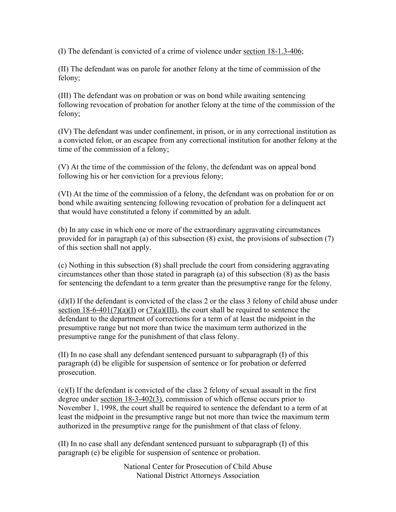(I) The defendant is convicted of a crime of violence under section 18-1.3-406;

(II) The defendant was on parole for another felony at the time of commission of the felony;

(III) The defendant was on probation or was on bond while awaiting sentencing following revocation of probation for another felony at the time of the commission of the felony;

(IV) The defendant was under confinement, in prison, or in any correctional institution as a convicted felon, or an escapee from any correctional institution for another felony at the time of the commission of a felony;

(V) At the time of the commission of the felony, the defendant was on appeal bond following his or her conviction for a previous felony;

(VI) At the time of the commission of a felony, the defendant was on probation for or on bond while awaiting sentencing following revocation of probation for a delinquent act that would have constituted a felony if committed by an adult.

(b) In any case in which one or more of the extraordinary aggravating circumstances provided for in paragraph (a) of this subsection (8) exist, the provisions of subsection (7) of this section shall not apply.

(c) Nothing in this subsection (8) shall preclude the court from considering aggravating circumstances other than those stated in paragraph (a) of this subsection (8) as the basis for sentencing the defendant to a term greater than the presumptive range for the felony.

(d)(I) If the defendant is convicted of the class 2 or the class 3 felony of child abuse under section  $18-6-401(7)(a)(I)$  or  $(7)(a)(III)$ , the court shall be required to sentence the defendant to the department of corrections for a term of at least the midpoint in the presumptive range but not more than twice the maximum term authorized in the presumptive range for the punishment of that class felony.

(II) In no case shall any defendant sentenced pursuant to subparagraph (I) of this paragraph (d) be eligible for suspension of sentence or for probation or deferred prosecution.

(e)(I) If the defendant is convicted of the class 2 felony of sexual assault in the first degree under section 18-3-402(3), commission of which offense occurs prior to November 1, 1998, the court shall be required to sentence the defendant to a term of at least the midpoint in the presumptive range but not more than twice the maximum term authorized in the presumptive range for the punishment of that class of felony.

(II) In no case shall any defendant sentenced pursuant to subparagraph (I) of this paragraph (e) be eligible for suspension of sentence or probation.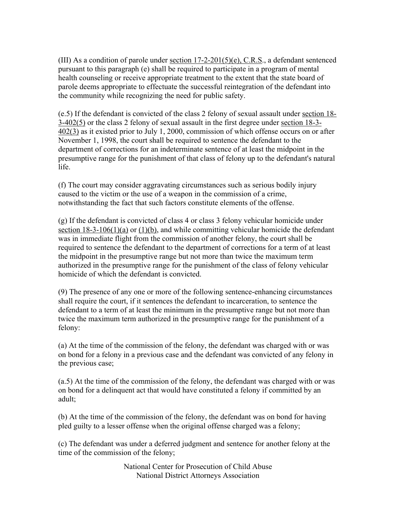(III) As a condition of parole under section  $17-2-201(5)$ (e), C.R.S., a defendant sentenced pursuant to this paragraph (e) shall be required to participate in a program of mental health counseling or receive appropriate treatment to the extent that the state board of parole deems appropriate to effectuate the successful reintegration of the defendant into the community while recognizing the need for public safety.

(e.5) If the defendant is convicted of the class 2 felony of sexual assault under section 18- 3-402(5) or the class 2 felony of sexual assault in the first degree under section 18-3- 402(3) as it existed prior to July 1, 2000, commission of which offense occurs on or after November 1, 1998, the court shall be required to sentence the defendant to the department of corrections for an indeterminate sentence of at least the midpoint in the presumptive range for the punishment of that class of felony up to the defendant's natural life.

(f) The court may consider aggravating circumstances such as serious bodily injury caused to the victim or the use of a weapon in the commission of a crime, notwithstanding the fact that such factors constitute elements of the offense.

(g) If the defendant is convicted of class 4 or class 3 felony vehicular homicide under section  $18-3-106(1)(a)$  or  $(1)(b)$ , and while committing vehicular homicide the defendant was in immediate flight from the commission of another felony, the court shall be required to sentence the defendant to the department of corrections for a term of at least the midpoint in the presumptive range but not more than twice the maximum term authorized in the presumptive range for the punishment of the class of felony vehicular homicide of which the defendant is convicted.

(9) The presence of any one or more of the following sentence-enhancing circumstances shall require the court, if it sentences the defendant to incarceration, to sentence the defendant to a term of at least the minimum in the presumptive range but not more than twice the maximum term authorized in the presumptive range for the punishment of a felony:

(a) At the time of the commission of the felony, the defendant was charged with or was on bond for a felony in a previous case and the defendant was convicted of any felony in the previous case;

(a.5) At the time of the commission of the felony, the defendant was charged with or was on bond for a delinquent act that would have constituted a felony if committed by an adult;

(b) At the time of the commission of the felony, the defendant was on bond for having pled guilty to a lesser offense when the original offense charged was a felony;

(c) The defendant was under a deferred judgment and sentence for another felony at the time of the commission of the felony;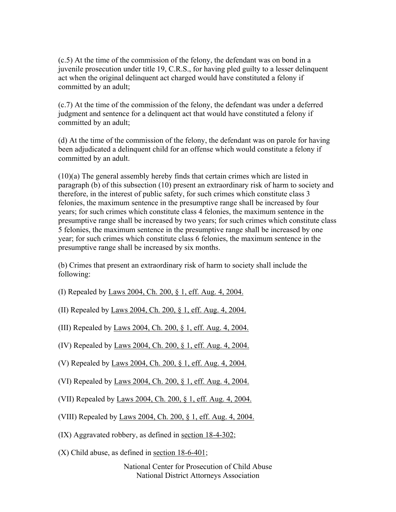(c.5) At the time of the commission of the felony, the defendant was on bond in a juvenile prosecution under title 19, C.R.S., for having pled guilty to a lesser delinquent act when the original delinquent act charged would have constituted a felony if committed by an adult;

(c.7) At the time of the commission of the felony, the defendant was under a deferred judgment and sentence for a delinquent act that would have constituted a felony if committed by an adult;

(d) At the time of the commission of the felony, the defendant was on parole for having been adjudicated a delinquent child for an offense which would constitute a felony if committed by an adult.

(10)(a) The general assembly hereby finds that certain crimes which are listed in paragraph (b) of this subsection (10) present an extraordinary risk of harm to society and therefore, in the interest of public safety, for such crimes which constitute class 3 felonies, the maximum sentence in the presumptive range shall be increased by four years; for such crimes which constitute class 4 felonies, the maximum sentence in the presumptive range shall be increased by two years; for such crimes which constitute class 5 felonies, the maximum sentence in the presumptive range shall be increased by one year; for such crimes which constitute class 6 felonies, the maximum sentence in the presumptive range shall be increased by six months.

(b) Crimes that present an extraordinary risk of harm to society shall include the following:

(I) Repealed by Laws 2004, Ch. 200, § 1, eff. Aug. 4, 2004.

(II) Repealed by Laws 2004, Ch. 200, § 1, eff. Aug. 4, 2004.

(III) Repealed by Laws 2004, Ch. 200, § 1, eff. Aug. 4, 2004.

- (IV) Repealed by Laws 2004, Ch. 200, § 1, eff. Aug. 4, 2004.
- (V) Repealed by Laws 2004, Ch. 200, § 1, eff. Aug. 4, 2004.
- (VI) Repealed by Laws 2004, Ch. 200, § 1, eff. Aug. 4, 2004.
- (VII) Repealed by Laws 2004, Ch. 200, § 1, eff. Aug. 4, 2004.
- (VIII) Repealed by Laws 2004, Ch. 200, § 1, eff. Aug. 4, 2004.
- (IX) Aggravated robbery, as defined in section 18-4-302;
- (X) Child abuse, as defined in section 18-6-401;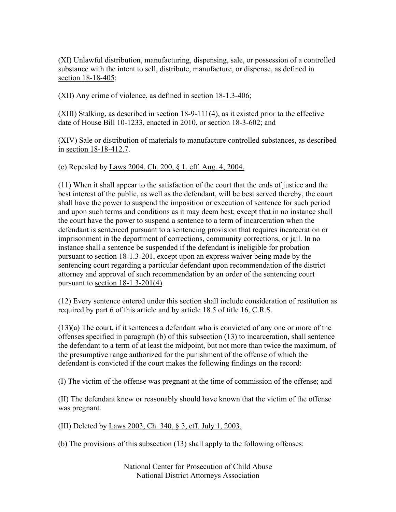(XI) Unlawful distribution, manufacturing, dispensing, sale, or possession of a controlled substance with the intent to sell, distribute, manufacture, or dispense, as defined in section 18-18-405;

(XII) Any crime of violence, as defined in section 18-1.3-406;

(XIII) Stalking, as described in section 18-9-111(4), as it existed prior to the effective date of House Bill 10-1233, enacted in 2010, or section 18-3-602; and

(XIV) Sale or distribution of materials to manufacture controlled substances, as described in section 18-18-412.7.

(c) Repealed by Laws 2004, Ch. 200, § 1, eff. Aug. 4, 2004.

(11) When it shall appear to the satisfaction of the court that the ends of justice and the best interest of the public, as well as the defendant, will be best served thereby, the court shall have the power to suspend the imposition or execution of sentence for such period and upon such terms and conditions as it may deem best; except that in no instance shall the court have the power to suspend a sentence to a term of incarceration when the defendant is sentenced pursuant to a sentencing provision that requires incarceration or imprisonment in the department of corrections, community corrections, or jail. In no instance shall a sentence be suspended if the defendant is ineligible for probation pursuant to section 18-1.3-201, except upon an express waiver being made by the sentencing court regarding a particular defendant upon recommendation of the district attorney and approval of such recommendation by an order of the sentencing court pursuant to section  $18-1.3-201(4)$ .

(12) Every sentence entered under this section shall include consideration of restitution as required by part 6 of this article and by article 18.5 of title 16, C.R.S.

(13)(a) The court, if it sentences a defendant who is convicted of any one or more of the offenses specified in paragraph (b) of this subsection (13) to incarceration, shall sentence the defendant to a term of at least the midpoint, but not more than twice the maximum, of the presumptive range authorized for the punishment of the offense of which the defendant is convicted if the court makes the following findings on the record:

(I) The victim of the offense was pregnant at the time of commission of the offense; and

(II) The defendant knew or reasonably should have known that the victim of the offense was pregnant.

(III) Deleted by Laws 2003, Ch. 340, § 3, eff. July 1, 2003.

(b) The provisions of this subsection (13) shall apply to the following offenses: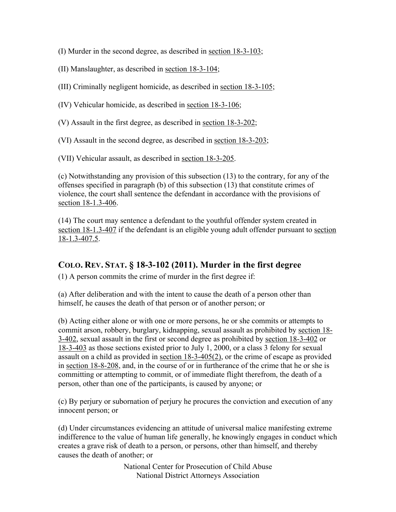(I) Murder in the second degree, as described in section 18-3-103;

(II) Manslaughter, as described in section 18-3-104;

(III) Criminally negligent homicide, as described in section 18-3-105;

(IV) Vehicular homicide, as described in section 18-3-106;

(V) Assault in the first degree, as described in section 18-3-202;

(VI) Assault in the second degree, as described in section 18-3-203;

(VII) Vehicular assault, as described in section 18-3-205.

(c) Notwithstanding any provision of this subsection (13) to the contrary, for any of the offenses specified in paragraph (b) of this subsection (13) that constitute crimes of violence, the court shall sentence the defendant in accordance with the provisions of section 18-1.3-406.

(14) The court may sentence a defendant to the youthful offender system created in section 18-1.3-407 if the defendant is an eligible young adult offender pursuant to section 18-1.3-407.5.

#### **COLO. REV. STAT. § 18-3-102 (2011). Murder in the first degree**

(1) A person commits the crime of murder in the first degree if:

(a) After deliberation and with the intent to cause the death of a person other than himself, he causes the death of that person or of another person; or

(b) Acting either alone or with one or more persons, he or she commits or attempts to commit arson, robbery, burglary, kidnapping, sexual assault as prohibited by section 18- 3-402, sexual assault in the first or second degree as prohibited by section 18-3-402 or 18-3-403 as those sections existed prior to July 1, 2000, or a class 3 felony for sexual assault on a child as provided in section 18-3-405(2), or the crime of escape as provided in section 18-8-208, and, in the course of or in furtherance of the crime that he or she is committing or attempting to commit, or of immediate flight therefrom, the death of a person, other than one of the participants, is caused by anyone; or

(c) By perjury or subornation of perjury he procures the conviction and execution of any innocent person; or

(d) Under circumstances evidencing an attitude of universal malice manifesting extreme indifference to the value of human life generally, he knowingly engages in conduct which creates a grave risk of death to a person, or persons, other than himself, and thereby causes the death of another; or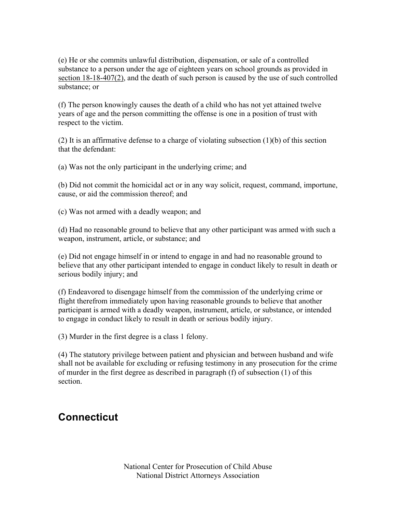(e) He or she commits unlawful distribution, dispensation, or sale of a controlled substance to a person under the age of eighteen years on school grounds as provided in section 18-18-407(2), and the death of such person is caused by the use of such controlled substance; or

(f) The person knowingly causes the death of a child who has not yet attained twelve years of age and the person committing the offense is one in a position of trust with respect to the victim.

(2) It is an affirmative defense to a charge of violating subsection  $(1)(b)$  of this section that the defendant:

(a) Was not the only participant in the underlying crime; and

(b) Did not commit the homicidal act or in any way solicit, request, command, importune, cause, or aid the commission thereof; and

(c) Was not armed with a deadly weapon; and

(d) Had no reasonable ground to believe that any other participant was armed with such a weapon, instrument, article, or substance; and

(e) Did not engage himself in or intend to engage in and had no reasonable ground to believe that any other participant intended to engage in conduct likely to result in death or serious bodily injury; and

(f) Endeavored to disengage himself from the commission of the underlying crime or flight therefrom immediately upon having reasonable grounds to believe that another participant is armed with a deadly weapon, instrument, article, or substance, or intended to engage in conduct likely to result in death or serious bodily injury.

(3) Murder in the first degree is a class 1 felony.

(4) The statutory privilege between patient and physician and between husband and wife shall not be available for excluding or refusing testimony in any prosecution for the crime of murder in the first degree as described in paragraph (f) of subsection (1) of this section.

## **Connecticut**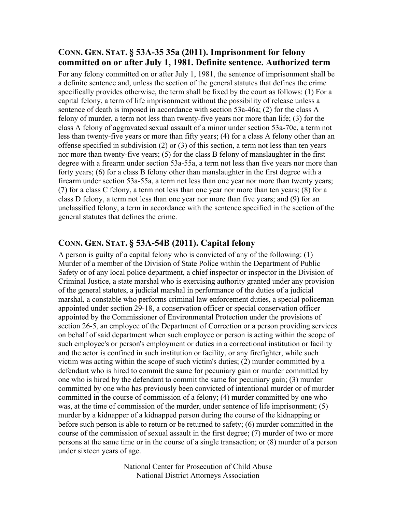#### **CONN. GEN. STAT. § 53A-35 35a (2011). Imprisonment for felony committed on or after July 1, 1981. Definite sentence. Authorized term**

For any felony committed on or after July 1, 1981, the sentence of imprisonment shall be a definite sentence and, unless the section of the general statutes that defines the crime specifically provides otherwise, the term shall be fixed by the court as follows: (1) For a capital felony, a term of life imprisonment without the possibility of release unless a sentence of death is imposed in accordance with section 53a-46a; (2) for the class A felony of murder, a term not less than twenty-five years nor more than life; (3) for the class A felony of aggravated sexual assault of a minor under section 53a-70c, a term not less than twenty-five years or more than fifty years; (4) for a class A felony other than an offense specified in subdivision (2) or (3) of this section, a term not less than ten years nor more than twenty-five years; (5) for the class B felony of manslaughter in the first degree with a firearm under section 53a-55a, a term not less than five years nor more than forty years; (6) for a class B felony other than manslaughter in the first degree with a firearm under section 53a-55a, a term not less than one year nor more than twenty years; (7) for a class C felony, a term not less than one year nor more than ten years; (8) for a class D felony, a term not less than one year nor more than five years; and (9) for an unclassified felony, a term in accordance with the sentence specified in the section of the general statutes that defines the crime.

#### **CONN. GEN. STAT. § 53A-54B (2011). Capital felony**

A person is guilty of a capital felony who is convicted of any of the following: (1) Murder of a member of the Division of State Police within the Department of Public Safety or of any local police department, a chief inspector or inspector in the Division of Criminal Justice, a state marshal who is exercising authority granted under any provision of the general statutes, a judicial marshal in performance of the duties of a judicial marshal, a constable who performs criminal law enforcement duties, a special policeman appointed under section 29-18, a conservation officer or special conservation officer appointed by the Commissioner of Environmental Protection under the provisions of section 26-5, an employee of the Department of Correction or a person providing services on behalf of said department when such employee or person is acting within the scope of such employee's or person's employment or duties in a correctional institution or facility and the actor is confined in such institution or facility, or any firefighter, while such victim was acting within the scope of such victim's duties; (2) murder committed by a defendant who is hired to commit the same for pecuniary gain or murder committed by one who is hired by the defendant to commit the same for pecuniary gain; (3) murder committed by one who has previously been convicted of intentional murder or of murder committed in the course of commission of a felony; (4) murder committed by one who was, at the time of commission of the murder, under sentence of life imprisonment; (5) murder by a kidnapper of a kidnapped person during the course of the kidnapping or before such person is able to return or be returned to safety; (6) murder committed in the course of the commission of sexual assault in the first degree; (7) murder of two or more persons at the same time or in the course of a single transaction; or (8) murder of a person under sixteen years of age.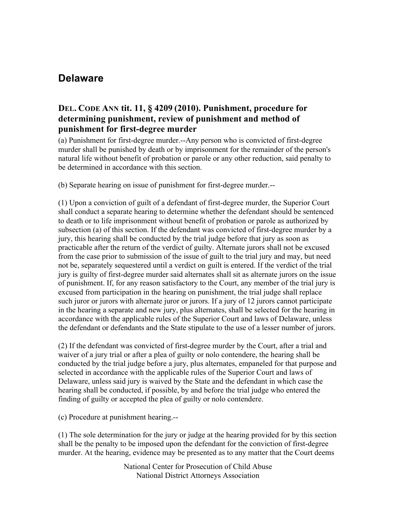## **Delaware**

#### **DEL. CODE ANN tit. 11, § 4209 (2010). Punishment, procedure for determining punishment, review of punishment and method of punishment for first-degree murder**

(a) Punishment for first-degree murder.--Any person who is convicted of first-degree murder shall be punished by death or by imprisonment for the remainder of the person's natural life without benefit of probation or parole or any other reduction, said penalty to be determined in accordance with this section.

(b) Separate hearing on issue of punishment for first-degree murder.--

(1) Upon a conviction of guilt of a defendant of first-degree murder, the Superior Court shall conduct a separate hearing to determine whether the defendant should be sentenced to death or to life imprisonment without benefit of probation or parole as authorized by subsection (a) of this section. If the defendant was convicted of first-degree murder by a jury, this hearing shall be conducted by the trial judge before that jury as soon as practicable after the return of the verdict of guilty. Alternate jurors shall not be excused from the case prior to submission of the issue of guilt to the trial jury and may, but need not be, separately sequestered until a verdict on guilt is entered. If the verdict of the trial jury is guilty of first-degree murder said alternates shall sit as alternate jurors on the issue of punishment. If, for any reason satisfactory to the Court, any member of the trial jury is excused from participation in the hearing on punishment, the trial judge shall replace such juror or jurors with alternate juror or jurors. If a jury of 12 jurors cannot participate in the hearing a separate and new jury, plus alternates, shall be selected for the hearing in accordance with the applicable rules of the Superior Court and laws of Delaware, unless the defendant or defendants and the State stipulate to the use of a lesser number of jurors.

(2) If the defendant was convicted of first-degree murder by the Court, after a trial and waiver of a jury trial or after a plea of guilty or nolo contendere, the hearing shall be conducted by the trial judge before a jury, plus alternates, empaneled for that purpose and selected in accordance with the applicable rules of the Superior Court and laws of Delaware, unless said jury is waived by the State and the defendant in which case the hearing shall be conducted, if possible, by and before the trial judge who entered the finding of guilty or accepted the plea of guilty or nolo contendere.

(c) Procedure at punishment hearing.--

(1) The sole determination for the jury or judge at the hearing provided for by this section shall be the penalty to be imposed upon the defendant for the conviction of first-degree murder. At the hearing, evidence may be presented as to any matter that the Court deems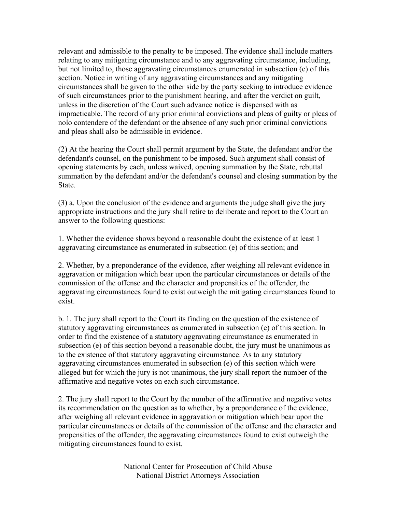relevant and admissible to the penalty to be imposed. The evidence shall include matters relating to any mitigating circumstance and to any aggravating circumstance, including, but not limited to, those aggravating circumstances enumerated in subsection (e) of this section. Notice in writing of any aggravating circumstances and any mitigating circumstances shall be given to the other side by the party seeking to introduce evidence of such circumstances prior to the punishment hearing, and after the verdict on guilt, unless in the discretion of the Court such advance notice is dispensed with as impracticable. The record of any prior criminal convictions and pleas of guilty or pleas of nolo contendere of the defendant or the absence of any such prior criminal convictions and pleas shall also be admissible in evidence.

(2) At the hearing the Court shall permit argument by the State, the defendant and/or the defendant's counsel, on the punishment to be imposed. Such argument shall consist of opening statements by each, unless waived, opening summation by the State, rebuttal summation by the defendant and/or the defendant's counsel and closing summation by the State.

(3) a. Upon the conclusion of the evidence and arguments the judge shall give the jury appropriate instructions and the jury shall retire to deliberate and report to the Court an answer to the following questions:

1. Whether the evidence shows beyond a reasonable doubt the existence of at least 1 aggravating circumstance as enumerated in subsection (e) of this section; and

2. Whether, by a preponderance of the evidence, after weighing all relevant evidence in aggravation or mitigation which bear upon the particular circumstances or details of the commission of the offense and the character and propensities of the offender, the aggravating circumstances found to exist outweigh the mitigating circumstances found to exist.

b. 1. The jury shall report to the Court its finding on the question of the existence of statutory aggravating circumstances as enumerated in subsection (e) of this section. In order to find the existence of a statutory aggravating circumstance as enumerated in subsection (e) of this section beyond a reasonable doubt, the jury must be unanimous as to the existence of that statutory aggravating circumstance. As to any statutory aggravating circumstances enumerated in subsection (e) of this section which were alleged but for which the jury is not unanimous, the jury shall report the number of the affirmative and negative votes on each such circumstance.

2. The jury shall report to the Court by the number of the affirmative and negative votes its recommendation on the question as to whether, by a preponderance of the evidence, after weighing all relevant evidence in aggravation or mitigation which bear upon the particular circumstances or details of the commission of the offense and the character and propensities of the offender, the aggravating circumstances found to exist outweigh the mitigating circumstances found to exist.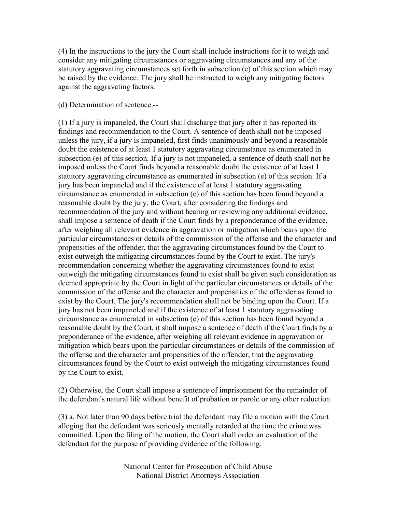(4) In the instructions to the jury the Court shall include instructions for it to weigh and consider any mitigating circumstances or aggravating circumstances and any of the statutory aggravating circumstances set forth in subsection (e) of this section which may be raised by the evidence. The jury shall be instructed to weigh any mitigating factors against the aggravating factors.

#### (d) Determination of sentence.--

(1) If a jury is impaneled, the Court shall discharge that jury after it has reported its findings and recommendation to the Court. A sentence of death shall not be imposed unless the jury, if a jury is impaneled, first finds unanimously and beyond a reasonable doubt the existence of at least 1 statutory aggravating circumstance as enumerated in subsection (e) of this section. If a jury is not impaneled, a sentence of death shall not be imposed unless the Court finds beyond a reasonable doubt the existence of at least 1 statutory aggravating circumstance as enumerated in subsection (e) of this section. If a jury has been impaneled and if the existence of at least 1 statutory aggravating circumstance as enumerated in subsection (e) of this section has been found beyond a reasonable doubt by the jury, the Court, after considering the findings and recommendation of the jury and without hearing or reviewing any additional evidence, shall impose a sentence of death if the Court finds by a preponderance of the evidence, after weighing all relevant evidence in aggravation or mitigation which bears upon the particular circumstances or details of the commission of the offense and the character and propensities of the offender, that the aggravating circumstances found by the Court to exist outweigh the mitigating circumstances found by the Court to exist. The jury's recommendation concerning whether the aggravating circumstances found to exist outweigh the mitigating circumstances found to exist shall be given such consideration as deemed appropriate by the Court in light of the particular circumstances or details of the commission of the offense and the character and propensities of the offender as found to exist by the Court. The jury's recommendation shall not be binding upon the Court. If a jury has not been impaneled and if the existence of at least 1 statutory aggravating circumstance as enumerated in subsection (e) of this section has been found beyond a reasonable doubt by the Court, it shall impose a sentence of death if the Court finds by a preponderance of the evidence, after weighing all relevant evidence in aggravation or mitigation which bears upon the particular circumstances or details of the commission of the offense and the character and propensities of the offender, that the aggravating circumstances found by the Court to exist outweigh the mitigating circumstances found by the Court to exist.

(2) Otherwise, the Court shall impose a sentence of imprisonment for the remainder of the defendant's natural life without benefit of probation or parole or any other reduction.

(3) a. Not later than 90 days before trial the defendant may file a motion with the Court alleging that the defendant was seriously mentally retarded at the time the crime was committed. Upon the filing of the motion, the Court shall order an evaluation of the defendant for the purpose of providing evidence of the following: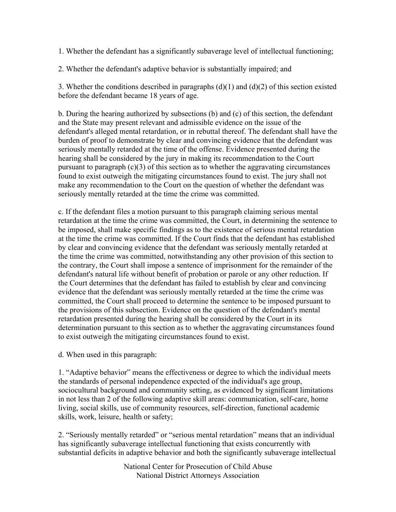1. Whether the defendant has a significantly subaverage level of intellectual functioning;

2. Whether the defendant's adaptive behavior is substantially impaired; and

3. Whether the conditions described in paragraphs  $(d)(1)$  and  $(d)(2)$  of this section existed before the defendant became 18 years of age.

b. During the hearing authorized by subsections (b) and (c) of this section, the defendant and the State may present relevant and admissible evidence on the issue of the defendant's alleged mental retardation, or in rebuttal thereof. The defendant shall have the burden of proof to demonstrate by clear and convincing evidence that the defendant was seriously mentally retarded at the time of the offense. Evidence presented during the hearing shall be considered by the jury in making its recommendation to the Court pursuant to paragraph (c)(3) of this section as to whether the aggravating circumstances found to exist outweigh the mitigating circumstances found to exist. The jury shall not make any recommendation to the Court on the question of whether the defendant was seriously mentally retarded at the time the crime was committed.

c. If the defendant files a motion pursuant to this paragraph claiming serious mental retardation at the time the crime was committed, the Court, in determining the sentence to be imposed, shall make specific findings as to the existence of serious mental retardation at the time the crime was committed. If the Court finds that the defendant has established by clear and convincing evidence that the defendant was seriously mentally retarded at the time the crime was committed, notwithstanding any other provision of this section to the contrary, the Court shall impose a sentence of imprisonment for the remainder of the defendant's natural life without benefit of probation or parole or any other reduction. If the Court determines that the defendant has failed to establish by clear and convincing evidence that the defendant was seriously mentally retarded at the time the crime was committed, the Court shall proceed to determine the sentence to be imposed pursuant to the provisions of this subsection. Evidence on the question of the defendant's mental retardation presented during the hearing shall be considered by the Court in its determination pursuant to this section as to whether the aggravating circumstances found to exist outweigh the mitigating circumstances found to exist.

d. When used in this paragraph:

1. "Adaptive behavior" means the effectiveness or degree to which the individual meets the standards of personal independence expected of the individual's age group, sociocultural background and community setting, as evidenced by significant limitations in not less than 2 of the following adaptive skill areas: communication, self-care, home living, social skills, use of community resources, self-direction, functional academic skills, work, leisure, health or safety;

2. "Seriously mentally retarded" or "serious mental retardation" means that an individual has significantly subaverage intellectual functioning that exists concurrently with substantial deficits in adaptive behavior and both the significantly subaverage intellectual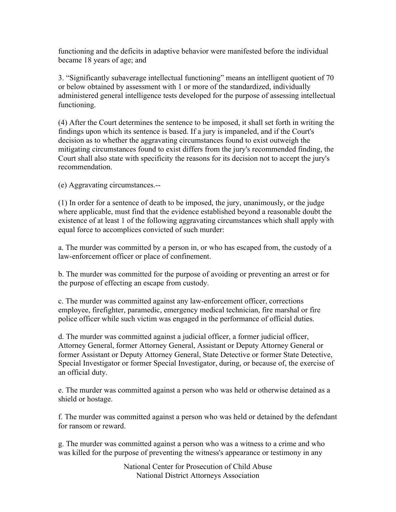functioning and the deficits in adaptive behavior were manifested before the individual became 18 years of age; and

3. "Significantly subaverage intellectual functioning" means an intelligent quotient of 70 or below obtained by assessment with 1 or more of the standardized, individually administered general intelligence tests developed for the purpose of assessing intellectual functioning.

(4) After the Court determines the sentence to be imposed, it shall set forth in writing the findings upon which its sentence is based. If a jury is impaneled, and if the Court's decision as to whether the aggravating circumstances found to exist outweigh the mitigating circumstances found to exist differs from the jury's recommended finding, the Court shall also state with specificity the reasons for its decision not to accept the jury's recommendation.

(e) Aggravating circumstances.--

(1) In order for a sentence of death to be imposed, the jury, unanimously, or the judge where applicable, must find that the evidence established beyond a reasonable doubt the existence of at least 1 of the following aggravating circumstances which shall apply with equal force to accomplices convicted of such murder:

a. The murder was committed by a person in, or who has escaped from, the custody of a law-enforcement officer or place of confinement.

b. The murder was committed for the purpose of avoiding or preventing an arrest or for the purpose of effecting an escape from custody.

c. The murder was committed against any law-enforcement officer, corrections employee, firefighter, paramedic, emergency medical technician, fire marshal or fire police officer while such victim was engaged in the performance of official duties.

d. The murder was committed against a judicial officer, a former judicial officer, Attorney General, former Attorney General, Assistant or Deputy Attorney General or former Assistant or Deputy Attorney General, State Detective or former State Detective, Special Investigator or former Special Investigator, during, or because of, the exercise of an official duty.

e. The murder was committed against a person who was held or otherwise detained as a shield or hostage.

f. The murder was committed against a person who was held or detained by the defendant for ransom or reward.

g. The murder was committed against a person who was a witness to a crime and who was killed for the purpose of preventing the witness's appearance or testimony in any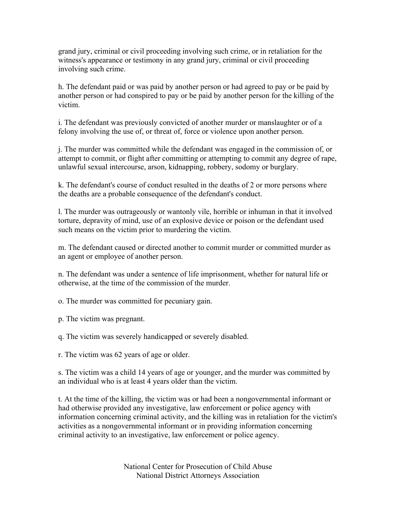grand jury, criminal or civil proceeding involving such crime, or in retaliation for the witness's appearance or testimony in any grand jury, criminal or civil proceeding involving such crime.

h. The defendant paid or was paid by another person or had agreed to pay or be paid by another person or had conspired to pay or be paid by another person for the killing of the victim.

i. The defendant was previously convicted of another murder or manslaughter or of a felony involving the use of, or threat of, force or violence upon another person.

j. The murder was committed while the defendant was engaged in the commission of, or attempt to commit, or flight after committing or attempting to commit any degree of rape, unlawful sexual intercourse, arson, kidnapping, robbery, sodomy or burglary.

k. The defendant's course of conduct resulted in the deaths of 2 or more persons where the deaths are a probable consequence of the defendant's conduct.

l. The murder was outrageously or wantonly vile, horrible or inhuman in that it involved torture, depravity of mind, use of an explosive device or poison or the defendant used such means on the victim prior to murdering the victim.

m. The defendant caused or directed another to commit murder or committed murder as an agent or employee of another person.

n. The defendant was under a sentence of life imprisonment, whether for natural life or otherwise, at the time of the commission of the murder.

o. The murder was committed for pecuniary gain.

p. The victim was pregnant.

q. The victim was severely handicapped or severely disabled.

r. The victim was 62 years of age or older.

s. The victim was a child 14 years of age or younger, and the murder was committed by an individual who is at least 4 years older than the victim.

t. At the time of the killing, the victim was or had been a nongovernmental informant or had otherwise provided any investigative, law enforcement or police agency with information concerning criminal activity, and the killing was in retaliation for the victim's activities as a nongovernmental informant or in providing information concerning criminal activity to an investigative, law enforcement or police agency.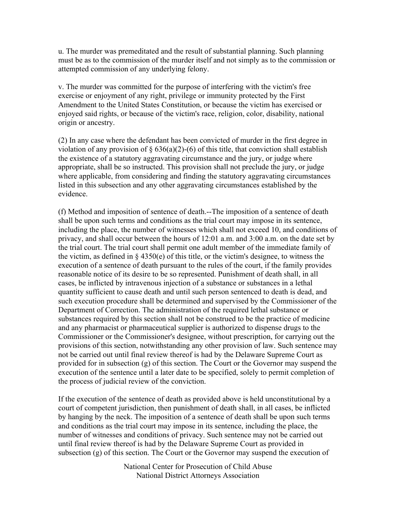u. The murder was premeditated and the result of substantial planning. Such planning must be as to the commission of the murder itself and not simply as to the commission or attempted commission of any underlying felony.

v. The murder was committed for the purpose of interfering with the victim's free exercise or enjoyment of any right, privilege or immunity protected by the First Amendment to the United States Constitution, or because the victim has exercised or enjoyed said rights, or because of the victim's race, religion, color, disability, national origin or ancestry.

(2) In any case where the defendant has been convicted of murder in the first degree in violation of any provision of  $\S 636(a)(2)-(6)$  of this title, that conviction shall establish the existence of a statutory aggravating circumstance and the jury, or judge where appropriate, shall be so instructed. This provision shall not preclude the jury, or judge where applicable, from considering and finding the statutory aggravating circumstances listed in this subsection and any other aggravating circumstances established by the evidence.

(f) Method and imposition of sentence of death.--The imposition of a sentence of death shall be upon such terms and conditions as the trial court may impose in its sentence, including the place, the number of witnesses which shall not exceed 10, and conditions of privacy, and shall occur between the hours of 12:01 a.m. and 3:00 a.m. on the date set by the trial court. The trial court shall permit one adult member of the immediate family of the victim, as defined in  $\S$  4350(e) of this title, or the victim's designee, to witness the execution of a sentence of death pursuant to the rules of the court, if the family provides reasonable notice of its desire to be so represented. Punishment of death shall, in all cases, be inflicted by intravenous injection of a substance or substances in a lethal quantity sufficient to cause death and until such person sentenced to death is dead, and such execution procedure shall be determined and supervised by the Commissioner of the Department of Correction. The administration of the required lethal substance or substances required by this section shall not be construed to be the practice of medicine and any pharmacist or pharmaceutical supplier is authorized to dispense drugs to the Commissioner or the Commissioner's designee, without prescription, for carrying out the provisions of this section, notwithstanding any other provision of law. Such sentence may not be carried out until final review thereof is had by the Delaware Supreme Court as provided for in subsection (g) of this section. The Court or the Governor may suspend the execution of the sentence until a later date to be specified, solely to permit completion of the process of judicial review of the conviction.

If the execution of the sentence of death as provided above is held unconstitutional by a court of competent jurisdiction, then punishment of death shall, in all cases, be inflicted by hanging by the neck. The imposition of a sentence of death shall be upon such terms and conditions as the trial court may impose in its sentence, including the place, the number of witnesses and conditions of privacy. Such sentence may not be carried out until final review thereof is had by the Delaware Supreme Court as provided in subsection (g) of this section. The Court or the Governor may suspend the execution of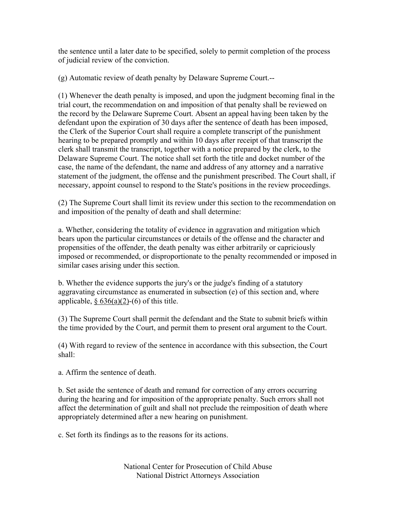the sentence until a later date to be specified, solely to permit completion of the process of judicial review of the conviction.

(g) Automatic review of death penalty by Delaware Supreme Court.--

(1) Whenever the death penalty is imposed, and upon the judgment becoming final in the trial court, the recommendation on and imposition of that penalty shall be reviewed on the record by the Delaware Supreme Court. Absent an appeal having been taken by the defendant upon the expiration of 30 days after the sentence of death has been imposed, the Clerk of the Superior Court shall require a complete transcript of the punishment hearing to be prepared promptly and within 10 days after receipt of that transcript the clerk shall transmit the transcript, together with a notice prepared by the clerk, to the Delaware Supreme Court. The notice shall set forth the title and docket number of the case, the name of the defendant, the name and address of any attorney and a narrative statement of the judgment, the offense and the punishment prescribed. The Court shall, if necessary, appoint counsel to respond to the State's positions in the review proceedings.

(2) The Supreme Court shall limit its review under this section to the recommendation on and imposition of the penalty of death and shall determine:

a. Whether, considering the totality of evidence in aggravation and mitigation which bears upon the particular circumstances or details of the offense and the character and propensities of the offender, the death penalty was either arbitrarily or capriciously imposed or recommended, or disproportionate to the penalty recommended or imposed in similar cases arising under this section.

b. Whether the evidence supports the jury's or the judge's finding of a statutory aggravating circumstance as enumerated in subsection (e) of this section and, where applicable,  $\S 636(a)(2)-(6)$  of this title.

(3) The Supreme Court shall permit the defendant and the State to submit briefs within the time provided by the Court, and permit them to present oral argument to the Court.

(4) With regard to review of the sentence in accordance with this subsection, the Court shall:

a. Affirm the sentence of death.

b. Set aside the sentence of death and remand for correction of any errors occurring during the hearing and for imposition of the appropriate penalty. Such errors shall not affect the determination of guilt and shall not preclude the reimposition of death where appropriately determined after a new hearing on punishment.

c. Set forth its findings as to the reasons for its actions.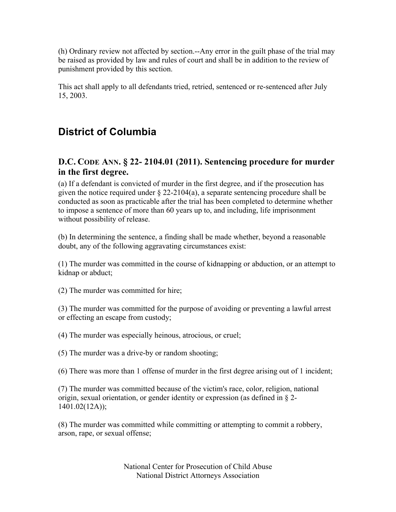(h) Ordinary review not affected by section.--Any error in the guilt phase of the trial may be raised as provided by law and rules of court and shall be in addition to the review of punishment provided by this section.

This act shall apply to all defendants tried, retried, sentenced or re-sentenced after July 15, 2003.

## **District of Columbia**

#### **D.C. CODE ANN. § 22- 2104.01 (2011). Sentencing procedure for murder in the first degree.**

(a) If a defendant is convicted of murder in the first degree, and if the prosecution has given the notice required under  $\S$  22-2104(a), a separate sentencing procedure shall be conducted as soon as practicable after the trial has been completed to determine whether to impose a sentence of more than 60 years up to, and including, life imprisonment without possibility of release.

(b) In determining the sentence, a finding shall be made whether, beyond a reasonable doubt, any of the following aggravating circumstances exist:

(1) The murder was committed in the course of kidnapping or abduction, or an attempt to kidnap or abduct;

(2) The murder was committed for hire;

(3) The murder was committed for the purpose of avoiding or preventing a lawful arrest or effecting an escape from custody;

(4) The murder was especially heinous, atrocious, or cruel;

(5) The murder was a drive-by or random shooting;

(6) There was more than 1 offense of murder in the first degree arising out of 1 incident;

(7) The murder was committed because of the victim's race, color, religion, national origin, sexual orientation, or gender identity or expression (as defined in § 2- 1401.02(12A));

(8) The murder was committed while committing or attempting to commit a robbery, arson, rape, or sexual offense;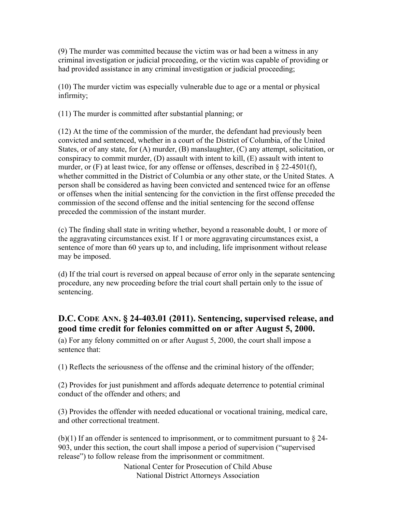(9) The murder was committed because the victim was or had been a witness in any criminal investigation or judicial proceeding, or the victim was capable of providing or had provided assistance in any criminal investigation or judicial proceeding;

(10) The murder victim was especially vulnerable due to age or a mental or physical infirmity;

(11) The murder is committed after substantial planning; or

(12) At the time of the commission of the murder, the defendant had previously been convicted and sentenced, whether in a court of the District of Columbia, of the United States, or of any state, for (A) murder, (B) manslaughter, (C) any attempt, solicitation, or conspiracy to commit murder, (D) assault with intent to kill, (E) assault with intent to murder, or  $(F)$  at least twice, for any offense or offenses, described in  $\S$  22-4501(f), whether committed in the District of Columbia or any other state, or the United States. A person shall be considered as having been convicted and sentenced twice for an offense or offenses when the initial sentencing for the conviction in the first offense preceded the commission of the second offense and the initial sentencing for the second offense preceded the commission of the instant murder.

(c) The finding shall state in writing whether, beyond a reasonable doubt, 1 or more of the aggravating circumstances exist. If 1 or more aggravating circumstances exist, a sentence of more than 60 years up to, and including, life imprisonment without release may be imposed.

(d) If the trial court is reversed on appeal because of error only in the separate sentencing procedure, any new proceeding before the trial court shall pertain only to the issue of sentencing.

### **D.C. CODE ANN. § 24-403.01 (2011). Sentencing, supervised release, and good time credit for felonies committed on or after August 5, 2000.**

(a) For any felony committed on or after August 5, 2000, the court shall impose a sentence that:

(1) Reflects the seriousness of the offense and the criminal history of the offender;

(2) Provides for just punishment and affords adequate deterrence to potential criminal conduct of the offender and others; and

(3) Provides the offender with needed educational or vocational training, medical care, and other correctional treatment.

(b)(1) If an offender is sentenced to imprisonment, or to commitment pursuant to  $\S$  24-903, under this section, the court shall impose a period of supervision ("supervised release") to follow release from the imprisonment or commitment.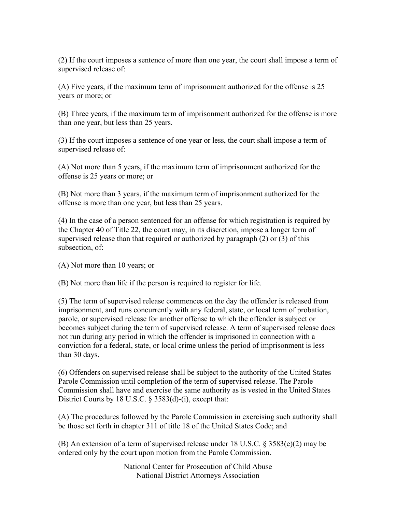(2) If the court imposes a sentence of more than one year, the court shall impose a term of supervised release of:

(A) Five years, if the maximum term of imprisonment authorized for the offense is 25 years or more; or

(B) Three years, if the maximum term of imprisonment authorized for the offense is more than one year, but less than 25 years.

(3) If the court imposes a sentence of one year or less, the court shall impose a term of supervised release of:

(A) Not more than 5 years, if the maximum term of imprisonment authorized for the offense is 25 years or more; or

(B) Not more than 3 years, if the maximum term of imprisonment authorized for the offense is more than one year, but less than 25 years.

(4) In the case of a person sentenced for an offense for which registration is required by the Chapter 40 of Title 22, the court may, in its discretion, impose a longer term of supervised release than that required or authorized by paragraph (2) or (3) of this subsection, of:

(A) Not more than 10 years; or

(B) Not more than life if the person is required to register for life.

(5) The term of supervised release commences on the day the offender is released from imprisonment, and runs concurrently with any federal, state, or local term of probation, parole, or supervised release for another offense to which the offender is subject or becomes subject during the term of supervised release. A term of supervised release does not run during any period in which the offender is imprisoned in connection with a conviction for a federal, state, or local crime unless the period of imprisonment is less than 30 days.

(6) Offenders on supervised release shall be subject to the authority of the United States Parole Commission until completion of the term of supervised release. The Parole Commission shall have and exercise the same authority as is vested in the United States District Courts by 18 U.S.C. § 3583(d)-(i), except that:

(A) The procedures followed by the Parole Commission in exercising such authority shall be those set forth in chapter 311 of title 18 of the United States Code; and

(B) An extension of a term of supervised release under 18 U.S.C. § 3583(e)(2) may be ordered only by the court upon motion from the Parole Commission.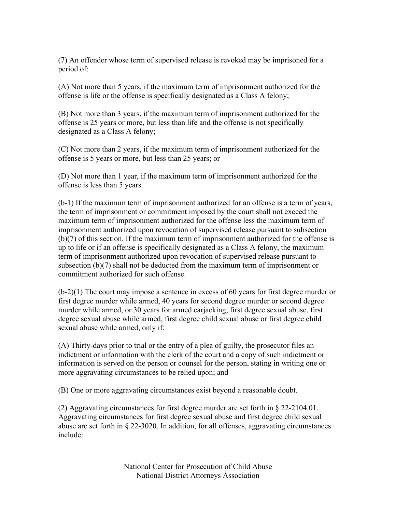(7) An offender whose term of supervised release is revoked may be imprisoned for a period of:

(A) Not more than 5 years, if the maximum term of imprisonment authorized for the offense is life or the offense is specifically designated as a Class A felony;

(B) Not more than 3 years, if the maximum term of imprisonment authorized for the offense is 25 years or more, but less than life and the offense is not specifically designated as a Class A felony;

(C) Not more than 2 years, if the maximum term of imprisonment authorized for the offense is 5 years or more, but less than 25 years; or

(D) Not more than 1 year, if the maximum term of imprisonment authorized for the offense is less than 5 years.

(b-1) If the maximum term of imprisonment authorized for an offense is a term of years, the term of imprisonment or commitment imposed by the court shall not exceed the maximum term of imprisonment authorized for the offense less the maximum term of imprisonment authorized upon revocation of supervised release pursuant to subsection (b)(7) of this section. If the maximum term of imprisonment authorized for the offense is up to life or if an offense is specifically designated as a Class A felony, the maximum term of imprisonment authorized upon revocation of supervised release pursuant to subsection (b)(7) shall not be deducted from the maximum term of imprisonment or commitment authorized for such offense.

(b-2)(1) The court may impose a sentence in excess of 60 years for first degree murder or first degree murder while armed, 40 years for second degree murder or second degree murder while armed, or 30 years for armed carjacking, first degree sexual abuse, first degree sexual abuse while armed, first degree child sexual abuse or first degree child sexual abuse while armed, only if:

(A) Thirty-days prior to trial or the entry of a plea of guilty, the prosecutor files an indictment or information with the clerk of the court and a copy of such indictment or information is served on the person or counsel for the person, stating in writing one or more aggravating circumstances to be relied upon; and

(B) One or more aggravating circumstances exist beyond a reasonable doubt.

(2) Aggravating circumstances for first degree murder are set forth in § 22-2104.01. Aggravating circumstances for first degree sexual abuse and first degree child sexual abuse are set forth in § 22-3020. In addition, for all offenses, aggravating circumstances include: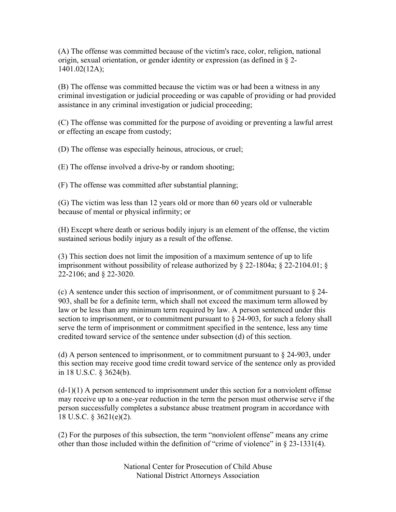(A) The offense was committed because of the victim's race, color, religion, national origin, sexual orientation, or gender identity or expression (as defined in § 2- 1401.02(12A);

(B) The offense was committed because the victim was or had been a witness in any criminal investigation or judicial proceeding or was capable of providing or had provided assistance in any criminal investigation or judicial proceeding;

(C) The offense was committed for the purpose of avoiding or preventing a lawful arrest or effecting an escape from custody;

(D) The offense was especially heinous, atrocious, or cruel;

(E) The offense involved a drive-by or random shooting;

(F) The offense was committed after substantial planning;

(G) The victim was less than 12 years old or more than 60 years old or vulnerable because of mental or physical infirmity; or

(H) Except where death or serious bodily injury is an element of the offense, the victim sustained serious bodily injury as a result of the offense.

(3) This section does not limit the imposition of a maximum sentence of up to life imprisonment without possibility of release authorized by § 22-1804a; § 22-2104.01; § 22-2106; and § 22-3020.

(c) A sentence under this section of imprisonment, or of commitment pursuant to  $\S$  24-903, shall be for a definite term, which shall not exceed the maximum term allowed by law or be less than any minimum term required by law. A person sentenced under this section to imprisonment, or to commitment pursuant to  $\S$  24-903, for such a felony shall serve the term of imprisonment or commitment specified in the sentence, less any time credited toward service of the sentence under subsection (d) of this section.

(d) A person sentenced to imprisonment, or to commitment pursuant to  $\S$  24-903, under this section may receive good time credit toward service of the sentence only as provided in 18 U.S.C. § 3624(b).

 $(d-1)(1)$  A person sentenced to imprisonment under this section for a nonviolent offense may receive up to a one-year reduction in the term the person must otherwise serve if the person successfully completes a substance abuse treatment program in accordance with 18 U.S.C. § 3621(e)(2).

(2) For the purposes of this subsection, the term "nonviolent offense" means any crime other than those included within the definition of "crime of violence" in § 23-1331(4).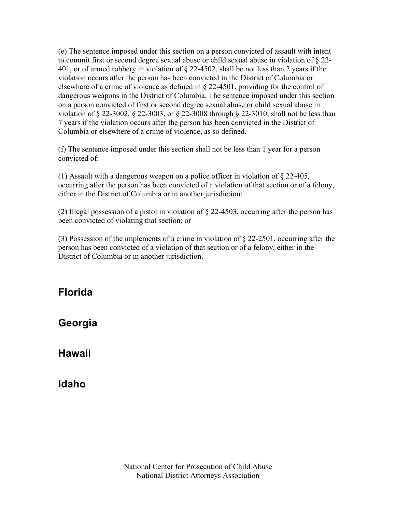(e) The sentence imposed under this section on a person convicted of assault with intent to commit first or second degree sexual abuse or child sexual abuse in violation of § 22- 401, or of armed robbery in violation of § 22-4502, shall be not less than 2 years if the violation occurs after the person has been convicted in the District of Columbia or elsewhere of a crime of violence as defined in § 22-4501, providing for the control of dangerous weapons in the District of Columbia. The sentence imposed under this section on a person convicted of first or second degree sexual abuse or child sexual abuse in violation of § 22-3002, § 22-3003, or § 22-3008 through § 22-3010, shall not be less than 7 years if the violation occurs after the person has been convicted in the District of Columbia or elsewhere of a crime of violence, as so defined.

(f) The sentence imposed under this section shall not be less than 1 year for a person convicted of:

(1) Assault with a dangerous weapon on a police officer in violation of § 22-405, occurring after the person has been convicted of a violation of that section or of a felony, either in the District of Columbia or in another jurisdiction;

(2) Illegal possession of a pistol in violation of § 22-4503, occurring after the person has been convicted of violating that section; or

(3) Possession of the implements of a crime in violation of § 22-2501, occurring after the person has been convicted of a violation of that section or of a felony, either in the District of Columbia or in another jurisdiction.

### **Florida**

**Georgia**

**Hawaii**

**Idaho**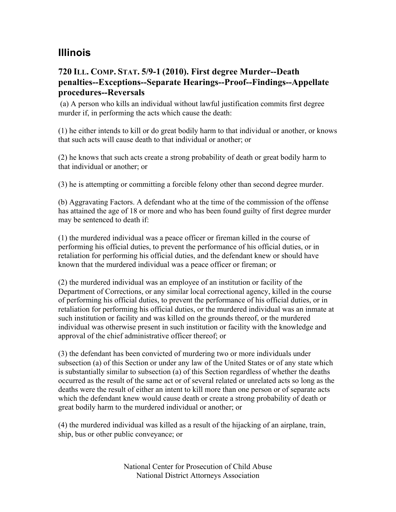## **Illinois**

#### **720 ILL. COMP. STAT. 5/9-1 (2010). First degree Murder--Death penalties--Exceptions--Separate Hearings--Proof--Findings--Appellate procedures--Reversals**

(a) A person who kills an individual without lawful justification commits first degree murder if, in performing the acts which cause the death:

(1) he either intends to kill or do great bodily harm to that individual or another, or knows that such acts will cause death to that individual or another; or

(2) he knows that such acts create a strong probability of death or great bodily harm to that individual or another; or

(3) he is attempting or committing a forcible felony other than second degree murder.

(b) Aggravating Factors. A defendant who at the time of the commission of the offense has attained the age of 18 or more and who has been found guilty of first degree murder may be sentenced to death if:

(1) the murdered individual was a peace officer or fireman killed in the course of performing his official duties, to prevent the performance of his official duties, or in retaliation for performing his official duties, and the defendant knew or should have known that the murdered individual was a peace officer or fireman; or

(2) the murdered individual was an employee of an institution or facility of the Department of Corrections, or any similar local correctional agency, killed in the course of performing his official duties, to prevent the performance of his official duties, or in retaliation for performing his official duties, or the murdered individual was an inmate at such institution or facility and was killed on the grounds thereof, or the murdered individual was otherwise present in such institution or facility with the knowledge and approval of the chief administrative officer thereof; or

(3) the defendant has been convicted of murdering two or more individuals under subsection (a) of this Section or under any law of the United States or of any state which is substantially similar to subsection (a) of this Section regardless of whether the deaths occurred as the result of the same act or of several related or unrelated acts so long as the deaths were the result of either an intent to kill more than one person or of separate acts which the defendant knew would cause death or create a strong probability of death or great bodily harm to the murdered individual or another; or

(4) the murdered individual was killed as a result of the hijacking of an airplane, train, ship, bus or other public conveyance; or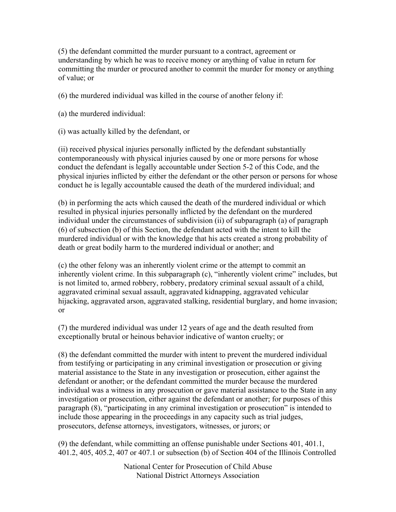(5) the defendant committed the murder pursuant to a contract, agreement or understanding by which he was to receive money or anything of value in return for committing the murder or procured another to commit the murder for money or anything of value; or

(6) the murdered individual was killed in the course of another felony if:

(a) the murdered individual:

(i) was actually killed by the defendant, or

(ii) received physical injuries personally inflicted by the defendant substantially contemporaneously with physical injuries caused by one or more persons for whose conduct the defendant is legally accountable under Section 5-2 of this Code, and the physical injuries inflicted by either the defendant or the other person or persons for whose conduct he is legally accountable caused the death of the murdered individual; and

(b) in performing the acts which caused the death of the murdered individual or which resulted in physical injuries personally inflicted by the defendant on the murdered individual under the circumstances of subdivision (ii) of subparagraph (a) of paragraph (6) of subsection (b) of this Section, the defendant acted with the intent to kill the murdered individual or with the knowledge that his acts created a strong probability of death or great bodily harm to the murdered individual or another; and

(c) the other felony was an inherently violent crime or the attempt to commit an inherently violent crime. In this subparagraph (c), "inherently violent crime" includes, but is not limited to, armed robbery, robbery, predatory criminal sexual assault of a child, aggravated criminal sexual assault, aggravated kidnapping, aggravated vehicular hijacking, aggravated arson, aggravated stalking, residential burglary, and home invasion; or

(7) the murdered individual was under 12 years of age and the death resulted from exceptionally brutal or heinous behavior indicative of wanton cruelty; or

(8) the defendant committed the murder with intent to prevent the murdered individual from testifying or participating in any criminal investigation or prosecution or giving material assistance to the State in any investigation or prosecution, either against the defendant or another; or the defendant committed the murder because the murdered individual was a witness in any prosecution or gave material assistance to the State in any investigation or prosecution, either against the defendant or another; for purposes of this paragraph (8), "participating in any criminal investigation or prosecution" is intended to include those appearing in the proceedings in any capacity such as trial judges, prosecutors, defense attorneys, investigators, witnesses, or jurors; or

(9) the defendant, while committing an offense punishable under Sections 401, 401.1, 401.2, 405, 405.2, 407 or 407.1 or subsection (b) of Section 404 of the Illinois Controlled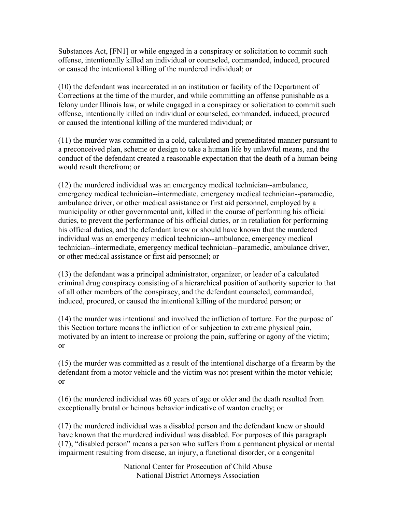Substances Act, [FN1] or while engaged in a conspiracy or solicitation to commit such offense, intentionally killed an individual or counseled, commanded, induced, procured or caused the intentional killing of the murdered individual; or

(10) the defendant was incarcerated in an institution or facility of the Department of Corrections at the time of the murder, and while committing an offense punishable as a felony under Illinois law, or while engaged in a conspiracy or solicitation to commit such offense, intentionally killed an individual or counseled, commanded, induced, procured or caused the intentional killing of the murdered individual; or

(11) the murder was committed in a cold, calculated and premeditated manner pursuant to a preconceived plan, scheme or design to take a human life by unlawful means, and the conduct of the defendant created a reasonable expectation that the death of a human being would result therefrom; or

(12) the murdered individual was an emergency medical technician--ambulance, emergency medical technician--intermediate, emergency medical technician--paramedic, ambulance driver, or other medical assistance or first aid personnel, employed by a municipality or other governmental unit, killed in the course of performing his official duties, to prevent the performance of his official duties, or in retaliation for performing his official duties, and the defendant knew or should have known that the murdered individual was an emergency medical technician--ambulance, emergency medical technician--intermediate, emergency medical technician--paramedic, ambulance driver, or other medical assistance or first aid personnel; or

(13) the defendant was a principal administrator, organizer, or leader of a calculated criminal drug conspiracy consisting of a hierarchical position of authority superior to that of all other members of the conspiracy, and the defendant counseled, commanded, induced, procured, or caused the intentional killing of the murdered person; or

(14) the murder was intentional and involved the infliction of torture. For the purpose of this Section torture means the infliction of or subjection to extreme physical pain, motivated by an intent to increase or prolong the pain, suffering or agony of the victim; or

(15) the murder was committed as a result of the intentional discharge of a firearm by the defendant from a motor vehicle and the victim was not present within the motor vehicle; or

(16) the murdered individual was 60 years of age or older and the death resulted from exceptionally brutal or heinous behavior indicative of wanton cruelty; or

(17) the murdered individual was a disabled person and the defendant knew or should have known that the murdered individual was disabled. For purposes of this paragraph (17), "disabled person" means a person who suffers from a permanent physical or mental impairment resulting from disease, an injury, a functional disorder, or a congenital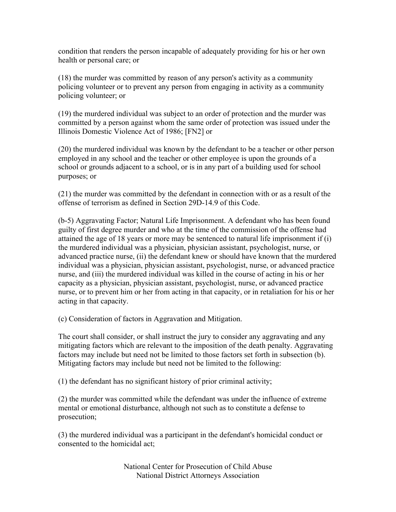condition that renders the person incapable of adequately providing for his or her own health or personal care; or

(18) the murder was committed by reason of any person's activity as a community policing volunteer or to prevent any person from engaging in activity as a community policing volunteer; or

(19) the murdered individual was subject to an order of protection and the murder was committed by a person against whom the same order of protection was issued under the Illinois Domestic Violence Act of 1986; [FN2] or

(20) the murdered individual was known by the defendant to be a teacher or other person employed in any school and the teacher or other employee is upon the grounds of a school or grounds adjacent to a school, or is in any part of a building used for school purposes; or

(21) the murder was committed by the defendant in connection with or as a result of the offense of terrorism as defined in Section 29D-14.9 of this Code.

(b-5) Aggravating Factor; Natural Life Imprisonment. A defendant who has been found guilty of first degree murder and who at the time of the commission of the offense had attained the age of 18 years or more may be sentenced to natural life imprisonment if (i) the murdered individual was a physician, physician assistant, psychologist, nurse, or advanced practice nurse, (ii) the defendant knew or should have known that the murdered individual was a physician, physician assistant, psychologist, nurse, or advanced practice nurse, and (iii) the murdered individual was killed in the course of acting in his or her capacity as a physician, physician assistant, psychologist, nurse, or advanced practice nurse, or to prevent him or her from acting in that capacity, or in retaliation for his or her acting in that capacity.

(c) Consideration of factors in Aggravation and Mitigation.

The court shall consider, or shall instruct the jury to consider any aggravating and any mitigating factors which are relevant to the imposition of the death penalty. Aggravating factors may include but need not be limited to those factors set forth in subsection (b). Mitigating factors may include but need not be limited to the following:

(1) the defendant has no significant history of prior criminal activity;

(2) the murder was committed while the defendant was under the influence of extreme mental or emotional disturbance, although not such as to constitute a defense to prosecution;

(3) the murdered individual was a participant in the defendant's homicidal conduct or consented to the homicidal act;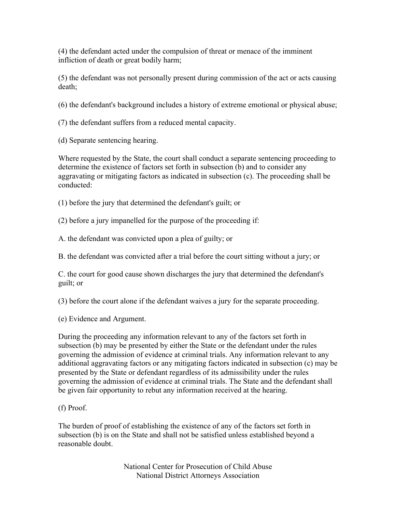(4) the defendant acted under the compulsion of threat or menace of the imminent infliction of death or great bodily harm;

(5) the defendant was not personally present during commission of the act or acts causing death;

(6) the defendant's background includes a history of extreme emotional or physical abuse;

(7) the defendant suffers from a reduced mental capacity.

(d) Separate sentencing hearing.

Where requested by the State, the court shall conduct a separate sentencing proceeding to determine the existence of factors set forth in subsection (b) and to consider any aggravating or mitigating factors as indicated in subsection (c). The proceeding shall be conducted:

(1) before the jury that determined the defendant's guilt; or

(2) before a jury impanelled for the purpose of the proceeding if:

A. the defendant was convicted upon a plea of guilty; or

B. the defendant was convicted after a trial before the court sitting without a jury; or

C. the court for good cause shown discharges the jury that determined the defendant's guilt; or

(3) before the court alone if the defendant waives a jury for the separate proceeding.

(e) Evidence and Argument.

During the proceeding any information relevant to any of the factors set forth in subsection (b) may be presented by either the State or the defendant under the rules governing the admission of evidence at criminal trials. Any information relevant to any additional aggravating factors or any mitigating factors indicated in subsection (c) may be presented by the State or defendant regardless of its admissibility under the rules governing the admission of evidence at criminal trials. The State and the defendant shall be given fair opportunity to rebut any information received at the hearing.

(f) Proof.

The burden of proof of establishing the existence of any of the factors set forth in subsection (b) is on the State and shall not be satisfied unless established beyond a reasonable doubt.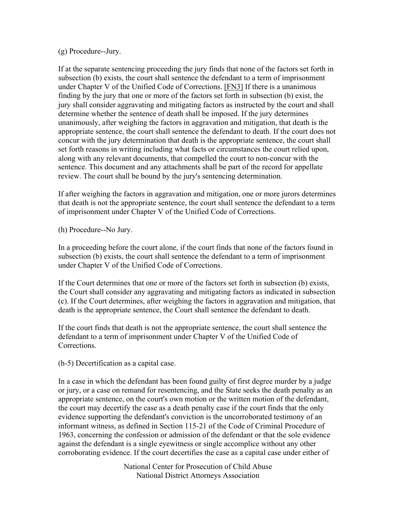#### (g) Procedure--Jury.

If at the separate sentencing proceeding the jury finds that none of the factors set forth in subsection (b) exists, the court shall sentence the defendant to a term of imprisonment under Chapter V of the Unified Code of Corrections. [FN3] If there is a unanimous finding by the jury that one or more of the factors set forth in subsection (b) exist, the jury shall consider aggravating and mitigating factors as instructed by the court and shall determine whether the sentence of death shall be imposed. If the jury determines unanimously, after weighing the factors in aggravation and mitigation, that death is the appropriate sentence, the court shall sentence the defendant to death. If the court does not concur with the jury determination that death is the appropriate sentence, the court shall set forth reasons in writing including what facts or circumstances the court relied upon, along with any relevant documents, that compelled the court to non-concur with the sentence. This document and any attachments shall be part of the record for appellate review. The court shall be bound by the jury's sentencing determination.

If after weighing the factors in aggravation and mitigation, one or more jurors determines that death is not the appropriate sentence, the court shall sentence the defendant to a term of imprisonment under Chapter V of the Unified Code of Corrections.

(h) Procedure--No Jury.

In a proceeding before the court alone, if the court finds that none of the factors found in subsection (b) exists, the court shall sentence the defendant to a term of imprisonment under Chapter V of the Unified Code of Corrections.

If the Court determines that one or more of the factors set forth in subsection (b) exists, the Court shall consider any aggravating and mitigating factors as indicated in subsection (c). If the Court determines, after weighing the factors in aggravation and mitigation, that death is the appropriate sentence, the Court shall sentence the defendant to death.

If the court finds that death is not the appropriate sentence, the court shall sentence the defendant to a term of imprisonment under Chapter V of the Unified Code of Corrections.

(h-5) Decertification as a capital case.

In a case in which the defendant has been found guilty of first degree murder by a judge or jury, or a case on remand for resentencing, and the State seeks the death penalty as an appropriate sentence, on the court's own motion or the written motion of the defendant, the court may decertify the case as a death penalty case if the court finds that the only evidence supporting the defendant's conviction is the uncorroborated testimony of an informant witness, as defined in Section 115-21 of the Code of Criminal Procedure of 1963, concerning the confession or admission of the defendant or that the sole evidence against the defendant is a single eyewitness or single accomplice without any other corroborating evidence. If the court decertifies the case as a capital case under either of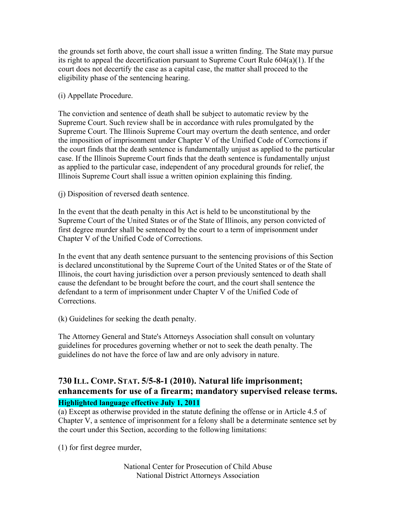the grounds set forth above, the court shall issue a written finding. The State may pursue its right to appeal the decertification pursuant to Supreme Court Rule 604(a)(1). If the court does not decertify the case as a capital case, the matter shall proceed to the eligibility phase of the sentencing hearing.

(i) Appellate Procedure.

The conviction and sentence of death shall be subject to automatic review by the Supreme Court. Such review shall be in accordance with rules promulgated by the Supreme Court. The Illinois Supreme Court may overturn the death sentence, and order the imposition of imprisonment under Chapter V of the Unified Code of Corrections if the court finds that the death sentence is fundamentally unjust as applied to the particular case. If the Illinois Supreme Court finds that the death sentence is fundamentally unjust as applied to the particular case, independent of any procedural grounds for relief, the Illinois Supreme Court shall issue a written opinion explaining this finding.

(j) Disposition of reversed death sentence.

In the event that the death penalty in this Act is held to be unconstitutional by the Supreme Court of the United States or of the State of Illinois, any person convicted of first degree murder shall be sentenced by the court to a term of imprisonment under Chapter V of the Unified Code of Corrections.

In the event that any death sentence pursuant to the sentencing provisions of this Section is declared unconstitutional by the Supreme Court of the United States or of the State of Illinois, the court having jurisdiction over a person previously sentenced to death shall cause the defendant to be brought before the court, and the court shall sentence the defendant to a term of imprisonment under Chapter V of the Unified Code of **Corrections** 

(k) Guidelines for seeking the death penalty.

The Attorney General and State's Attorneys Association shall consult on voluntary guidelines for procedures governing whether or not to seek the death penalty. The guidelines do not have the force of law and are only advisory in nature.

# **730 ILL. COMP. STAT. 5/5-8-1 (2010). Natural life imprisonment; enhancements for use of a firearm; mandatory supervised release terms.**

### **Highlighted language effective July 1, 2011**

(a) Except as otherwise provided in the statute defining the offense or in Article 4.5 of Chapter V, a sentence of imprisonment for a felony shall be a determinate sentence set by the court under this Section, according to the following limitations:

(1) for first degree murder,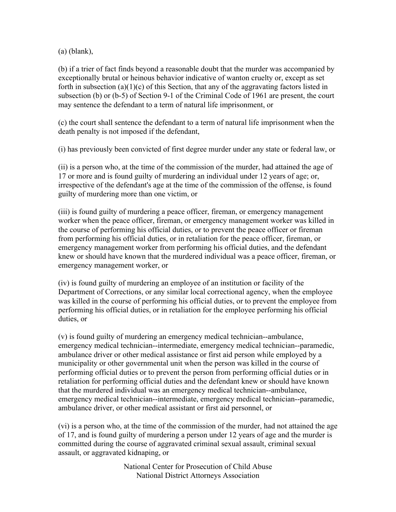(a) (blank),

(b) if a trier of fact finds beyond a reasonable doubt that the murder was accompanied by exceptionally brutal or heinous behavior indicative of wanton cruelty or, except as set forth in subsection (a)(1)(c) of this Section, that any of the aggravating factors listed in subsection (b) or (b-5) of Section 9-1 of the Criminal Code of 1961 are present, the court may sentence the defendant to a term of natural life imprisonment, or

(c) the court shall sentence the defendant to a term of natural life imprisonment when the death penalty is not imposed if the defendant,

(i) has previously been convicted of first degree murder under any state or federal law, or

(ii) is a person who, at the time of the commission of the murder, had attained the age of 17 or more and is found guilty of murdering an individual under 12 years of age; or, irrespective of the defendant's age at the time of the commission of the offense, is found guilty of murdering more than one victim, or

(iii) is found guilty of murdering a peace officer, fireman, or emergency management worker when the peace officer, fireman, or emergency management worker was killed in the course of performing his official duties, or to prevent the peace officer or fireman from performing his official duties, or in retaliation for the peace officer, fireman, or emergency management worker from performing his official duties, and the defendant knew or should have known that the murdered individual was a peace officer, fireman, or emergency management worker, or

(iv) is found guilty of murdering an employee of an institution or facility of the Department of Corrections, or any similar local correctional agency, when the employee was killed in the course of performing his official duties, or to prevent the employee from performing his official duties, or in retaliation for the employee performing his official duties, or

(v) is found guilty of murdering an emergency medical technician--ambulance, emergency medical technician--intermediate, emergency medical technician--paramedic, ambulance driver or other medical assistance or first aid person while employed by a municipality or other governmental unit when the person was killed in the course of performing official duties or to prevent the person from performing official duties or in retaliation for performing official duties and the defendant knew or should have known that the murdered individual was an emergency medical technician--ambulance, emergency medical technician--intermediate, emergency medical technician--paramedic, ambulance driver, or other medical assistant or first aid personnel, or

(vi) is a person who, at the time of the commission of the murder, had not attained the age of 17, and is found guilty of murdering a person under 12 years of age and the murder is committed during the course of aggravated criminal sexual assault, criminal sexual assault, or aggravated kidnaping, or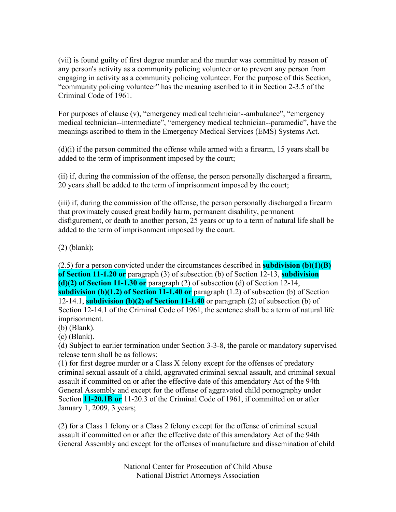(vii) is found guilty of first degree murder and the murder was committed by reason of any person's activity as a community policing volunteer or to prevent any person from engaging in activity as a community policing volunteer. For the purpose of this Section, "community policing volunteer" has the meaning ascribed to it in Section 2-3.5 of the Criminal Code of 1961.

For purposes of clause (v), "emergency medical technician--ambulance", "emergency medical technician--intermediate", "emergency medical technician--paramedic", have the meanings ascribed to them in the Emergency Medical Services (EMS) Systems Act.

(d)(i) if the person committed the offense while armed with a firearm, 15 years shall be added to the term of imprisonment imposed by the court;

(ii) if, during the commission of the offense, the person personally discharged a firearm, 20 years shall be added to the term of imprisonment imposed by the court;

(iii) if, during the commission of the offense, the person personally discharged a firearm that proximately caused great bodily harm, permanent disability, permanent disfigurement, or death to another person, 25 years or up to a term of natural life shall be added to the term of imprisonment imposed by the court.

(2) (blank);

(2.5) for a person convicted under the circumstances described in **subdivision (b)(1)(B) of Section 11-1.20 or** paragraph (3) of subsection (b) of Section 12-13, **subdivision (d)(2) of Section 11-1.30 or** paragraph (2) of subsection (d) of Section 12-14, **subdivision (b)(1.2) of Section 11-1.40 or** paragraph (1.2) of subsection (b) of Section 12-14.1, **subdivision (b)(2) of Section 11-1.40** or paragraph (2) of subsection (b) of Section 12-14.1 of the Criminal Code of 1961, the sentence shall be a term of natural life imprisonment.

(b) (Blank).

(c) (Blank).

(d) Subject to earlier termination under Section 3-3-8, the parole or mandatory supervised release term shall be as follows:

(1) for first degree murder or a Class X felony except for the offenses of predatory criminal sexual assault of a child, aggravated criminal sexual assault, and criminal sexual assault if committed on or after the effective date of this amendatory Act of the 94th General Assembly and except for the offense of aggravated child pornography under Section **11-20.1B or** 11-20.3 of the Criminal Code of 1961, if committed on or after January 1, 2009, 3 years;

(2) for a Class 1 felony or a Class 2 felony except for the offense of criminal sexual assault if committed on or after the effective date of this amendatory Act of the 94th General Assembly and except for the offenses of manufacture and dissemination of child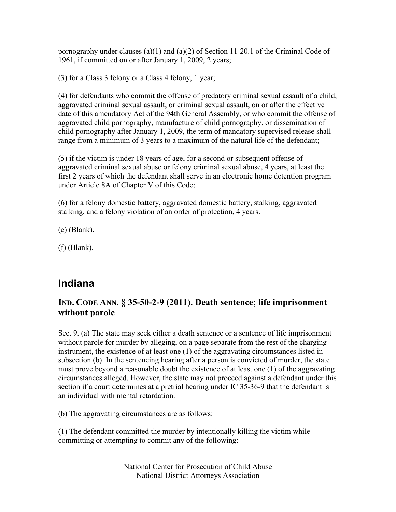pornography under clauses (a)(1) and (a)(2) of Section 11-20.1 of the Criminal Code of 1961, if committed on or after January 1, 2009, 2 years;

(3) for a Class 3 felony or a Class 4 felony, 1 year;

(4) for defendants who commit the offense of predatory criminal sexual assault of a child, aggravated criminal sexual assault, or criminal sexual assault, on or after the effective date of this amendatory Act of the 94th General Assembly, or who commit the offense of aggravated child pornography, manufacture of child pornography, or dissemination of child pornography after January 1, 2009, the term of mandatory supervised release shall range from a minimum of 3 years to a maximum of the natural life of the defendant;

(5) if the victim is under 18 years of age, for a second or subsequent offense of aggravated criminal sexual abuse or felony criminal sexual abuse, 4 years, at least the first 2 years of which the defendant shall serve in an electronic home detention program under Article 8A of Chapter V of this Code;

(6) for a felony domestic battery, aggravated domestic battery, stalking, aggravated stalking, and a felony violation of an order of protection, 4 years.

(e) (Blank).

(f) (Blank).

### **Indiana**

#### **IND. CODE ANN. § 35-50-2-9 (2011). Death sentence; life imprisonment without parole**

Sec. 9. (a) The state may seek either a death sentence or a sentence of life imprisonment without parole for murder by alleging, on a page separate from the rest of the charging instrument, the existence of at least one (1) of the aggravating circumstances listed in subsection (b). In the sentencing hearing after a person is convicted of murder, the state must prove beyond a reasonable doubt the existence of at least one (1) of the aggravating circumstances alleged. However, the state may not proceed against a defendant under this section if a court determines at a pretrial hearing under IC 35-36-9 that the defendant is an individual with mental retardation.

(b) The aggravating circumstances are as follows:

(1) The defendant committed the murder by intentionally killing the victim while committing or attempting to commit any of the following: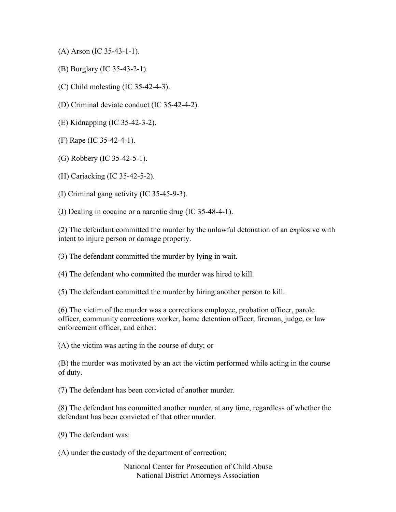(A) Arson (IC 35-43-1-1).

- (B) Burglary (IC 35-43-2-1).
- (C) Child molesting (IC 35-42-4-3).
- (D) Criminal deviate conduct (IC 35-42-4-2).
- (E) Kidnapping (IC 35-42-3-2).
- (F) Rape (IC 35-42-4-1).
- (G) Robbery (IC 35-42-5-1).
- (H) Carjacking (IC 35-42-5-2).
- (I) Criminal gang activity (IC 35-45-9-3).
- (J) Dealing in cocaine or a narcotic drug (IC 35-48-4-1).

(2) The defendant committed the murder by the unlawful detonation of an explosive with intent to injure person or damage property.

(3) The defendant committed the murder by lying in wait.

(4) The defendant who committed the murder was hired to kill.

(5) The defendant committed the murder by hiring another person to kill.

(6) The victim of the murder was a corrections employee, probation officer, parole officer, community corrections worker, home detention officer, fireman, judge, or law enforcement officer, and either:

(A) the victim was acting in the course of duty; or

(B) the murder was motivated by an act the victim performed while acting in the course of duty.

(7) The defendant has been convicted of another murder.

(8) The defendant has committed another murder, at any time, regardless of whether the defendant has been convicted of that other murder.

(9) The defendant was:

(A) under the custody of the department of correction;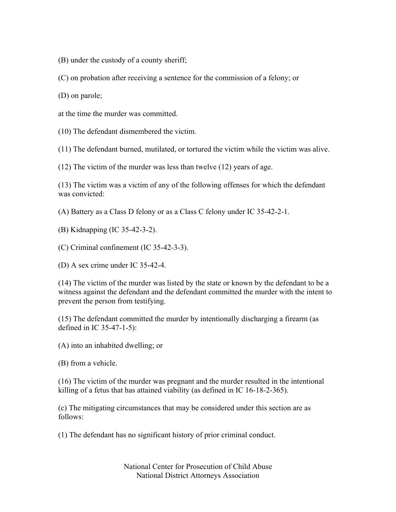(B) under the custody of a county sheriff;

(C) on probation after receiving a sentence for the commission of a felony; or

(D) on parole;

at the time the murder was committed.

(10) The defendant dismembered the victim.

(11) The defendant burned, mutilated, or tortured the victim while the victim was alive.

(12) The victim of the murder was less than twelve (12) years of age.

(13) The victim was a victim of any of the following offenses for which the defendant was convicted:

(A) Battery as a Class D felony or as a Class C felony under IC 35-42-2-1.

(B) Kidnapping (IC 35-42-3-2).

(C) Criminal confinement (IC 35-42-3-3).

(D) A sex crime under IC 35-42-4.

(14) The victim of the murder was listed by the state or known by the defendant to be a witness against the defendant and the defendant committed the murder with the intent to prevent the person from testifying.

(15) The defendant committed the murder by intentionally discharging a firearm (as defined in IC 35-47-1-5):

(A) into an inhabited dwelling; or

(B) from a vehicle.

(16) The victim of the murder was pregnant and the murder resulted in the intentional killing of a fetus that has attained viability (as defined in IC 16-18-2-365).

(c) The mitigating circumstances that may be considered under this section are as follows:

(1) The defendant has no significant history of prior criminal conduct.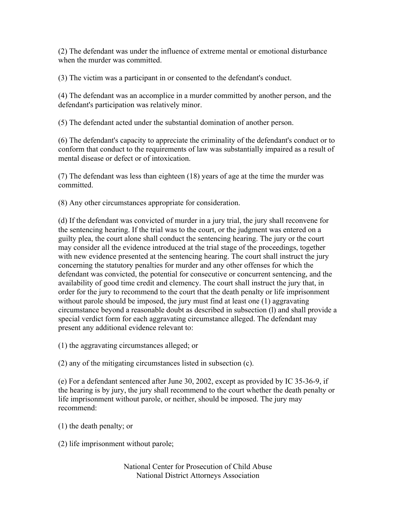(2) The defendant was under the influence of extreme mental or emotional disturbance when the murder was committed.

(3) The victim was a participant in or consented to the defendant's conduct.

(4) The defendant was an accomplice in a murder committed by another person, and the defendant's participation was relatively minor.

(5) The defendant acted under the substantial domination of another person.

(6) The defendant's capacity to appreciate the criminality of the defendant's conduct or to conform that conduct to the requirements of law was substantially impaired as a result of mental disease or defect or of intoxication.

(7) The defendant was less than eighteen (18) years of age at the time the murder was committed.

(8) Any other circumstances appropriate for consideration.

(d) If the defendant was convicted of murder in a jury trial, the jury shall reconvene for the sentencing hearing. If the trial was to the court, or the judgment was entered on a guilty plea, the court alone shall conduct the sentencing hearing. The jury or the court may consider all the evidence introduced at the trial stage of the proceedings, together with new evidence presented at the sentencing hearing. The court shall instruct the jury concerning the statutory penalties for murder and any other offenses for which the defendant was convicted, the potential for consecutive or concurrent sentencing, and the availability of good time credit and clemency. The court shall instruct the jury that, in order for the jury to recommend to the court that the death penalty or life imprisonment without parole should be imposed, the jury must find at least one (1) aggravating circumstance beyond a reasonable doubt as described in subsection (l) and shall provide a special verdict form for each aggravating circumstance alleged. The defendant may present any additional evidence relevant to:

(1) the aggravating circumstances alleged; or

(2) any of the mitigating circumstances listed in subsection (c).

(e) For a defendant sentenced after June 30, 2002, except as provided by IC 35-36-9, if the hearing is by jury, the jury shall recommend to the court whether the death penalty or life imprisonment without parole, or neither, should be imposed. The jury may recommend:

(1) the death penalty; or

(2) life imprisonment without parole;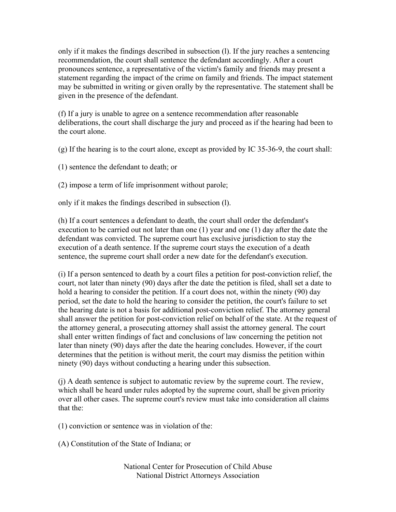only if it makes the findings described in subsection (l). If the jury reaches a sentencing recommendation, the court shall sentence the defendant accordingly. After a court pronounces sentence, a representative of the victim's family and friends may present a statement regarding the impact of the crime on family and friends. The impact statement may be submitted in writing or given orally by the representative. The statement shall be given in the presence of the defendant.

(f) If a jury is unable to agree on a sentence recommendation after reasonable deliberations, the court shall discharge the jury and proceed as if the hearing had been to the court alone.

(g) If the hearing is to the court alone, except as provided by IC 35-36-9, the court shall:

(1) sentence the defendant to death; or

(2) impose a term of life imprisonment without parole;

only if it makes the findings described in subsection (l).

(h) If a court sentences a defendant to death, the court shall order the defendant's execution to be carried out not later than one (1) year and one (1) day after the date the defendant was convicted. The supreme court has exclusive jurisdiction to stay the execution of a death sentence. If the supreme court stays the execution of a death sentence, the supreme court shall order a new date for the defendant's execution.

(i) If a person sentenced to death by a court files a petition for post-conviction relief, the court, not later than ninety (90) days after the date the petition is filed, shall set a date to hold a hearing to consider the petition. If a court does not, within the ninety (90) day period, set the date to hold the hearing to consider the petition, the court's failure to set the hearing date is not a basis for additional post-conviction relief. The attorney general shall answer the petition for post-conviction relief on behalf of the state. At the request of the attorney general, a prosecuting attorney shall assist the attorney general. The court shall enter written findings of fact and conclusions of law concerning the petition not later than ninety (90) days after the date the hearing concludes. However, if the court determines that the petition is without merit, the court may dismiss the petition within ninety (90) days without conducting a hearing under this subsection.

(j) A death sentence is subject to automatic review by the supreme court. The review, which shall be heard under rules adopted by the supreme court, shall be given priority over all other cases. The supreme court's review must take into consideration all claims that the:

(1) conviction or sentence was in violation of the:

(A) Constitution of the State of Indiana; or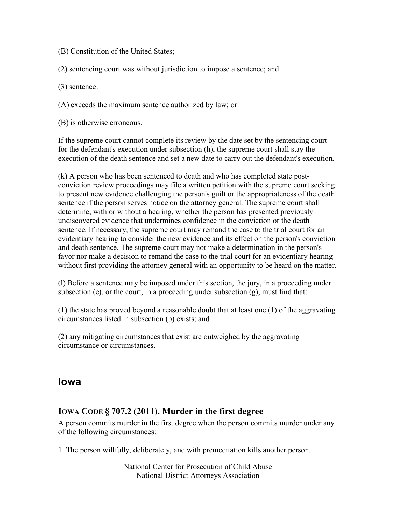- (B) Constitution of the United States;
- (2) sentencing court was without jurisdiction to impose a sentence; and
- (3) sentence:
- (A) exceeds the maximum sentence authorized by law; or

(B) is otherwise erroneous.

If the supreme court cannot complete its review by the date set by the sentencing court for the defendant's execution under subsection (h), the supreme court shall stay the execution of the death sentence and set a new date to carry out the defendant's execution.

(k) A person who has been sentenced to death and who has completed state postconviction review proceedings may file a written petition with the supreme court seeking to present new evidence challenging the person's guilt or the appropriateness of the death sentence if the person serves notice on the attorney general. The supreme court shall determine, with or without a hearing, whether the person has presented previously undiscovered evidence that undermines confidence in the conviction or the death sentence. If necessary, the supreme court may remand the case to the trial court for an evidentiary hearing to consider the new evidence and its effect on the person's conviction and death sentence. The supreme court may not make a determination in the person's favor nor make a decision to remand the case to the trial court for an evidentiary hearing without first providing the attorney general with an opportunity to be heard on the matter.

(l) Before a sentence may be imposed under this section, the jury, in a proceeding under subsection (e), or the court, in a proceeding under subsection  $(g)$ , must find that:

 $(1)$  the state has proved beyond a reasonable doubt that at least one  $(1)$  of the aggravating circumstances listed in subsection (b) exists; and

(2) any mitigating circumstances that exist are outweighed by the aggravating circumstance or circumstances.

### **Iowa**

#### **IOWA CODE § 707.2 (2011). Murder in the first degree**

A person commits murder in the first degree when the person commits murder under any of the following circumstances:

1. The person willfully, deliberately, and with premeditation kills another person.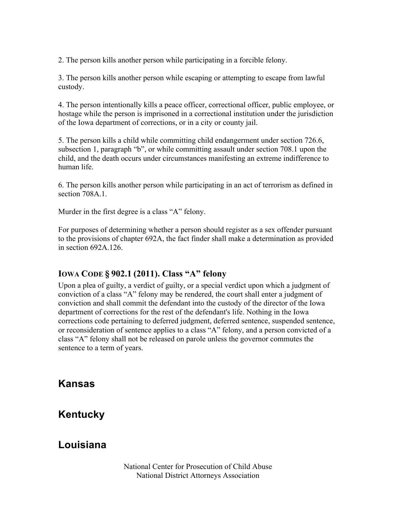2. The person kills another person while participating in a forcible felony.

3. The person kills another person while escaping or attempting to escape from lawful custody.

4. The person intentionally kills a peace officer, correctional officer, public employee, or hostage while the person is imprisoned in a correctional institution under the jurisdiction of the Iowa department of corrections, or in a city or county jail.

5. The person kills a child while committing child endangerment under section 726.6, subsection 1, paragraph "b", or while committing assault under section 708.1 upon the child, and the death occurs under circumstances manifesting an extreme indifference to human life.

6. The person kills another person while participating in an act of terrorism as defined in section 708A.1.

Murder in the first degree is a class "A" felony.

For purposes of determining whether a person should register as a sex offender pursuant to the provisions of chapter 692A, the fact finder shall make a determination as provided in section 692A.126.

#### **IOWA CODE § 902.1 (2011). Class "A" felony**

Upon a plea of guilty, a verdict of guilty, or a special verdict upon which a judgment of conviction of a class "A" felony may be rendered, the court shall enter a judgment of conviction and shall commit the defendant into the custody of the director of the Iowa department of corrections for the rest of the defendant's life. Nothing in the Iowa corrections code pertaining to deferred judgment, deferred sentence, suspended sentence, or reconsideration of sentence applies to a class "A" felony, and a person convicted of a class "A" felony shall not be released on parole unless the governor commutes the sentence to a term of years.

### **Kansas**

### **Kentucky**

### **Louisiana**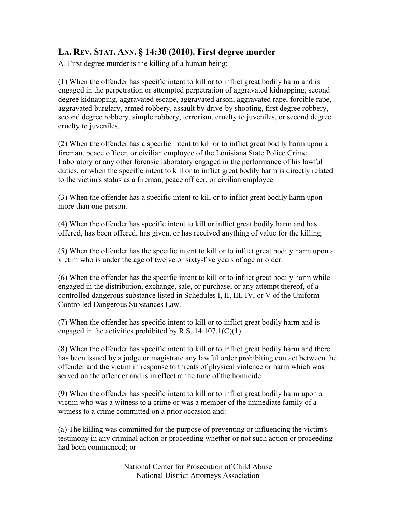#### **LA. REV. STAT. ANN. § 14:30 (2010). First degree murder**

A. First degree murder is the killing of a human being:

(1) When the offender has specific intent to kill or to inflict great bodily harm and is engaged in the perpetration or attempted perpetration of aggravated kidnapping, second degree kidnapping, aggravated escape, aggravated arson, aggravated rape, forcible rape, aggravated burglary, armed robbery, assault by drive-by shooting, first degree robbery, second degree robbery, simple robbery, terrorism, cruelty to juveniles, or second degree cruelty to juveniles.

(2) When the offender has a specific intent to kill or to inflict great bodily harm upon a fireman, peace officer, or civilian employee of the Louisiana State Police Crime Laboratory or any other forensic laboratory engaged in the performance of his lawful duties, or when the specific intent to kill or to inflict great bodily harm is directly related to the victim's status as a fireman, peace officer, or civilian employee.

(3) When the offender has a specific intent to kill or to inflict great bodily harm upon more than one person.

(4) When the offender has specific intent to kill or inflict great bodily harm and has offered, has been offered, has given, or has received anything of value for the killing.

(5) When the offender has the specific intent to kill or to inflict great bodily harm upon a victim who is under the age of twelve or sixty-five years of age or older.

(6) When the offender has the specific intent to kill or to inflict great bodily harm while engaged in the distribution, exchange, sale, or purchase, or any attempt thereof, of a controlled dangerous substance listed in Schedules I, II, III, IV, or V of the Uniform Controlled Dangerous Substances Law.

(7) When the offender has specific intent to kill or to inflict great bodily harm and is engaged in the activities prohibited by R.S. 14:107.1(C)(1).

(8) When the offender has specific intent to kill or to inflict great bodily harm and there has been issued by a judge or magistrate any lawful order prohibiting contact between the offender and the victim in response to threats of physical violence or harm which was served on the offender and is in effect at the time of the homicide.

(9) When the offender has specific intent to kill or to inflict great bodily harm upon a victim who was a witness to a crime or was a member of the immediate family of a witness to a crime committed on a prior occasion and:

(a) The killing was committed for the purpose of preventing or influencing the victim's testimony in any criminal action or proceeding whether or not such action or proceeding had been commenced; or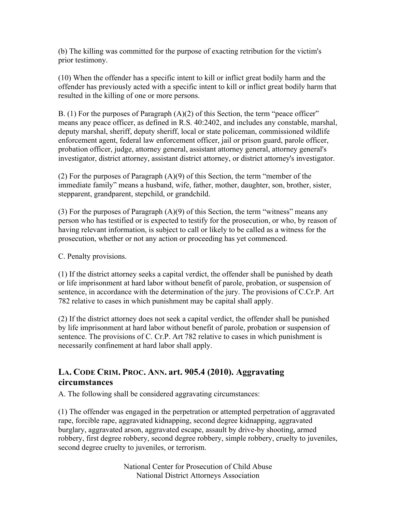(b) The killing was committed for the purpose of exacting retribution for the victim's prior testimony.

(10) When the offender has a specific intent to kill or inflict great bodily harm and the offender has previously acted with a specific intent to kill or inflict great bodily harm that resulted in the killing of one or more persons.

B. (1) For the purposes of Paragraph (A)(2) of this Section, the term "peace officer" means any peace officer, as defined in R.S. 40:2402, and includes any constable, marshal, deputy marshal, sheriff, deputy sheriff, local or state policeman, commissioned wildlife enforcement agent, federal law enforcement officer, jail or prison guard, parole officer, probation officer, judge, attorney general, assistant attorney general, attorney general's investigator, district attorney, assistant district attorney, or district attorney's investigator.

(2) For the purposes of Paragraph (A)(9) of this Section, the term "member of the immediate family" means a husband, wife, father, mother, daughter, son, brother, sister, stepparent, grandparent, stepchild, or grandchild.

(3) For the purposes of Paragraph (A)(9) of this Section, the term "witness" means any person who has testified or is expected to testify for the prosecution, or who, by reason of having relevant information, is subject to call or likely to be called as a witness for the prosecution, whether or not any action or proceeding has yet commenced.

C. Penalty provisions.

(1) If the district attorney seeks a capital verdict, the offender shall be punished by death or life imprisonment at hard labor without benefit of parole, probation, or suspension of sentence, in accordance with the determination of the jury. The provisions of C.Cr.P. Art 782 relative to cases in which punishment may be capital shall apply.

(2) If the district attorney does not seek a capital verdict, the offender shall be punished by life imprisonment at hard labor without benefit of parole, probation or suspension of sentence. The provisions of C. Cr.P. Art 782 relative to cases in which punishment is necessarily confinement at hard labor shall apply.

#### **LA. CODE CRIM. PROC. ANN. art. 905.4 (2010). Aggravating circumstances**

A. The following shall be considered aggravating circumstances:

(1) The offender was engaged in the perpetration or attempted perpetration of aggravated rape, forcible rape, aggravated kidnapping, second degree kidnapping, aggravated burglary, aggravated arson, aggravated escape, assault by drive-by shooting, armed robbery, first degree robbery, second degree robbery, simple robbery, cruelty to juveniles, second degree cruelty to juveniles, or terrorism.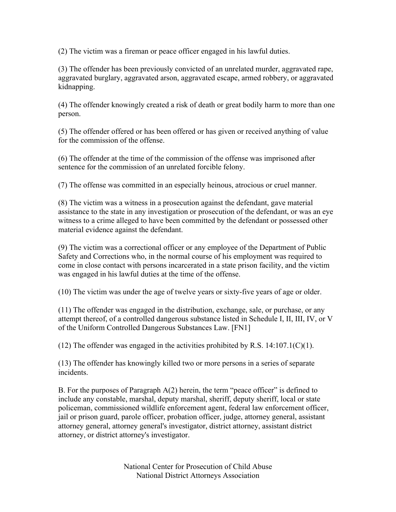(2) The victim was a fireman or peace officer engaged in his lawful duties.

(3) The offender has been previously convicted of an unrelated murder, aggravated rape, aggravated burglary, aggravated arson, aggravated escape, armed robbery, or aggravated kidnapping.

(4) The offender knowingly created a risk of death or great bodily harm to more than one person.

(5) The offender offered or has been offered or has given or received anything of value for the commission of the offense.

(6) The offender at the time of the commission of the offense was imprisoned after sentence for the commission of an unrelated forcible felony.

(7) The offense was committed in an especially heinous, atrocious or cruel manner.

(8) The victim was a witness in a prosecution against the defendant, gave material assistance to the state in any investigation or prosecution of the defendant, or was an eye witness to a crime alleged to have been committed by the defendant or possessed other material evidence against the defendant.

(9) The victim was a correctional officer or any employee of the Department of Public Safety and Corrections who, in the normal course of his employment was required to come in close contact with persons incarcerated in a state prison facility, and the victim was engaged in his lawful duties at the time of the offense.

(10) The victim was under the age of twelve years or sixty-five years of age or older.

(11) The offender was engaged in the distribution, exchange, sale, or purchase, or any attempt thereof, of a controlled dangerous substance listed in Schedule I, II, III, IV, or V of the Uniform Controlled Dangerous Substances Law. [FN1]

 $(12)$  The offender was engaged in the activities prohibited by R.S. 14:107.1(C)(1).

(13) The offender has knowingly killed two or more persons in a series of separate incidents.

B. For the purposes of Paragraph A(2) herein, the term "peace officer" is defined to include any constable, marshal, deputy marshal, sheriff, deputy sheriff, local or state policeman, commissioned wildlife enforcement agent, federal law enforcement officer, jail or prison guard, parole officer, probation officer, judge, attorney general, assistant attorney general, attorney general's investigator, district attorney, assistant district attorney, or district attorney's investigator.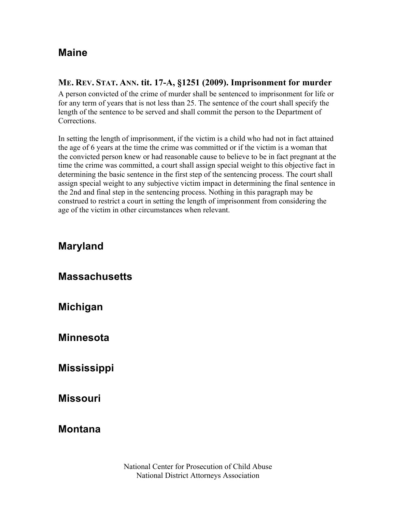### **Maine**

### **ME. REV. STAT. ANN. tit. 17-A, §1251 (2009). Imprisonment for murder**

A person convicted of the crime of murder shall be sentenced to imprisonment for life or for any term of years that is not less than 25. The sentence of the court shall specify the length of the sentence to be served and shall commit the person to the Department of Corrections.

In setting the length of imprisonment, if the victim is a child who had not in fact attained the age of 6 years at the time the crime was committed or if the victim is a woman that the convicted person knew or had reasonable cause to believe to be in fact pregnant at the time the crime was committed, a court shall assign special weight to this objective fact in determining the basic sentence in the first step of the sentencing process. The court shall assign special weight to any subjective victim impact in determining the final sentence in the 2nd and final step in the sentencing process. Nothing in this paragraph may be construed to restrict a court in setting the length of imprisonment from considering the age of the victim in other circumstances when relevant.

**Maryland**

**Massachusetts**

**Michigan**

**Minnesota**

**Mississippi**

**Missouri**

**Montana**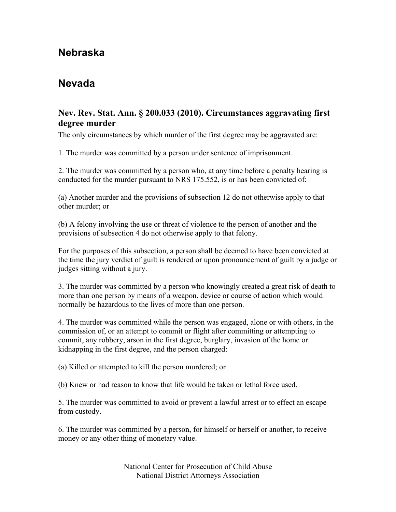### **Nebraska**

### **Nevada**

#### **Nev. Rev. Stat. Ann. § 200.033 (2010). Circumstances aggravating first degree murder**

The only circumstances by which murder of the first degree may be aggravated are:

1. The murder was committed by a person under sentence of imprisonment.

2. The murder was committed by a person who, at any time before a penalty hearing is conducted for the murder pursuant to NRS 175.552, is or has been convicted of:

(a) Another murder and the provisions of subsection 12 do not otherwise apply to that other murder; or

(b) A felony involving the use or threat of violence to the person of another and the provisions of subsection 4 do not otherwise apply to that felony.

For the purposes of this subsection, a person shall be deemed to have been convicted at the time the jury verdict of guilt is rendered or upon pronouncement of guilt by a judge or judges sitting without a jury.

3. The murder was committed by a person who knowingly created a great risk of death to more than one person by means of a weapon, device or course of action which would normally be hazardous to the lives of more than one person.

4. The murder was committed while the person was engaged, alone or with others, in the commission of, or an attempt to commit or flight after committing or attempting to commit, any robbery, arson in the first degree, burglary, invasion of the home or kidnapping in the first degree, and the person charged:

(a) Killed or attempted to kill the person murdered; or

(b) Knew or had reason to know that life would be taken or lethal force used.

5. The murder was committed to avoid or prevent a lawful arrest or to effect an escape from custody.

6. The murder was committed by a person, for himself or herself or another, to receive money or any other thing of monetary value.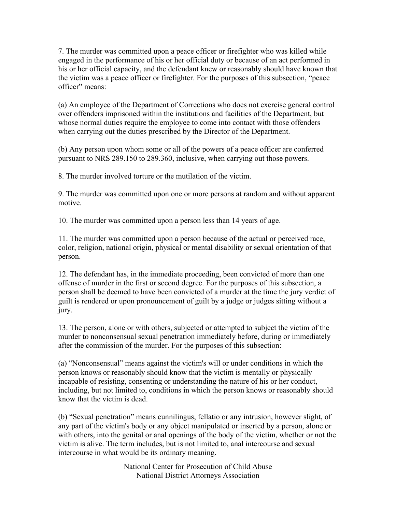7. The murder was committed upon a peace officer or firefighter who was killed while engaged in the performance of his or her official duty or because of an act performed in his or her official capacity, and the defendant knew or reasonably should have known that the victim was a peace officer or firefighter. For the purposes of this subsection, "peace officer" means:

(a) An employee of the Department of Corrections who does not exercise general control over offenders imprisoned within the institutions and facilities of the Department, but whose normal duties require the employee to come into contact with those offenders when carrying out the duties prescribed by the Director of the Department.

(b) Any person upon whom some or all of the powers of a peace officer are conferred pursuant to NRS 289.150 to 289.360, inclusive, when carrying out those powers.

8. The murder involved torture or the mutilation of the victim.

9. The murder was committed upon one or more persons at random and without apparent motive.

10. The murder was committed upon a person less than 14 years of age.

11. The murder was committed upon a person because of the actual or perceived race, color, religion, national origin, physical or mental disability or sexual orientation of that person.

12. The defendant has, in the immediate proceeding, been convicted of more than one offense of murder in the first or second degree. For the purposes of this subsection, a person shall be deemed to have been convicted of a murder at the time the jury verdict of guilt is rendered or upon pronouncement of guilt by a judge or judges sitting without a jury.

13. The person, alone or with others, subjected or attempted to subject the victim of the murder to nonconsensual sexual penetration immediately before, during or immediately after the commission of the murder. For the purposes of this subsection:

(a) "Nonconsensual" means against the victim's will or under conditions in which the person knows or reasonably should know that the victim is mentally or physically incapable of resisting, consenting or understanding the nature of his or her conduct, including, but not limited to, conditions in which the person knows or reasonably should know that the victim is dead.

(b) "Sexual penetration" means cunnilingus, fellatio or any intrusion, however slight, of any part of the victim's body or any object manipulated or inserted by a person, alone or with others, into the genital or anal openings of the body of the victim, whether or not the victim is alive. The term includes, but is not limited to, anal intercourse and sexual intercourse in what would be its ordinary meaning.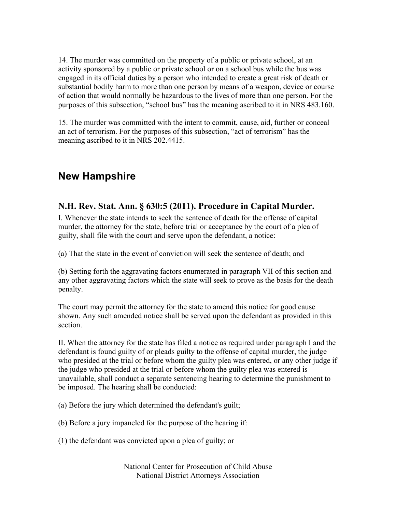14. The murder was committed on the property of a public or private school, at an activity sponsored by a public or private school or on a school bus while the bus was engaged in its official duties by a person who intended to create a great risk of death or substantial bodily harm to more than one person by means of a weapon, device or course of action that would normally be hazardous to the lives of more than one person. For the purposes of this subsection, "school bus" has the meaning ascribed to it in NRS 483.160.

15. The murder was committed with the intent to commit, cause, aid, further or conceal an act of terrorism. For the purposes of this subsection, "act of terrorism" has the meaning ascribed to it in NRS 202.4415.

### **New Hampshire**

#### **N.H. Rev. Stat. Ann. § 630:5 (2011). Procedure in Capital Murder.**

I. Whenever the state intends to seek the sentence of death for the offense of capital murder, the attorney for the state, before trial or acceptance by the court of a plea of guilty, shall file with the court and serve upon the defendant, a notice:

(a) That the state in the event of conviction will seek the sentence of death; and

(b) Setting forth the aggravating factors enumerated in paragraph VII of this section and any other aggravating factors which the state will seek to prove as the basis for the death penalty.

The court may permit the attorney for the state to amend this notice for good cause shown. Any such amended notice shall be served upon the defendant as provided in this section.

II. When the attorney for the state has filed a notice as required under paragraph I and the defendant is found guilty of or pleads guilty to the offense of capital murder, the judge who presided at the trial or before whom the guilty plea was entered, or any other judge if the judge who presided at the trial or before whom the guilty plea was entered is unavailable, shall conduct a separate sentencing hearing to determine the punishment to be imposed. The hearing shall be conducted:

(a) Before the jury which determined the defendant's guilt;

(b) Before a jury impaneled for the purpose of the hearing if:

(1) the defendant was convicted upon a plea of guilty; or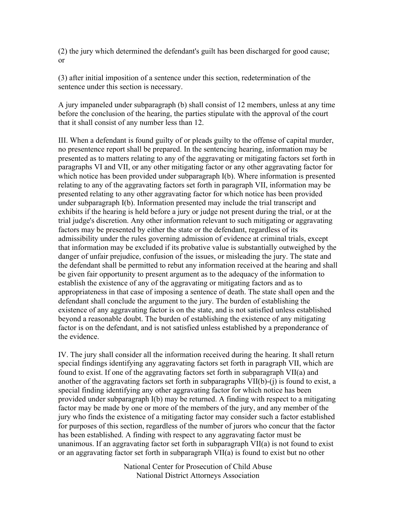(2) the jury which determined the defendant's guilt has been discharged for good cause; or

(3) after initial imposition of a sentence under this section, redetermination of the sentence under this section is necessary.

A jury impaneled under subparagraph (b) shall consist of 12 members, unless at any time before the conclusion of the hearing, the parties stipulate with the approval of the court that it shall consist of any number less than 12.

III. When a defendant is found guilty of or pleads guilty to the offense of capital murder, no presentence report shall be prepared. In the sentencing hearing, information may be presented as to matters relating to any of the aggravating or mitigating factors set forth in paragraphs VI and VII, or any other mitigating factor or any other aggravating factor for which notice has been provided under subparagraph I(b). Where information is presented relating to any of the aggravating factors set forth in paragraph VII, information may be presented relating to any other aggravating factor for which notice has been provided under subparagraph I(b). Information presented may include the trial transcript and exhibits if the hearing is held before a jury or judge not present during the trial, or at the trial judge's discretion. Any other information relevant to such mitigating or aggravating factors may be presented by either the state or the defendant, regardless of its admissibility under the rules governing admission of evidence at criminal trials, except that information may be excluded if its probative value is substantially outweighed by the danger of unfair prejudice, confusion of the issues, or misleading the jury. The state and the defendant shall be permitted to rebut any information received at the hearing and shall be given fair opportunity to present argument as to the adequacy of the information to establish the existence of any of the aggravating or mitigating factors and as to appropriateness in that case of imposing a sentence of death. The state shall open and the defendant shall conclude the argument to the jury. The burden of establishing the existence of any aggravating factor is on the state, and is not satisfied unless established beyond a reasonable doubt. The burden of establishing the existence of any mitigating factor is on the defendant, and is not satisfied unless established by a preponderance of the evidence.

IV. The jury shall consider all the information received during the hearing. It shall return special findings identifying any aggravating factors set forth in paragraph VII, which are found to exist. If one of the aggravating factors set forth in subparagraph VII(a) and another of the aggravating factors set forth in subparagraphs VII(b)-(j) is found to exist, a special finding identifying any other aggravating factor for which notice has been provided under subparagraph I(b) may be returned. A finding with respect to a mitigating factor may be made by one or more of the members of the jury, and any member of the jury who finds the existence of a mitigating factor may consider such a factor established for purposes of this section, regardless of the number of jurors who concur that the factor has been established. A finding with respect to any aggravating factor must be unanimous. If an aggravating factor set forth in subparagraph VII(a) is not found to exist or an aggravating factor set forth in subparagraph VII(a) is found to exist but no other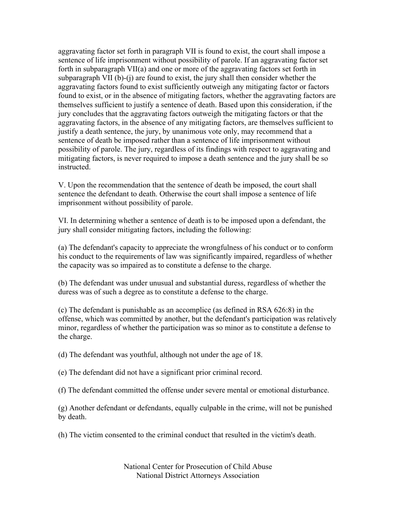aggravating factor set forth in paragraph VII is found to exist, the court shall impose a sentence of life imprisonment without possibility of parole. If an aggravating factor set forth in subparagraph VII(a) and one or more of the aggravating factors set forth in subparagraph VII (b)-(j) are found to exist, the jury shall then consider whether the aggravating factors found to exist sufficiently outweigh any mitigating factor or factors found to exist, or in the absence of mitigating factors, whether the aggravating factors are themselves sufficient to justify a sentence of death. Based upon this consideration, if the jury concludes that the aggravating factors outweigh the mitigating factors or that the aggravating factors, in the absence of any mitigating factors, are themselves sufficient to justify a death sentence, the jury, by unanimous vote only, may recommend that a sentence of death be imposed rather than a sentence of life imprisonment without possibility of parole. The jury, regardless of its findings with respect to aggravating and mitigating factors, is never required to impose a death sentence and the jury shall be so instructed.

V. Upon the recommendation that the sentence of death be imposed, the court shall sentence the defendant to death. Otherwise the court shall impose a sentence of life imprisonment without possibility of parole.

VI. In determining whether a sentence of death is to be imposed upon a defendant, the jury shall consider mitigating factors, including the following:

(a) The defendant's capacity to appreciate the wrongfulness of his conduct or to conform his conduct to the requirements of law was significantly impaired, regardless of whether the capacity was so impaired as to constitute a defense to the charge.

(b) The defendant was under unusual and substantial duress, regardless of whether the duress was of such a degree as to constitute a defense to the charge.

(c) The defendant is punishable as an accomplice (as defined in RSA 626:8) in the offense, which was committed by another, but the defendant's participation was relatively minor, regardless of whether the participation was so minor as to constitute a defense to the charge.

(d) The defendant was youthful, although not under the age of 18.

(e) The defendant did not have a significant prior criminal record.

(f) The defendant committed the offense under severe mental or emotional disturbance.

(g) Another defendant or defendants, equally culpable in the crime, will not be punished by death.

(h) The victim consented to the criminal conduct that resulted in the victim's death.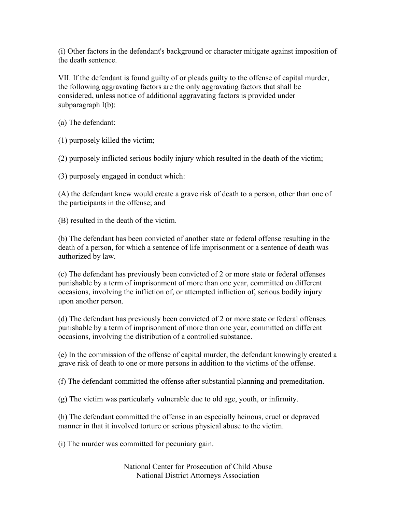(i) Other factors in the defendant's background or character mitigate against imposition of the death sentence.

VII. If the defendant is found guilty of or pleads guilty to the offense of capital murder, the following aggravating factors are the only aggravating factors that shall be considered, unless notice of additional aggravating factors is provided under subparagraph I(b):

(a) The defendant:

(1) purposely killed the victim;

(2) purposely inflicted serious bodily injury which resulted in the death of the victim;

(3) purposely engaged in conduct which:

(A) the defendant knew would create a grave risk of death to a person, other than one of the participants in the offense; and

(B) resulted in the death of the victim.

(b) The defendant has been convicted of another state or federal offense resulting in the death of a person, for which a sentence of life imprisonment or a sentence of death was authorized by law.

(c) The defendant has previously been convicted of 2 or more state or federal offenses punishable by a term of imprisonment of more than one year, committed on different occasions, involving the infliction of, or attempted infliction of, serious bodily injury upon another person.

(d) The defendant has previously been convicted of 2 or more state or federal offenses punishable by a term of imprisonment of more than one year, committed on different occasions, involving the distribution of a controlled substance.

(e) In the commission of the offense of capital murder, the defendant knowingly created a grave risk of death to one or more persons in addition to the victims of the offense.

(f) The defendant committed the offense after substantial planning and premeditation.

(g) The victim was particularly vulnerable due to old age, youth, or infirmity.

(h) The defendant committed the offense in an especially heinous, cruel or depraved manner in that it involved torture or serious physical abuse to the victim.

(i) The murder was committed for pecuniary gain.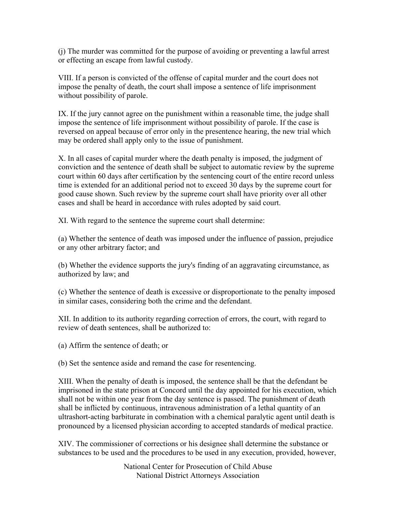(j) The murder was committed for the purpose of avoiding or preventing a lawful arrest or effecting an escape from lawful custody.

VIII. If a person is convicted of the offense of capital murder and the court does not impose the penalty of death, the court shall impose a sentence of life imprisonment without possibility of parole.

IX. If the jury cannot agree on the punishment within a reasonable time, the judge shall impose the sentence of life imprisonment without possibility of parole. If the case is reversed on appeal because of error only in the presentence hearing, the new trial which may be ordered shall apply only to the issue of punishment.

X. In all cases of capital murder where the death penalty is imposed, the judgment of conviction and the sentence of death shall be subject to automatic review by the supreme court within 60 days after certification by the sentencing court of the entire record unless time is extended for an additional period not to exceed 30 days by the supreme court for good cause shown. Such review by the supreme court shall have priority over all other cases and shall be heard in accordance with rules adopted by said court.

XI. With regard to the sentence the supreme court shall determine:

(a) Whether the sentence of death was imposed under the influence of passion, prejudice or any other arbitrary factor; and

(b) Whether the evidence supports the jury's finding of an aggravating circumstance, as authorized by law; and

(c) Whether the sentence of death is excessive or disproportionate to the penalty imposed in similar cases, considering both the crime and the defendant.

XII. In addition to its authority regarding correction of errors, the court, with regard to review of death sentences, shall be authorized to:

(a) Affirm the sentence of death; or

(b) Set the sentence aside and remand the case for resentencing.

XIII. When the penalty of death is imposed, the sentence shall be that the defendant be imprisoned in the state prison at Concord until the day appointed for his execution, which shall not be within one year from the day sentence is passed. The punishment of death shall be inflicted by continuous, intravenous administration of a lethal quantity of an ultrashort-acting barbiturate in combination with a chemical paralytic agent until death is pronounced by a licensed physician according to accepted standards of medical practice.

XIV. The commissioner of corrections or his designee shall determine the substance or substances to be used and the procedures to be used in any execution, provided, however,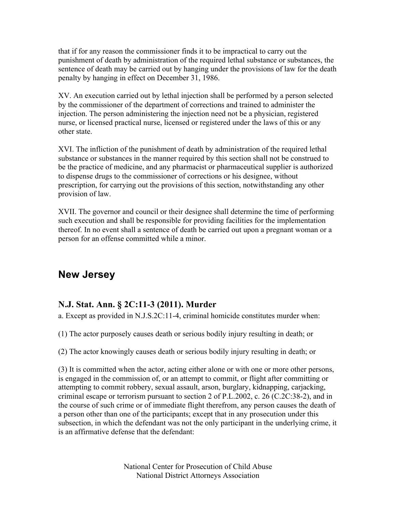that if for any reason the commissioner finds it to be impractical to carry out the punishment of death by administration of the required lethal substance or substances, the sentence of death may be carried out by hanging under the provisions of law for the death penalty by hanging in effect on December 31, 1986.

XV. An execution carried out by lethal injection shall be performed by a person selected by the commissioner of the department of corrections and trained to administer the injection. The person administering the injection need not be a physician, registered nurse, or licensed practical nurse, licensed or registered under the laws of this or any other state.

XVI. The infliction of the punishment of death by administration of the required lethal substance or substances in the manner required by this section shall not be construed to be the practice of medicine, and any pharmacist or pharmaceutical supplier is authorized to dispense drugs to the commissioner of corrections or his designee, without prescription, for carrying out the provisions of this section, notwithstanding any other provision of law.

XVII. The governor and council or their designee shall determine the time of performing such execution and shall be responsible for providing facilities for the implementation thereof. In no event shall a sentence of death be carried out upon a pregnant woman or a person for an offense committed while a minor.

## **New Jersey**

### **N.J. Stat. Ann. § 2C:11-3 (2011). Murder**

a. Except as provided in N.J.S.2C:11-4, criminal homicide constitutes murder when:

(1) The actor purposely causes death or serious bodily injury resulting in death; or

(2) The actor knowingly causes death or serious bodily injury resulting in death; or

(3) It is committed when the actor, acting either alone or with one or more other persons, is engaged in the commission of, or an attempt to commit, or flight after committing or attempting to commit robbery, sexual assault, arson, burglary, kidnapping, carjacking, criminal escape or terrorism pursuant to section 2 of P.L.2002, c. 26 (C.2C:38-2), and in the course of such crime or of immediate flight therefrom, any person causes the death of a person other than one of the participants; except that in any prosecution under this subsection, in which the defendant was not the only participant in the underlying crime, it is an affirmative defense that the defendant: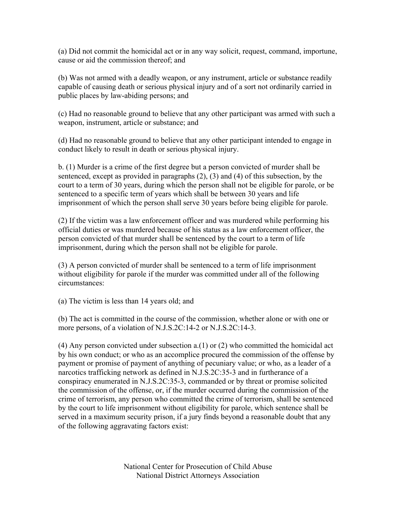(a) Did not commit the homicidal act or in any way solicit, request, command, importune, cause or aid the commission thereof; and

(b) Was not armed with a deadly weapon, or any instrument, article or substance readily capable of causing death or serious physical injury and of a sort not ordinarily carried in public places by law-abiding persons; and

(c) Had no reasonable ground to believe that any other participant was armed with such a weapon, instrument, article or substance; and

(d) Had no reasonable ground to believe that any other participant intended to engage in conduct likely to result in death or serious physical injury.

b. (1) Murder is a crime of the first degree but a person convicted of murder shall be sentenced, except as provided in paragraphs (2), (3) and (4) of this subsection, by the court to a term of 30 years, during which the person shall not be eligible for parole, or be sentenced to a specific term of years which shall be between 30 years and life imprisonment of which the person shall serve 30 years before being eligible for parole.

(2) If the victim was a law enforcement officer and was murdered while performing his official duties or was murdered because of his status as a law enforcement officer, the person convicted of that murder shall be sentenced by the court to a term of life imprisonment, during which the person shall not be eligible for parole.

(3) A person convicted of murder shall be sentenced to a term of life imprisonment without eligibility for parole if the murder was committed under all of the following circumstances:

(a) The victim is less than 14 years old; and

(b) The act is committed in the course of the commission, whether alone or with one or more persons, of a violation of N.J.S.2C:14-2 or N.J.S.2C:14-3.

(4) Any person convicted under subsection a.(1) or (2) who committed the homicidal act by his own conduct; or who as an accomplice procured the commission of the offense by payment or promise of payment of anything of pecuniary value; or who, as a leader of a narcotics trafficking network as defined in N.J.S.2C:35-3 and in furtherance of a conspiracy enumerated in N.J.S.2C:35-3, commanded or by threat or promise solicited the commission of the offense, or, if the murder occurred during the commission of the crime of terrorism, any person who committed the crime of terrorism, shall be sentenced by the court to life imprisonment without eligibility for parole, which sentence shall be served in a maximum security prison, if a jury finds beyond a reasonable doubt that any of the following aggravating factors exist: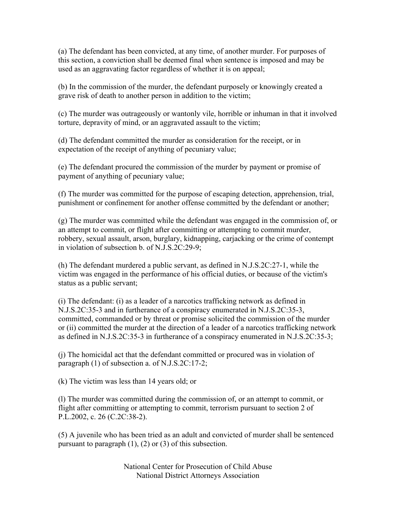(a) The defendant has been convicted, at any time, of another murder. For purposes of this section, a conviction shall be deemed final when sentence is imposed and may be used as an aggravating factor regardless of whether it is on appeal;

(b) In the commission of the murder, the defendant purposely or knowingly created a grave risk of death to another person in addition to the victim;

(c) The murder was outrageously or wantonly vile, horrible or inhuman in that it involved torture, depravity of mind, or an aggravated assault to the victim;

(d) The defendant committed the murder as consideration for the receipt, or in expectation of the receipt of anything of pecuniary value;

(e) The defendant procured the commission of the murder by payment or promise of payment of anything of pecuniary value;

(f) The murder was committed for the purpose of escaping detection, apprehension, trial, punishment or confinement for another offense committed by the defendant or another;

(g) The murder was committed while the defendant was engaged in the commission of, or an attempt to commit, or flight after committing or attempting to commit murder, robbery, sexual assault, arson, burglary, kidnapping, carjacking or the crime of contempt in violation of subsection b. of N.J.S.2C:29-9;

(h) The defendant murdered a public servant, as defined in N.J.S.2C:27-1, while the victim was engaged in the performance of his official duties, or because of the victim's status as a public servant;

(i) The defendant: (i) as a leader of a narcotics trafficking network as defined in N.J.S.2C:35-3 and in furtherance of a conspiracy enumerated in N.J.S.2C:35-3, committed, commanded or by threat or promise solicited the commission of the murder or (ii) committed the murder at the direction of a leader of a narcotics trafficking network as defined in N.J.S.2C:35-3 in furtherance of a conspiracy enumerated in N.J.S.2C:35-3;

(j) The homicidal act that the defendant committed or procured was in violation of paragraph (1) of subsection a. of N.J.S.2C:17-2;

(k) The victim was less than 14 years old; or

(l) The murder was committed during the commission of, or an attempt to commit, or flight after committing or attempting to commit, terrorism pursuant to section 2 of P.L.2002, c. 26 (C.2C:38-2).

(5) A juvenile who has been tried as an adult and convicted of murder shall be sentenced pursuant to paragraph  $(1)$ ,  $(2)$  or  $(3)$  of this subsection.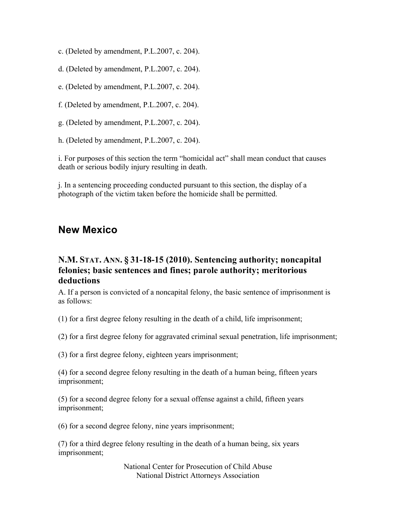- c. (Deleted by amendment, P.L.2007, c. 204).
- d. (Deleted by amendment, P.L.2007, c. 204).
- e. (Deleted by amendment, P.L.2007, c. 204).
- f. (Deleted by amendment, P.L.2007, c. 204).
- g. (Deleted by amendment, P.L.2007, c. 204).
- h. (Deleted by amendment, P.L.2007, c. 204).

i. For purposes of this section the term "homicidal act" shall mean conduct that causes death or serious bodily injury resulting in death.

j. In a sentencing proceeding conducted pursuant to this section, the display of a photograph of the victim taken before the homicide shall be permitted.

# **New Mexico**

#### **N.M. STAT. ANN. § 31-18-15 (2010). Sentencing authority; noncapital felonies; basic sentences and fines; parole authority; meritorious deductions**

A. If a person is convicted of a noncapital felony, the basic sentence of imprisonment is as follows:

- (1) for a first degree felony resulting in the death of a child, life imprisonment;
- (2) for a first degree felony for aggravated criminal sexual penetration, life imprisonment;
- (3) for a first degree felony, eighteen years imprisonment;

(4) for a second degree felony resulting in the death of a human being, fifteen years imprisonment;

(5) for a second degree felony for a sexual offense against a child, fifteen years imprisonment;

(6) for a second degree felony, nine years imprisonment;

(7) for a third degree felony resulting in the death of a human being, six years imprisonment;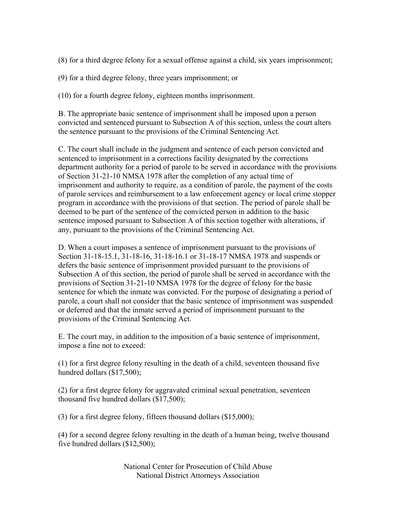(8) for a third degree felony for a sexual offense against a child, six years imprisonment;

(9) for a third degree felony, three years imprisonment; or

(10) for a fourth degree felony, eighteen months imprisonment.

B. The appropriate basic sentence of imprisonment shall be imposed upon a person convicted and sentenced pursuant to Subsection A of this section, unless the court alters the sentence pursuant to the provisions of the Criminal Sentencing Act.

C. The court shall include in the judgment and sentence of each person convicted and sentenced to imprisonment in a corrections facility designated by the corrections department authority for a period of parole to be served in accordance with the provisions of Section 31-21-10 NMSA 1978 after the completion of any actual time of imprisonment and authority to require, as a condition of parole, the payment of the costs of parole services and reimbursement to a law enforcement agency or local crime stopper program in accordance with the provisions of that section. The period of parole shall be deemed to be part of the sentence of the convicted person in addition to the basic sentence imposed pursuant to Subsection A of this section together with alterations, if any, pursuant to the provisions of the Criminal Sentencing Act.

D. When a court imposes a sentence of imprisonment pursuant to the provisions of Section 31-18-15.1, 31-18-16, 31-18-16.1 or 31-18-17 NMSA 1978 and suspends or defers the basic sentence of imprisonment provided pursuant to the provisions of Subsection A of this section, the period of parole shall be served in accordance with the provisions of Section 31-21-10 NMSA 1978 for the degree of felony for the basic sentence for which the inmate was convicted. For the purpose of designating a period of parole, a court shall not consider that the basic sentence of imprisonment was suspended or deferred and that the inmate served a period of imprisonment pursuant to the provisions of the Criminal Sentencing Act.

E. The court may, in addition to the imposition of a basic sentence of imprisonment, impose a fine not to exceed:

(1) for a first degree felony resulting in the death of a child, seventeen thousand five hundred dollars (\$17,500);

(2) for a first degree felony for aggravated criminal sexual penetration, seventeen thousand five hundred dollars (\$17,500);

(3) for a first degree felony, fifteen thousand dollars (\$15,000);

(4) for a second degree felony resulting in the death of a human being, twelve thousand five hundred dollars (\$12,500);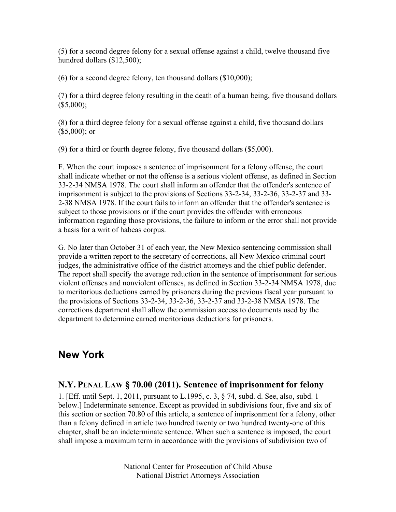(5) for a second degree felony for a sexual offense against a child, twelve thousand five hundred dollars (\$12,500);

(6) for a second degree felony, ten thousand dollars (\$10,000);

(7) for a third degree felony resulting in the death of a human being, five thousand dollars  $($5,000)$ ;

(8) for a third degree felony for a sexual offense against a child, five thousand dollars  $($5,000)$ ; or

(9) for a third or fourth degree felony, five thousand dollars (\$5,000).

F. When the court imposes a sentence of imprisonment for a felony offense, the court shall indicate whether or not the offense is a serious violent offense, as defined in Section 33-2-34 NMSA 1978. The court shall inform an offender that the offender's sentence of imprisonment is subject to the provisions of Sections 33-2-34, 33-2-36, 33-2-37 and 33- 2-38 NMSA 1978. If the court fails to inform an offender that the offender's sentence is subject to those provisions or if the court provides the offender with erroneous information regarding those provisions, the failure to inform or the error shall not provide a basis for a writ of habeas corpus.

G. No later than October 31 of each year, the New Mexico sentencing commission shall provide a written report to the secretary of corrections, all New Mexico criminal court judges, the administrative office of the district attorneys and the chief public defender. The report shall specify the average reduction in the sentence of imprisonment for serious violent offenses and nonviolent offenses, as defined in Section 33-2-34 NMSA 1978, due to meritorious deductions earned by prisoners during the previous fiscal year pursuant to the provisions of Sections 33-2-34, 33-2-36, 33-2-37 and 33-2-38 NMSA 1978. The corrections department shall allow the commission access to documents used by the department to determine earned meritorious deductions for prisoners.

# **New York**

## **N.Y. PENAL LAW § 70.00 (2011). Sentence of imprisonment for felony**

1. [Eff. until Sept. 1, 2011, pursuant to L.1995, c. 3, § 74, subd. d. See, also, subd. 1 below.] Indeterminate sentence. Except as provided in subdivisions four, five and six of this section or section 70.80 of this article, a sentence of imprisonment for a felony, other than a felony defined in article two hundred twenty or two hundred twenty-one of this chapter, shall be an indeterminate sentence. When such a sentence is imposed, the court shall impose a maximum term in accordance with the provisions of subdivision two of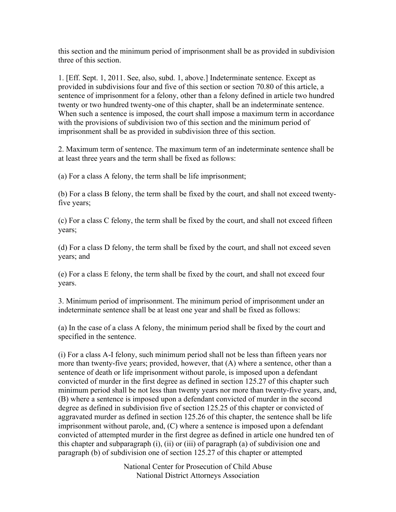this section and the minimum period of imprisonment shall be as provided in subdivision three of this section.

1. [Eff. Sept. 1, 2011. See, also, subd. 1, above.] Indeterminate sentence. Except as provided in subdivisions four and five of this section or section 70.80 of this article, a sentence of imprisonment for a felony, other than a felony defined in article two hundred twenty or two hundred twenty-one of this chapter, shall be an indeterminate sentence. When such a sentence is imposed, the court shall impose a maximum term in accordance with the provisions of subdivision two of this section and the minimum period of imprisonment shall be as provided in subdivision three of this section.

2. Maximum term of sentence. The maximum term of an indeterminate sentence shall be at least three years and the term shall be fixed as follows:

(a) For a class A felony, the term shall be life imprisonment;

(b) For a class B felony, the term shall be fixed by the court, and shall not exceed twentyfive years;

(c) For a class C felony, the term shall be fixed by the court, and shall not exceed fifteen years;

(d) For a class D felony, the term shall be fixed by the court, and shall not exceed seven years; and

(e) For a class E felony, the term shall be fixed by the court, and shall not exceed four years.

3. Minimum period of imprisonment. The minimum period of imprisonment under an indeterminate sentence shall be at least one year and shall be fixed as follows:

(a) In the case of a class A felony, the minimum period shall be fixed by the court and specified in the sentence.

(i) For a class A-I felony, such minimum period shall not be less than fifteen years nor more than twenty-five years; provided, however, that (A) where a sentence, other than a sentence of death or life imprisonment without parole, is imposed upon a defendant convicted of murder in the first degree as defined in section 125.27 of this chapter such minimum period shall be not less than twenty years nor more than twenty-five years, and, (B) where a sentence is imposed upon a defendant convicted of murder in the second degree as defined in subdivision five of section 125.25 of this chapter or convicted of aggravated murder as defined in section 125.26 of this chapter, the sentence shall be life imprisonment without parole, and, (C) where a sentence is imposed upon a defendant convicted of attempted murder in the first degree as defined in article one hundred ten of this chapter and subparagraph (i), (ii) or (iii) of paragraph (a) of subdivision one and paragraph (b) of subdivision one of section 125.27 of this chapter or attempted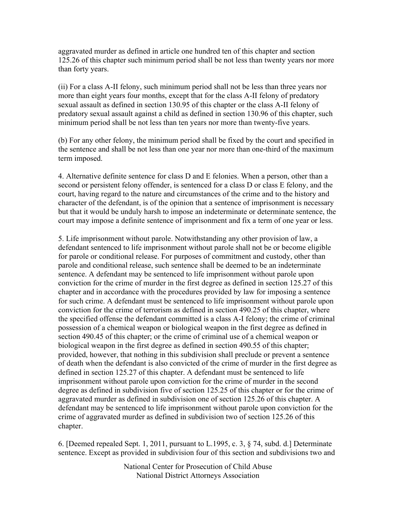aggravated murder as defined in article one hundred ten of this chapter and section 125.26 of this chapter such minimum period shall be not less than twenty years nor more than forty years.

(ii) For a class A-II felony, such minimum period shall not be less than three years nor more than eight years four months, except that for the class A-II felony of predatory sexual assault as defined in section 130.95 of this chapter or the class A-II felony of predatory sexual assault against a child as defined in section 130.96 of this chapter, such minimum period shall be not less than ten years nor more than twenty-five years.

(b) For any other felony, the minimum period shall be fixed by the court and specified in the sentence and shall be not less than one year nor more than one-third of the maximum term imposed.

4. Alternative definite sentence for class D and E felonies. When a person, other than a second or persistent felony offender, is sentenced for a class D or class E felony, and the court, having regard to the nature and circumstances of the crime and to the history and character of the defendant, is of the opinion that a sentence of imprisonment is necessary but that it would be unduly harsh to impose an indeterminate or determinate sentence, the court may impose a definite sentence of imprisonment and fix a term of one year or less.

5. Life imprisonment without parole. Notwithstanding any other provision of law, a defendant sentenced to life imprisonment without parole shall not be or become eligible for parole or conditional release. For purposes of commitment and custody, other than parole and conditional release, such sentence shall be deemed to be an indeterminate sentence. A defendant may be sentenced to life imprisonment without parole upon conviction for the crime of murder in the first degree as defined in section 125.27 of this chapter and in accordance with the procedures provided by law for imposing a sentence for such crime. A defendant must be sentenced to life imprisonment without parole upon conviction for the crime of terrorism as defined in section 490.25 of this chapter, where the specified offense the defendant committed is a class A-I felony; the crime of criminal possession of a chemical weapon or biological weapon in the first degree as defined in section 490.45 of this chapter; or the crime of criminal use of a chemical weapon or biological weapon in the first degree as defined in section 490.55 of this chapter; provided, however, that nothing in this subdivision shall preclude or prevent a sentence of death when the defendant is also convicted of the crime of murder in the first degree as defined in section 125.27 of this chapter. A defendant must be sentenced to life imprisonment without parole upon conviction for the crime of murder in the second degree as defined in subdivision five of section 125.25 of this chapter or for the crime of aggravated murder as defined in subdivision one of section 125.26 of this chapter. A defendant may be sentenced to life imprisonment without parole upon conviction for the crime of aggravated murder as defined in subdivision two of section 125.26 of this chapter.

6. [Deemed repealed Sept. 1, 2011, pursuant to L.1995, c. 3, § 74, subd. d.] Determinate sentence. Except as provided in subdivision four of this section and subdivisions two and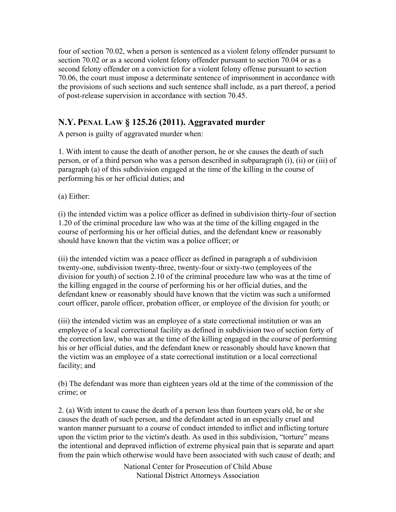four of section 70.02, when a person is sentenced as a violent felony offender pursuant to section 70.02 or as a second violent felony offender pursuant to section 70.04 or as a second felony offender on a conviction for a violent felony offense pursuant to section 70.06, the court must impose a determinate sentence of imprisonment in accordance with the provisions of such sections and such sentence shall include, as a part thereof, a period of post-release supervision in accordance with section 70.45.

## **N.Y. PENAL LAW § 125.26 (2011). Aggravated murder**

A person is guilty of aggravated murder when:

1. With intent to cause the death of another person, he or she causes the death of such person, or of a third person who was a person described in subparagraph (i), (ii) or (iii) of paragraph (a) of this subdivision engaged at the time of the killing in the course of performing his or her official duties; and

(a) Either:

(i) the intended victim was a police officer as defined in subdivision thirty-four of section 1.20 of the criminal procedure law who was at the time of the killing engaged in the course of performing his or her official duties, and the defendant knew or reasonably should have known that the victim was a police officer; or

(ii) the intended victim was a peace officer as defined in paragraph a of subdivision twenty-one, subdivision twenty-three, twenty-four or sixty-two (employees of the division for youth) of section 2.10 of the criminal procedure law who was at the time of the killing engaged in the course of performing his or her official duties, and the defendant knew or reasonably should have known that the victim was such a uniformed court officer, parole officer, probation officer, or employee of the division for youth; or

(iii) the intended victim was an employee of a state correctional institution or was an employee of a local correctional facility as defined in subdivision two of section forty of the correction law, who was at the time of the killing engaged in the course of performing his or her official duties, and the defendant knew or reasonably should have known that the victim was an employee of a state correctional institution or a local correctional facility; and

(b) The defendant was more than eighteen years old at the time of the commission of the crime; or

2. (a) With intent to cause the death of a person less than fourteen years old, he or she causes the death of such person, and the defendant acted in an especially cruel and wanton manner pursuant to a course of conduct intended to inflict and inflicting torture upon the victim prior to the victim's death. As used in this subdivision, "torture" means the intentional and depraved infliction of extreme physical pain that is separate and apart from the pain which otherwise would have been associated with such cause of death; and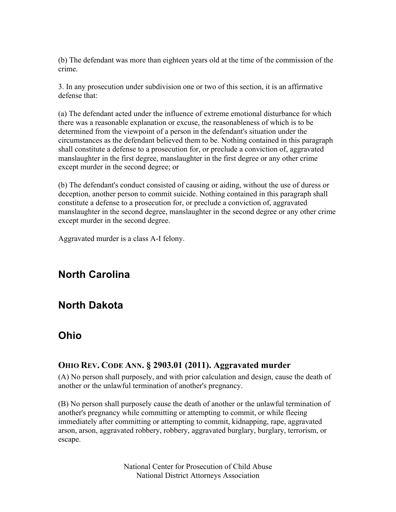(b) The defendant was more than eighteen years old at the time of the commission of the crime.

3. In any prosecution under subdivision one or two of this section, it is an affirmative defense that:

(a) The defendant acted under the influence of extreme emotional disturbance for which there was a reasonable explanation or excuse, the reasonableness of which is to be determined from the viewpoint of a person in the defendant's situation under the circumstances as the defendant believed them to be. Nothing contained in this paragraph shall constitute a defense to a prosecution for, or preclude a conviction of, aggravated manslaughter in the first degree, manslaughter in the first degree or any other crime except murder in the second degree; or

(b) The defendant's conduct consisted of causing or aiding, without the use of duress or deception, another person to commit suicide. Nothing contained in this paragraph shall constitute a defense to a prosecution for, or preclude a conviction of, aggravated manslaughter in the second degree, manslaughter in the second degree or any other crime except murder in the second degree.

Aggravated murder is a class A-I felony.

# **North Carolina**

# **North Dakota**

# **Ohio**

# **OHIO REV. CODE ANN. § 2903.01 (2011). Aggravated murder**

(A) No person shall purposely, and with prior calculation and design, cause the death of another or the unlawful termination of another's pregnancy.

(B) No person shall purposely cause the death of another or the unlawful termination of another's pregnancy while committing or attempting to commit, or while fleeing immediately after committing or attempting to commit, kidnapping, rape, aggravated arson, arson, aggravated robbery, robbery, aggravated burglary, burglary, terrorism, or escape.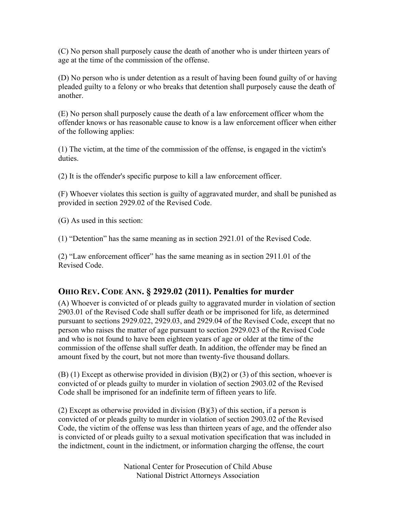(C) No person shall purposely cause the death of another who is under thirteen years of age at the time of the commission of the offense.

(D) No person who is under detention as a result of having been found guilty of or having pleaded guilty to a felony or who breaks that detention shall purposely cause the death of another.

(E) No person shall purposely cause the death of a law enforcement officer whom the offender knows or has reasonable cause to know is a law enforcement officer when either of the following applies:

(1) The victim, at the time of the commission of the offense, is engaged in the victim's duties.

(2) It is the offender's specific purpose to kill a law enforcement officer.

(F) Whoever violates this section is guilty of aggravated murder, and shall be punished as provided in section 2929.02 of the Revised Code.

(G) As used in this section:

(1) "Detention" has the same meaning as in section 2921.01 of the Revised Code.

(2) "Law enforcement officer" has the same meaning as in section 2911.01 of the Revised Code.

## **OHIO REV. CODE ANN. § 2929.02 (2011). Penalties for murder**

(A) Whoever is convicted of or pleads guilty to aggravated murder in violation of section 2903.01 of the Revised Code shall suffer death or be imprisoned for life, as determined pursuant to sections 2929.022, 2929.03, and 2929.04 of the Revised Code, except that no person who raises the matter of age pursuant to section 2929.023 of the Revised Code and who is not found to have been eighteen years of age or older at the time of the commission of the offense shall suffer death. In addition, the offender may be fined an amount fixed by the court, but not more than twenty-five thousand dollars.

(B) (1) Except as otherwise provided in division (B)(2) or (3) of this section, whoever is convicted of or pleads guilty to murder in violation of section 2903.02 of the Revised Code shall be imprisoned for an indefinite term of fifteen years to life.

(2) Except as otherwise provided in division (B)(3) of this section, if a person is convicted of or pleads guilty to murder in violation of section 2903.02 of the Revised Code, the victim of the offense was less than thirteen years of age, and the offender also is convicted of or pleads guilty to a sexual motivation specification that was included in the indictment, count in the indictment, or information charging the offense, the court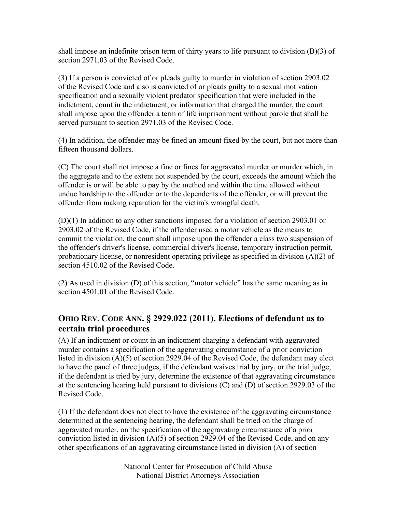shall impose an indefinite prison term of thirty years to life pursuant to division (B)(3) of section 2971.03 of the Revised Code.

(3) If a person is convicted of or pleads guilty to murder in violation of section 2903.02 of the Revised Code and also is convicted of or pleads guilty to a sexual motivation specification and a sexually violent predator specification that were included in the indictment, count in the indictment, or information that charged the murder, the court shall impose upon the offender a term of life imprisonment without parole that shall be served pursuant to section 2971.03 of the Revised Code.

(4) In addition, the offender may be fined an amount fixed by the court, but not more than fifteen thousand dollars.

(C) The court shall not impose a fine or fines for aggravated murder or murder which, in the aggregate and to the extent not suspended by the court, exceeds the amount which the offender is or will be able to pay by the method and within the time allowed without undue hardship to the offender or to the dependents of the offender, or will prevent the offender from making reparation for the victim's wrongful death.

(D)(1) In addition to any other sanctions imposed for a violation of section 2903.01 or 2903.02 of the Revised Code, if the offender used a motor vehicle as the means to commit the violation, the court shall impose upon the offender a class two suspension of the offender's driver's license, commercial driver's license, temporary instruction permit, probationary license, or nonresident operating privilege as specified in division (A)(2) of section 4510.02 of the Revised Code.

(2) As used in division (D) of this section, "motor vehicle" has the same meaning as in section 4501.01 of the Revised Code.

## **OHIO REV. CODE ANN. § 2929.022 (2011). Elections of defendant as to certain trial procedures**

(A) If an indictment or count in an indictment charging a defendant with aggravated murder contains a specification of the aggravating circumstance of a prior conviction listed in division (A)(5) of section 2929.04 of the Revised Code, the defendant may elect to have the panel of three judges, if the defendant waives trial by jury, or the trial judge, if the defendant is tried by jury, determine the existence of that aggravating circumstance at the sentencing hearing held pursuant to divisions (C) and (D) of section 2929.03 of the Revised Code.

(1) If the defendant does not elect to have the existence of the aggravating circumstance determined at the sentencing hearing, the defendant shall be tried on the charge of aggravated murder, on the specification of the aggravating circumstance of a prior conviction listed in division (A)(5) of section 2929.04 of the Revised Code, and on any other specifications of an aggravating circumstance listed in division (A) of section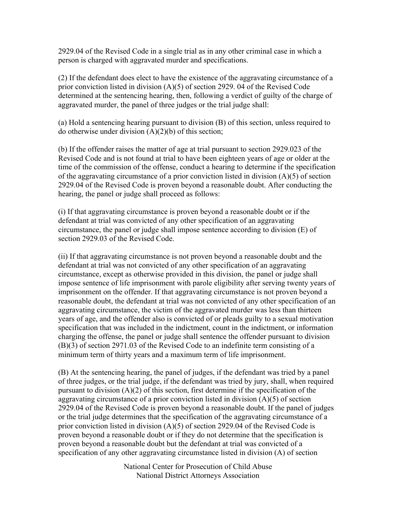2929.04 of the Revised Code in a single trial as in any other criminal case in which a person is charged with aggravated murder and specifications.

(2) If the defendant does elect to have the existence of the aggravating circumstance of a prior conviction listed in division (A)(5) of section 2929. 04 of the Revised Code determined at the sentencing hearing, then, following a verdict of guilty of the charge of aggravated murder, the panel of three judges or the trial judge shall:

(a) Hold a sentencing hearing pursuant to division (B) of this section, unless required to do otherwise under division  $(A)(2)(b)$  of this section;

(b) If the offender raises the matter of age at trial pursuant to section 2929.023 of the Revised Code and is not found at trial to have been eighteen years of age or older at the time of the commission of the offense, conduct a hearing to determine if the specification of the aggravating circumstance of a prior conviction listed in division (A)(5) of section 2929.04 of the Revised Code is proven beyond a reasonable doubt. After conducting the hearing, the panel or judge shall proceed as follows:

(i) If that aggravating circumstance is proven beyond a reasonable doubt or if the defendant at trial was convicted of any other specification of an aggravating circumstance, the panel or judge shall impose sentence according to division (E) of section 2929.03 of the Revised Code.

(ii) If that aggravating circumstance is not proven beyond a reasonable doubt and the defendant at trial was not convicted of any other specification of an aggravating circumstance, except as otherwise provided in this division, the panel or judge shall impose sentence of life imprisonment with parole eligibility after serving twenty years of imprisonment on the offender. If that aggravating circumstance is not proven beyond a reasonable doubt, the defendant at trial was not convicted of any other specification of an aggravating circumstance, the victim of the aggravated murder was less than thirteen years of age, and the offender also is convicted of or pleads guilty to a sexual motivation specification that was included in the indictment, count in the indictment, or information charging the offense, the panel or judge shall sentence the offender pursuant to division (B)(3) of section 2971.03 of the Revised Code to an indefinite term consisting of a minimum term of thirty years and a maximum term of life imprisonment.

(B) At the sentencing hearing, the panel of judges, if the defendant was tried by a panel of three judges, or the trial judge, if the defendant was tried by jury, shall, when required pursuant to division (A)(2) of this section, first determine if the specification of the aggravating circumstance of a prior conviction listed in division (A)(5) of section 2929.04 of the Revised Code is proven beyond a reasonable doubt. If the panel of judges or the trial judge determines that the specification of the aggravating circumstance of a prior conviction listed in division (A)(5) of section 2929.04 of the Revised Code is proven beyond a reasonable doubt or if they do not determine that the specification is proven beyond a reasonable doubt but the defendant at trial was convicted of a specification of any other aggravating circumstance listed in division (A) of section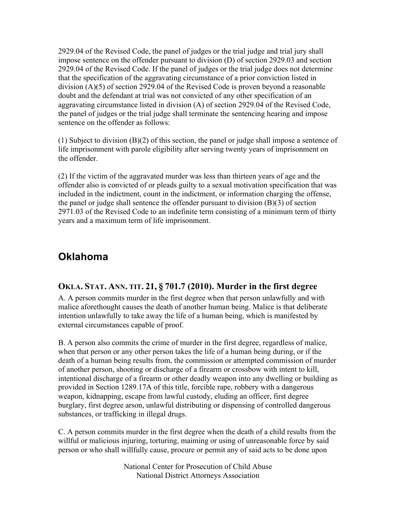2929.04 of the Revised Code, the panel of judges or the trial judge and trial jury shall impose sentence on the offender pursuant to division (D) of section 2929.03 and section 2929.04 of the Revised Code. If the panel of judges or the trial judge does not determine that the specification of the aggravating circumstance of a prior conviction listed in division (A)(5) of section 2929.04 of the Revised Code is proven beyond a reasonable doubt and the defendant at trial was not convicted of any other specification of an aggravating circumstance listed in division (A) of section 2929.04 of the Revised Code, the panel of judges or the trial judge shall terminate the sentencing hearing and impose sentence on the offender as follows:

 $(1)$  Subject to division  $(B)(2)$  of this section, the panel or judge shall impose a sentence of life imprisonment with parole eligibility after serving twenty years of imprisonment on the offender.

(2) If the victim of the aggravated murder was less than thirteen years of age and the offender also is convicted of or pleads guilty to a sexual motivation specification that was included in the indictment, count in the indictment, or information charging the offense, the panel or judge shall sentence the offender pursuant to division (B)(3) of section 2971.03 of the Revised Code to an indefinite term consisting of a minimum term of thirty years and a maximum term of life imprisonment.

# **Oklahoma**

# **OKLA. STAT. ANN. TIT. 21, § 701.7 (2010). Murder in the first degree**

A. A person commits murder in the first degree when that person unlawfully and with malice aforethought causes the death of another human being. Malice is that deliberate intention unlawfully to take away the life of a human being, which is manifested by external circumstances capable of proof.

B. A person also commits the crime of murder in the first degree, regardless of malice, when that person or any other person takes the life of a human being during, or if the death of a human being results from, the commission or attempted commission of murder of another person, shooting or discharge of a firearm or crossbow with intent to kill, intentional discharge of a firearm or other deadly weapon into any dwelling or building as provided in Section 1289.17A of this title, forcible rape, robbery with a dangerous weapon, kidnapping, escape from lawful custody, eluding an officer, first degree burglary, first degree arson, unlawful distributing or dispensing of controlled dangerous substances, or trafficking in illegal drugs.

C. A person commits murder in the first degree when the death of a child results from the willful or malicious injuring, torturing, maiming or using of unreasonable force by said person or who shall willfully cause, procure or permit any of said acts to be done upon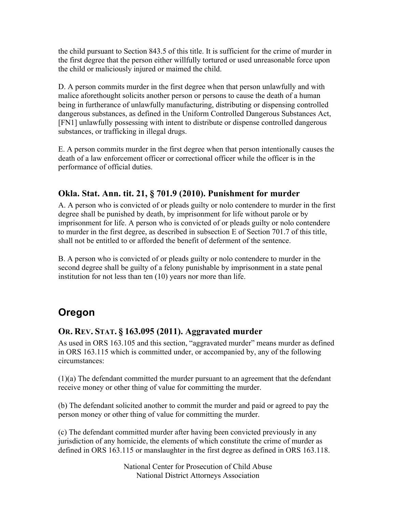the child pursuant to Section 843.5 of this title. It is sufficient for the crime of murder in the first degree that the person either willfully tortured or used unreasonable force upon the child or maliciously injured or maimed the child.

D. A person commits murder in the first degree when that person unlawfully and with malice aforethought solicits another person or persons to cause the death of a human being in furtherance of unlawfully manufacturing, distributing or dispensing controlled dangerous substances, as defined in the Uniform Controlled Dangerous Substances Act, [FN1] unlawfully possessing with intent to distribute or dispense controlled dangerous substances, or trafficking in illegal drugs.

E. A person commits murder in the first degree when that person intentionally causes the death of a law enforcement officer or correctional officer while the officer is in the performance of official duties.

# **Okla. Stat. Ann. tit. 21, § 701.9 (2010). Punishment for murder**

A. A person who is convicted of or pleads guilty or nolo contendere to murder in the first degree shall be punished by death, by imprisonment for life without parole or by imprisonment for life. A person who is convicted of or pleads guilty or nolo contendere to murder in the first degree, as described in subsection E of Section 701.7 of this title, shall not be entitled to or afforded the benefit of deferment of the sentence.

B. A person who is convicted of or pleads guilty or nolo contendere to murder in the second degree shall be guilty of a felony punishable by imprisonment in a state penal institution for not less than ten (10) years nor more than life.

# **Oregon**

## **OR. REV. STAT. § 163.095 (2011). Aggravated murder**

As used in ORS 163.105 and this section, "aggravated murder" means murder as defined in ORS 163.115 which is committed under, or accompanied by, any of the following circumstances:

(1)(a) The defendant committed the murder pursuant to an agreement that the defendant receive money or other thing of value for committing the murder.

(b) The defendant solicited another to commit the murder and paid or agreed to pay the person money or other thing of value for committing the murder.

(c) The defendant committed murder after having been convicted previously in any jurisdiction of any homicide, the elements of which constitute the crime of murder as defined in ORS 163.115 or manslaughter in the first degree as defined in ORS 163.118.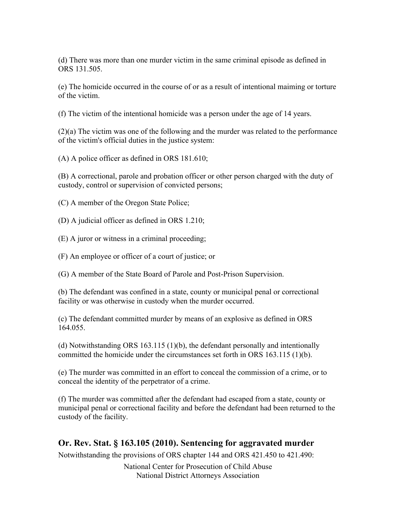(d) There was more than one murder victim in the same criminal episode as defined in ORS 131.505.

(e) The homicide occurred in the course of or as a result of intentional maiming or torture of the victim.

(f) The victim of the intentional homicide was a person under the age of 14 years.

(2)(a) The victim was one of the following and the murder was related to the performance of the victim's official duties in the justice system:

(A) A police officer as defined in ORS 181.610;

(B) A correctional, parole and probation officer or other person charged with the duty of custody, control or supervision of convicted persons;

(C) A member of the Oregon State Police;

(D) A judicial officer as defined in ORS 1.210;

(E) A juror or witness in a criminal proceeding;

(F) An employee or officer of a court of justice; or

(G) A member of the State Board of Parole and Post-Prison Supervision.

(b) The defendant was confined in a state, county or municipal penal or correctional facility or was otherwise in custody when the murder occurred.

(c) The defendant committed murder by means of an explosive as defined in ORS 164.055.

(d) Notwithstanding ORS 163.115 (1)(b), the defendant personally and intentionally committed the homicide under the circumstances set forth in ORS 163.115 (1)(b).

(e) The murder was committed in an effort to conceal the commission of a crime, or to conceal the identity of the perpetrator of a crime.

(f) The murder was committed after the defendant had escaped from a state, county or municipal penal or correctional facility and before the defendant had been returned to the custody of the facility.

#### **Or. Rev. Stat. § 163.105 (2010). Sentencing for aggravated murder**

Notwithstanding the provisions of ORS chapter 144 and ORS 421.450 to 421.490: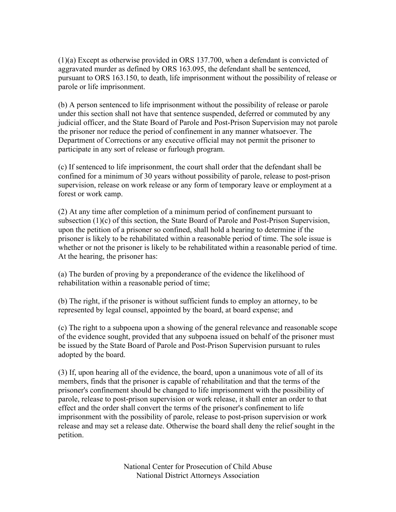(1)(a) Except as otherwise provided in ORS 137.700, when a defendant is convicted of aggravated murder as defined by ORS 163.095, the defendant shall be sentenced, pursuant to ORS 163.150, to death, life imprisonment without the possibility of release or parole or life imprisonment.

(b) A person sentenced to life imprisonment without the possibility of release or parole under this section shall not have that sentence suspended, deferred or commuted by any judicial officer, and the State Board of Parole and Post-Prison Supervision may not parole the prisoner nor reduce the period of confinement in any manner whatsoever. The Department of Corrections or any executive official may not permit the prisoner to participate in any sort of release or furlough program.

(c) If sentenced to life imprisonment, the court shall order that the defendant shall be confined for a minimum of 30 years without possibility of parole, release to post-prison supervision, release on work release or any form of temporary leave or employment at a forest or work camp.

(2) At any time after completion of a minimum period of confinement pursuant to subsection (1)(c) of this section, the State Board of Parole and Post-Prison Supervision, upon the petition of a prisoner so confined, shall hold a hearing to determine if the prisoner is likely to be rehabilitated within a reasonable period of time. The sole issue is whether or not the prisoner is likely to be rehabilitated within a reasonable period of time. At the hearing, the prisoner has:

(a) The burden of proving by a preponderance of the evidence the likelihood of rehabilitation within a reasonable period of time;

(b) The right, if the prisoner is without sufficient funds to employ an attorney, to be represented by legal counsel, appointed by the board, at board expense; and

(c) The right to a subpoena upon a showing of the general relevance and reasonable scope of the evidence sought, provided that any subpoena issued on behalf of the prisoner must be issued by the State Board of Parole and Post-Prison Supervision pursuant to rules adopted by the board.

(3) If, upon hearing all of the evidence, the board, upon a unanimous vote of all of its members, finds that the prisoner is capable of rehabilitation and that the terms of the prisoner's confinement should be changed to life imprisonment with the possibility of parole, release to post-prison supervision or work release, it shall enter an order to that effect and the order shall convert the terms of the prisoner's confinement to life imprisonment with the possibility of parole, release to post-prison supervision or work release and may set a release date. Otherwise the board shall deny the relief sought in the petition.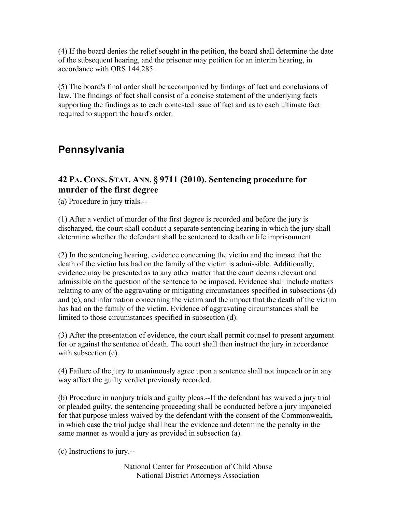(4) If the board denies the relief sought in the petition, the board shall determine the date of the subsequent hearing, and the prisoner may petition for an interim hearing, in accordance with ORS 144.285.

(5) The board's final order shall be accompanied by findings of fact and conclusions of law. The findings of fact shall consist of a concise statement of the underlying facts supporting the findings as to each contested issue of fact and as to each ultimate fact required to support the board's order.

# **Pennsylvania**

# **42 PA. CONS. STAT. ANN. § 9711 (2010). Sentencing procedure for murder of the first degree**

(a) Procedure in jury trials.--

(1) After a verdict of murder of the first degree is recorded and before the jury is discharged, the court shall conduct a separate sentencing hearing in which the jury shall determine whether the defendant shall be sentenced to death or life imprisonment.

(2) In the sentencing hearing, evidence concerning the victim and the impact that the death of the victim has had on the family of the victim is admissible. Additionally, evidence may be presented as to any other matter that the court deems relevant and admissible on the question of the sentence to be imposed. Evidence shall include matters relating to any of the aggravating or mitigating circumstances specified in subsections (d) and (e), and information concerning the victim and the impact that the death of the victim has had on the family of the victim. Evidence of aggravating circumstances shall be limited to those circumstances specified in subsection (d).

(3) After the presentation of evidence, the court shall permit counsel to present argument for or against the sentence of death. The court shall then instruct the jury in accordance with subsection  $(c)$ .

(4) Failure of the jury to unanimously agree upon a sentence shall not impeach or in any way affect the guilty verdict previously recorded.

(b) Procedure in nonjury trials and guilty pleas.--If the defendant has waived a jury trial or pleaded guilty, the sentencing proceeding shall be conducted before a jury impaneled for that purpose unless waived by the defendant with the consent of the Commonwealth, in which case the trial judge shall hear the evidence and determine the penalty in the same manner as would a jury as provided in subsection (a).

(c) Instructions to jury.--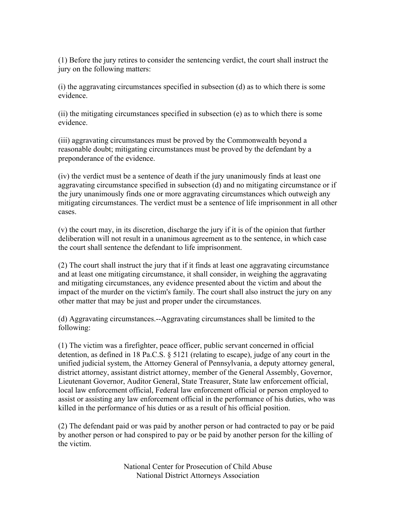(1) Before the jury retires to consider the sentencing verdict, the court shall instruct the jury on the following matters:

(i) the aggravating circumstances specified in subsection (d) as to which there is some evidence.

(ii) the mitigating circumstances specified in subsection (e) as to which there is some evidence.

(iii) aggravating circumstances must be proved by the Commonwealth beyond a reasonable doubt; mitigating circumstances must be proved by the defendant by a preponderance of the evidence.

(iv) the verdict must be a sentence of death if the jury unanimously finds at least one aggravating circumstance specified in subsection (d) and no mitigating circumstance or if the jury unanimously finds one or more aggravating circumstances which outweigh any mitigating circumstances. The verdict must be a sentence of life imprisonment in all other cases.

(v) the court may, in its discretion, discharge the jury if it is of the opinion that further deliberation will not result in a unanimous agreement as to the sentence, in which case the court shall sentence the defendant to life imprisonment.

(2) The court shall instruct the jury that if it finds at least one aggravating circumstance and at least one mitigating circumstance, it shall consider, in weighing the aggravating and mitigating circumstances, any evidence presented about the victim and about the impact of the murder on the victim's family. The court shall also instruct the jury on any other matter that may be just and proper under the circumstances.

(d) Aggravating circumstances.--Aggravating circumstances shall be limited to the following:

(1) The victim was a firefighter, peace officer, public servant concerned in official detention, as defined in 18 Pa.C.S. § 5121 (relating to escape), judge of any court in the unified judicial system, the Attorney General of Pennsylvania, a deputy attorney general, district attorney, assistant district attorney, member of the General Assembly, Governor, Lieutenant Governor, Auditor General, State Treasurer, State law enforcement official, local law enforcement official, Federal law enforcement official or person employed to assist or assisting any law enforcement official in the performance of his duties, who was killed in the performance of his duties or as a result of his official position.

(2) The defendant paid or was paid by another person or had contracted to pay or be paid by another person or had conspired to pay or be paid by another person for the killing of the victim.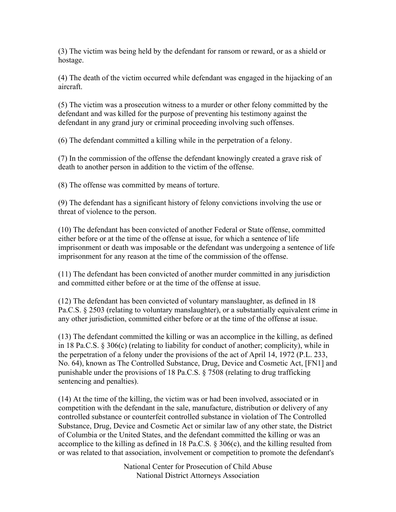(3) The victim was being held by the defendant for ransom or reward, or as a shield or hostage.

(4) The death of the victim occurred while defendant was engaged in the hijacking of an aircraft.

(5) The victim was a prosecution witness to a murder or other felony committed by the defendant and was killed for the purpose of preventing his testimony against the defendant in any grand jury or criminal proceeding involving such offenses.

(6) The defendant committed a killing while in the perpetration of a felony.

(7) In the commission of the offense the defendant knowingly created a grave risk of death to another person in addition to the victim of the offense.

(8) The offense was committed by means of torture.

(9) The defendant has a significant history of felony convictions involving the use or threat of violence to the person.

(10) The defendant has been convicted of another Federal or State offense, committed either before or at the time of the offense at issue, for which a sentence of life imprisonment or death was imposable or the defendant was undergoing a sentence of life imprisonment for any reason at the time of the commission of the offense.

(11) The defendant has been convicted of another murder committed in any jurisdiction and committed either before or at the time of the offense at issue.

(12) The defendant has been convicted of voluntary manslaughter, as defined in 18 Pa.C.S. § 2503 (relating to voluntary manslaughter), or a substantially equivalent crime in any other jurisdiction, committed either before or at the time of the offense at issue.

(13) The defendant committed the killing or was an accomplice in the killing, as defined in 18 Pa.C.S. § 306(c) (relating to liability for conduct of another; complicity), while in the perpetration of a felony under the provisions of the act of April 14, 1972 (P.L. 233, No. 64), known as The Controlled Substance, Drug, Device and Cosmetic Act, [FN1] and punishable under the provisions of 18 Pa.C.S. § 7508 (relating to drug trafficking sentencing and penalties).

(14) At the time of the killing, the victim was or had been involved, associated or in competition with the defendant in the sale, manufacture, distribution or delivery of any controlled substance or counterfeit controlled substance in violation of The Controlled Substance, Drug, Device and Cosmetic Act or similar law of any other state, the District of Columbia or the United States, and the defendant committed the killing or was an accomplice to the killing as defined in 18 Pa.C.S. § 306(c), and the killing resulted from or was related to that association, involvement or competition to promote the defendant's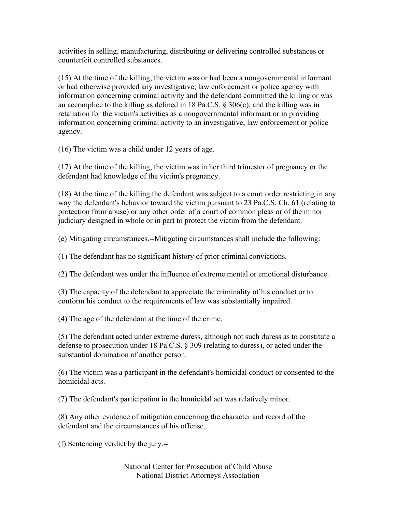activities in selling, manufacturing, distributing or delivering controlled substances or counterfeit controlled substances.

(15) At the time of the killing, the victim was or had been a nongovernmental informant or had otherwise provided any investigative, law enforcement or police agency with information concerning criminal activity and the defendant committed the killing or was an accomplice to the killing as defined in 18 Pa.C.S. § 306(c), and the killing was in retaliation for the victim's activities as a nongovernmental informant or in providing information concerning criminal activity to an investigative, law enforcement or police agency.

(16) The victim was a child under 12 years of age.

(17) At the time of the killing, the victim was in her third trimester of pregnancy or the defendant had knowledge of the victim's pregnancy.

(18) At the time of the killing the defendant was subject to a court order restricting in any way the defendant's behavior toward the victim pursuant to 23 Pa.C.S. Ch. 61 (relating to protection from abuse) or any other order of a court of common pleas or of the minor judiciary designed in whole or in part to protect the victim from the defendant.

(e) Mitigating circumstances.--Mitigating circumstances shall include the following:

(1) The defendant has no significant history of prior criminal convictions.

(2) The defendant was under the influence of extreme mental or emotional disturbance.

(3) The capacity of the defendant to appreciate the criminality of his conduct or to conform his conduct to the requirements of law was substantially impaired.

(4) The age of the defendant at the time of the crime.

(5) The defendant acted under extreme duress, although not such duress as to constitute a defense to prosecution under 18 Pa.C.S. § 309 (relating to duress), or acted under the substantial domination of another person.

(6) The victim was a participant in the defendant's homicidal conduct or consented to the homicidal acts.

(7) The defendant's participation in the homicidal act was relatively minor.

(8) Any other evidence of mitigation concerning the character and record of the defendant and the circumstances of his offense.

(f) Sentencing verdict by the jury.--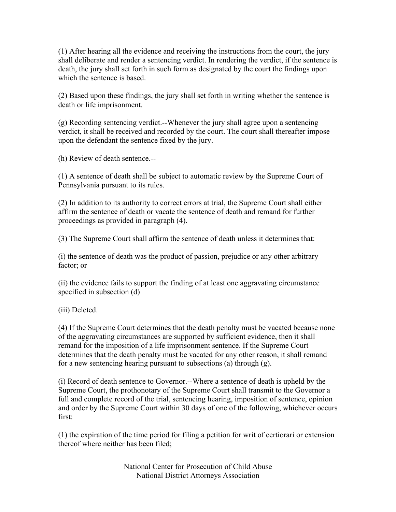(1) After hearing all the evidence and receiving the instructions from the court, the jury shall deliberate and render a sentencing verdict. In rendering the verdict, if the sentence is death, the jury shall set forth in such form as designated by the court the findings upon which the sentence is based.

(2) Based upon these findings, the jury shall set forth in writing whether the sentence is death or life imprisonment.

(g) Recording sentencing verdict.--Whenever the jury shall agree upon a sentencing verdict, it shall be received and recorded by the court. The court shall thereafter impose upon the defendant the sentence fixed by the jury.

(h) Review of death sentence.--

(1) A sentence of death shall be subject to automatic review by the Supreme Court of Pennsylvania pursuant to its rules.

(2) In addition to its authority to correct errors at trial, the Supreme Court shall either affirm the sentence of death or vacate the sentence of death and remand for further proceedings as provided in paragraph (4).

(3) The Supreme Court shall affirm the sentence of death unless it determines that:

(i) the sentence of death was the product of passion, prejudice or any other arbitrary factor; or

(ii) the evidence fails to support the finding of at least one aggravating circumstance specified in subsection (d)

(iii) Deleted.

(4) If the Supreme Court determines that the death penalty must be vacated because none of the aggravating circumstances are supported by sufficient evidence, then it shall remand for the imposition of a life imprisonment sentence. If the Supreme Court determines that the death penalty must be vacated for any other reason, it shall remand for a new sentencing hearing pursuant to subsections (a) through (g).

(i) Record of death sentence to Governor.--Where a sentence of death is upheld by the Supreme Court, the prothonotary of the Supreme Court shall transmit to the Governor a full and complete record of the trial, sentencing hearing, imposition of sentence, opinion and order by the Supreme Court within 30 days of one of the following, whichever occurs first:

(1) the expiration of the time period for filing a petition for writ of certiorari or extension thereof where neither has been filed;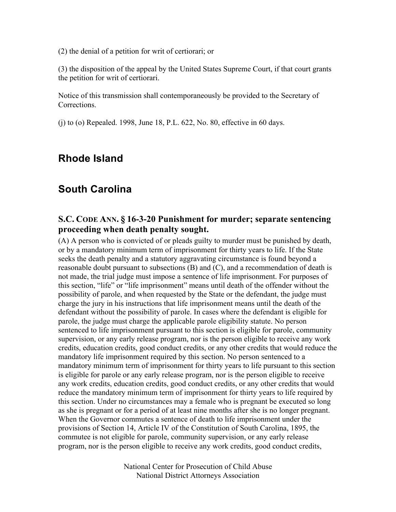(2) the denial of a petition for writ of certiorari; or

(3) the disposition of the appeal by the United States Supreme Court, if that court grants the petition for writ of certiorari.

Notice of this transmission shall contemporaneously be provided to the Secretary of **Corrections** 

(j) to (o) Repealed. 1998, June 18, P.L. 622, No. 80, effective in 60 days.

# **Rhode Island**

# **South Carolina**

#### **S.C. CODE ANN. § 16-3-20 Punishment for murder; separate sentencing proceeding when death penalty sought.**

(A) A person who is convicted of or pleads guilty to murder must be punished by death, or by a mandatory minimum term of imprisonment for thirty years to life. If the State seeks the death penalty and a statutory aggravating circumstance is found beyond a reasonable doubt pursuant to subsections (B) and (C), and a recommendation of death is not made, the trial judge must impose a sentence of life imprisonment. For purposes of this section, "life" or "life imprisonment" means until death of the offender without the possibility of parole, and when requested by the State or the defendant, the judge must charge the jury in his instructions that life imprisonment means until the death of the defendant without the possibility of parole. In cases where the defendant is eligible for parole, the judge must charge the applicable parole eligibility statute. No person sentenced to life imprisonment pursuant to this section is eligible for parole, community supervision, or any early release program, nor is the person eligible to receive any work credits, education credits, good conduct credits, or any other credits that would reduce the mandatory life imprisonment required by this section. No person sentenced to a mandatory minimum term of imprisonment for thirty years to life pursuant to this section is eligible for parole or any early release program, nor is the person eligible to receive any work credits, education credits, good conduct credits, or any other credits that would reduce the mandatory minimum term of imprisonment for thirty years to life required by this section. Under no circumstances may a female who is pregnant be executed so long as she is pregnant or for a period of at least nine months after she is no longer pregnant. When the Governor commutes a sentence of death to life imprisonment under the provisions of Section 14, Article IV of the Constitution of South Carolina, 1895, the commutee is not eligible for parole, community supervision, or any early release program, nor is the person eligible to receive any work credits, good conduct credits,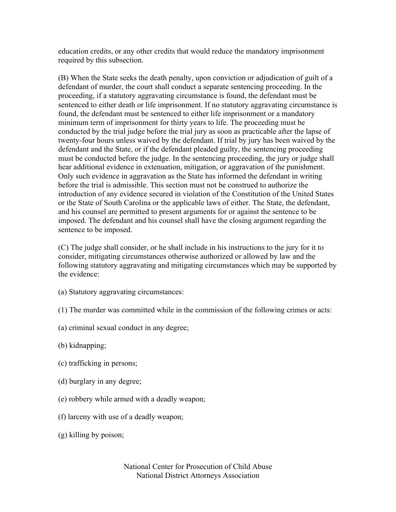education credits, or any other credits that would reduce the mandatory imprisonment required by this subsection.

(B) When the State seeks the death penalty, upon conviction or adjudication of guilt of a defendant of murder, the court shall conduct a separate sentencing proceeding. In the proceeding, if a statutory aggravating circumstance is found, the defendant must be sentenced to either death or life imprisonment. If no statutory aggravating circumstance is found, the defendant must be sentenced to either life imprisonment or a mandatory minimum term of imprisonment for thirty years to life. The proceeding must be conducted by the trial judge before the trial jury as soon as practicable after the lapse of twenty-four hours unless waived by the defendant. If trial by jury has been waived by the defendant and the State, or if the defendant pleaded guilty, the sentencing proceeding must be conducted before the judge. In the sentencing proceeding, the jury or judge shall hear additional evidence in extenuation, mitigation, or aggravation of the punishment. Only such evidence in aggravation as the State has informed the defendant in writing before the trial is admissible. This section must not be construed to authorize the introduction of any evidence secured in violation of the Constitution of the United States or the State of South Carolina or the applicable laws of either. The State, the defendant, and his counsel are permitted to present arguments for or against the sentence to be imposed. The defendant and his counsel shall have the closing argument regarding the sentence to be imposed.

(C) The judge shall consider, or he shall include in his instructions to the jury for it to consider, mitigating circumstances otherwise authorized or allowed by law and the following statutory aggravating and mitigating circumstances which may be supported by the evidence:

- (a) Statutory aggravating circumstances:
- (1) The murder was committed while in the commission of the following crimes or acts:
- (a) criminal sexual conduct in any degree;
- (b) kidnapping;
- (c) trafficking in persons;
- (d) burglary in any degree;
- (e) robbery while armed with a deadly weapon;
- (f) larceny with use of a deadly weapon;
- (g) killing by poison;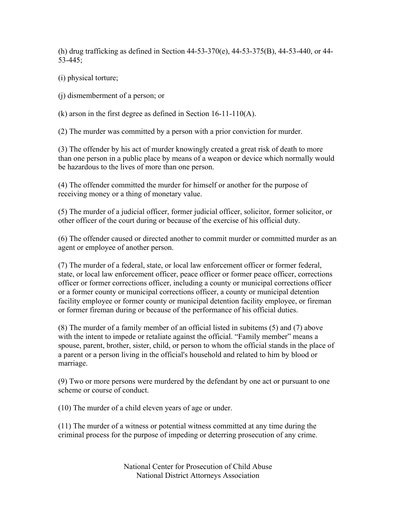(h) drug trafficking as defined in Section 44-53-370(e), 44-53-375(B), 44-53-440, or 44- 53-445;

(i) physical torture;

(j) dismemberment of a person; or

(k) arson in the first degree as defined in Section 16-11-110(A).

(2) The murder was committed by a person with a prior conviction for murder.

(3) The offender by his act of murder knowingly created a great risk of death to more than one person in a public place by means of a weapon or device which normally would be hazardous to the lives of more than one person.

(4) The offender committed the murder for himself or another for the purpose of receiving money or a thing of monetary value.

(5) The murder of a judicial officer, former judicial officer, solicitor, former solicitor, or other officer of the court during or because of the exercise of his official duty.

(6) The offender caused or directed another to commit murder or committed murder as an agent or employee of another person.

(7) The murder of a federal, state, or local law enforcement officer or former federal, state, or local law enforcement officer, peace officer or former peace officer, corrections officer or former corrections officer, including a county or municipal corrections officer or a former county or municipal corrections officer, a county or municipal detention facility employee or former county or municipal detention facility employee, or fireman or former fireman during or because of the performance of his official duties.

(8) The murder of a family member of an official listed in subitems (5) and (7) above with the intent to impede or retaliate against the official. "Family member" means a spouse, parent, brother, sister, child, or person to whom the official stands in the place of a parent or a person living in the official's household and related to him by blood or marriage.

(9) Two or more persons were murdered by the defendant by one act or pursuant to one scheme or course of conduct.

(10) The murder of a child eleven years of age or under.

(11) The murder of a witness or potential witness committed at any time during the criminal process for the purpose of impeding or deterring prosecution of any crime.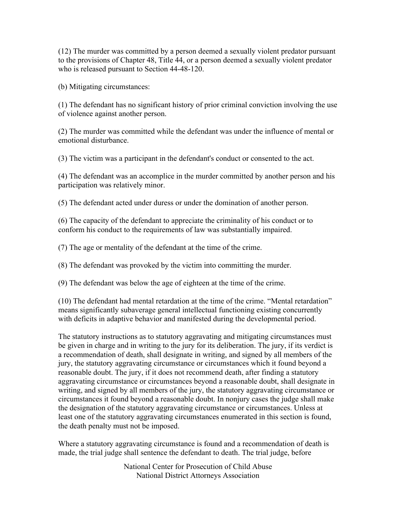(12) The murder was committed by a person deemed a sexually violent predator pursuant to the provisions of Chapter 48, Title 44, or a person deemed a sexually violent predator who is released pursuant to Section 44-48-120.

(b) Mitigating circumstances:

(1) The defendant has no significant history of prior criminal conviction involving the use of violence against another person.

(2) The murder was committed while the defendant was under the influence of mental or emotional disturbance.

(3) The victim was a participant in the defendant's conduct or consented to the act.

(4) The defendant was an accomplice in the murder committed by another person and his participation was relatively minor.

(5) The defendant acted under duress or under the domination of another person.

(6) The capacity of the defendant to appreciate the criminality of his conduct or to conform his conduct to the requirements of law was substantially impaired.

(7) The age or mentality of the defendant at the time of the crime.

(8) The defendant was provoked by the victim into committing the murder.

(9) The defendant was below the age of eighteen at the time of the crime.

(10) The defendant had mental retardation at the time of the crime. "Mental retardation" means significantly subaverage general intellectual functioning existing concurrently with deficits in adaptive behavior and manifested during the developmental period.

The statutory instructions as to statutory aggravating and mitigating circumstances must be given in charge and in writing to the jury for its deliberation. The jury, if its verdict is a recommendation of death, shall designate in writing, and signed by all members of the jury, the statutory aggravating circumstance or circumstances which it found beyond a reasonable doubt. The jury, if it does not recommend death, after finding a statutory aggravating circumstance or circumstances beyond a reasonable doubt, shall designate in writing, and signed by all members of the jury, the statutory aggravating circumstance or circumstances it found beyond a reasonable doubt. In nonjury cases the judge shall make the designation of the statutory aggravating circumstance or circumstances. Unless at least one of the statutory aggravating circumstances enumerated in this section is found, the death penalty must not be imposed.

Where a statutory aggravating circumstance is found and a recommendation of death is made, the trial judge shall sentence the defendant to death. The trial judge, before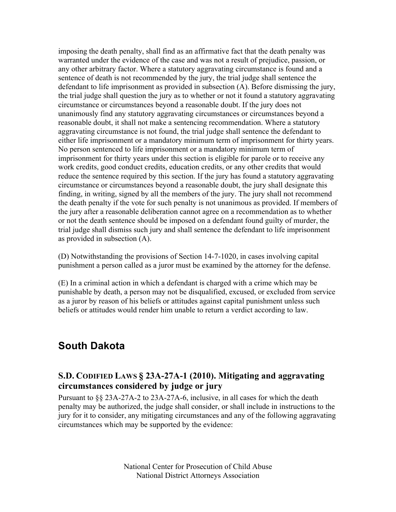imposing the death penalty, shall find as an affirmative fact that the death penalty was warranted under the evidence of the case and was not a result of prejudice, passion, or any other arbitrary factor. Where a statutory aggravating circumstance is found and a sentence of death is not recommended by the jury, the trial judge shall sentence the defendant to life imprisonment as provided in subsection (A). Before dismissing the jury, the trial judge shall question the jury as to whether or not it found a statutory aggravating circumstance or circumstances beyond a reasonable doubt. If the jury does not unanimously find any statutory aggravating circumstances or circumstances beyond a reasonable doubt, it shall not make a sentencing recommendation. Where a statutory aggravating circumstance is not found, the trial judge shall sentence the defendant to either life imprisonment or a mandatory minimum term of imprisonment for thirty years. No person sentenced to life imprisonment or a mandatory minimum term of imprisonment for thirty years under this section is eligible for parole or to receive any work credits, good conduct credits, education credits, or any other credits that would reduce the sentence required by this section. If the jury has found a statutory aggravating circumstance or circumstances beyond a reasonable doubt, the jury shall designate this finding, in writing, signed by all the members of the jury. The jury shall not recommend the death penalty if the vote for such penalty is not unanimous as provided. If members of the jury after a reasonable deliberation cannot agree on a recommendation as to whether or not the death sentence should be imposed on a defendant found guilty of murder, the trial judge shall dismiss such jury and shall sentence the defendant to life imprisonment as provided in subsection (A).

(D) Notwithstanding the provisions of Section 14-7-1020, in cases involving capital punishment a person called as a juror must be examined by the attorney for the defense.

(E) In a criminal action in which a defendant is charged with a crime which may be punishable by death, a person may not be disqualified, excused, or excluded from service as a juror by reason of his beliefs or attitudes against capital punishment unless such beliefs or attitudes would render him unable to return a verdict according to law.

# **South Dakota**

### **S.D. CODIFIED LAWS § 23A-27A-1 (2010). Mitigating and aggravating circumstances considered by judge or jury**

Pursuant to §§ 23A-27A-2 to 23A-27A-6, inclusive, in all cases for which the death penalty may be authorized, the judge shall consider, or shall include in instructions to the jury for it to consider, any mitigating circumstances and any of the following aggravating circumstances which may be supported by the evidence: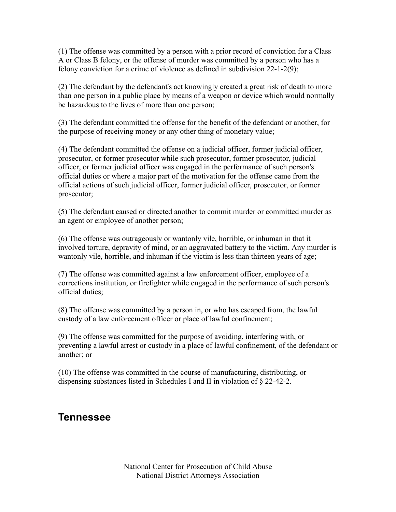(1) The offense was committed by a person with a prior record of conviction for a Class A or Class B felony, or the offense of murder was committed by a person who has a felony conviction for a crime of violence as defined in subdivision 22-1-2(9);

(2) The defendant by the defendant's act knowingly created a great risk of death to more than one person in a public place by means of a weapon or device which would normally be hazardous to the lives of more than one person;

(3) The defendant committed the offense for the benefit of the defendant or another, for the purpose of receiving money or any other thing of monetary value;

(4) The defendant committed the offense on a judicial officer, former judicial officer, prosecutor, or former prosecutor while such prosecutor, former prosecutor, judicial officer, or former judicial officer was engaged in the performance of such person's official duties or where a major part of the motivation for the offense came from the official actions of such judicial officer, former judicial officer, prosecutor, or former prosecutor;

(5) The defendant caused or directed another to commit murder or committed murder as an agent or employee of another person;

(6) The offense was outrageously or wantonly vile, horrible, or inhuman in that it involved torture, depravity of mind, or an aggravated battery to the victim. Any murder is wantonly vile, horrible, and inhuman if the victim is less than thirteen years of age;

(7) The offense was committed against a law enforcement officer, employee of a corrections institution, or firefighter while engaged in the performance of such person's official duties;

(8) The offense was committed by a person in, or who has escaped from, the lawful custody of a law enforcement officer or place of lawful confinement;

(9) The offense was committed for the purpose of avoiding, interfering with, or preventing a lawful arrest or custody in a place of lawful confinement, of the defendant or another; or

(10) The offense was committed in the course of manufacturing, distributing, or dispensing substances listed in Schedules I and II in violation of § 22-42-2.

# **Tennessee**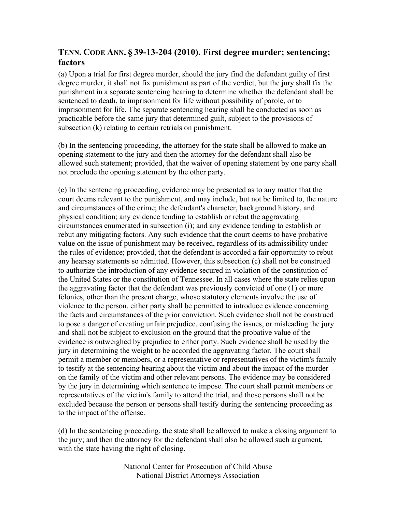# **TENN. CODE ANN. § 39-13-204 (2010). First degree murder; sentencing; factors**

(a) Upon a trial for first degree murder, should the jury find the defendant guilty of first degree murder, it shall not fix punishment as part of the verdict, but the jury shall fix the punishment in a separate sentencing hearing to determine whether the defendant shall be sentenced to death, to imprisonment for life without possibility of parole, or to imprisonment for life. The separate sentencing hearing shall be conducted as soon as practicable before the same jury that determined guilt, subject to the provisions of subsection (k) relating to certain retrials on punishment.

(b) In the sentencing proceeding, the attorney for the state shall be allowed to make an opening statement to the jury and then the attorney for the defendant shall also be allowed such statement; provided, that the waiver of opening statement by one party shall not preclude the opening statement by the other party.

(c) In the sentencing proceeding, evidence may be presented as to any matter that the court deems relevant to the punishment, and may include, but not be limited to, the nature and circumstances of the crime; the defendant's character, background history, and physical condition; any evidence tending to establish or rebut the aggravating circumstances enumerated in subsection (i); and any evidence tending to establish or rebut any mitigating factors. Any such evidence that the court deems to have probative value on the issue of punishment may be received, regardless of its admissibility under the rules of evidence; provided, that the defendant is accorded a fair opportunity to rebut any hearsay statements so admitted. However, this subsection (c) shall not be construed to authorize the introduction of any evidence secured in violation of the constitution of the United States or the constitution of Tennessee. In all cases where the state relies upon the aggravating factor that the defendant was previously convicted of one (1) or more felonies, other than the present charge, whose statutory elements involve the use of violence to the person, either party shall be permitted to introduce evidence concerning the facts and circumstances of the prior conviction. Such evidence shall not be construed to pose a danger of creating unfair prejudice, confusing the issues, or misleading the jury and shall not be subject to exclusion on the ground that the probative value of the evidence is outweighed by prejudice to either party. Such evidence shall be used by the jury in determining the weight to be accorded the aggravating factor. The court shall permit a member or members, or a representative or representatives of the victim's family to testify at the sentencing hearing about the victim and about the impact of the murder on the family of the victim and other relevant persons. The evidence may be considered by the jury in determining which sentence to impose. The court shall permit members or representatives of the victim's family to attend the trial, and those persons shall not be excluded because the person or persons shall testify during the sentencing proceeding as to the impact of the offense.

(d) In the sentencing proceeding, the state shall be allowed to make a closing argument to the jury; and then the attorney for the defendant shall also be allowed such argument, with the state having the right of closing.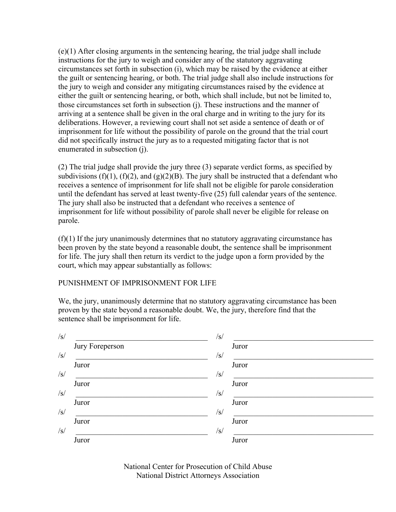(e)(1) After closing arguments in the sentencing hearing, the trial judge shall include instructions for the jury to weigh and consider any of the statutory aggravating circumstances set forth in subsection (i), which may be raised by the evidence at either the guilt or sentencing hearing, or both. The trial judge shall also include instructions for the jury to weigh and consider any mitigating circumstances raised by the evidence at either the guilt or sentencing hearing, or both, which shall include, but not be limited to, those circumstances set forth in subsection (j). These instructions and the manner of arriving at a sentence shall be given in the oral charge and in writing to the jury for its deliberations. However, a reviewing court shall not set aside a sentence of death or of imprisonment for life without the possibility of parole on the ground that the trial court did not specifically instruct the jury as to a requested mitigating factor that is not enumerated in subsection (j).

(2) The trial judge shall provide the jury three (3) separate verdict forms, as specified by subdivisions (f)(1), (f)(2), and (g)(2)(B). The jury shall be instructed that a defendant who receives a sentence of imprisonment for life shall not be eligible for parole consideration until the defendant has served at least twenty-five (25) full calendar years of the sentence. The jury shall also be instructed that a defendant who receives a sentence of imprisonment for life without possibility of parole shall never be eligible for release on parole.

 $(f)(1)$  If the jury unanimously determines that no statutory aggravating circumstance has been proven by the state beyond a reasonable doubt, the sentence shall be imprisonment for life. The jury shall then return its verdict to the judge upon a form provided by the court, which may appear substantially as follows:

#### PUNISHMENT OF IMPRISONMENT FOR LIFE

We, the jury, unanimously determine that no statutory aggravating circumstance has been proven by the state beyond a reasonable doubt. We, the jury, therefore find that the sentence shall be imprisonment for life.

| $\sqrt{s/}}$ |                 | $\sqrt{s}$ |       |
|--------------|-----------------|------------|-------|
|              | Jury Foreperson |            | Juror |
| $\sqrt{s/}}$ |                 | $\sqrt{s}$ |       |
|              | Juror           |            | Juror |
| $\sqrt{s/}}$ |                 | $\sqrt{s}$ |       |
|              | Juror           |            | Juror |
| $\sqrt{s/}}$ |                 | $\sqrt{s}$ |       |
|              | Juror           |            | Juror |
| $\sqrt{s/}}$ |                 | $\sqrt{s}$ |       |
|              | Juror           |            | Juror |
| $\sqrt{s/}}$ |                 | $\sqrt{s}$ |       |
|              | Juror           |            | Juror |
|              |                 |            |       |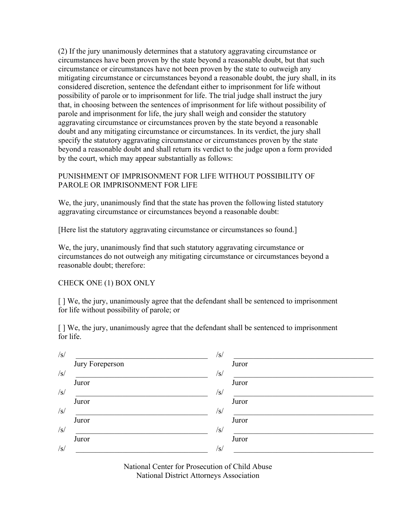(2) If the jury unanimously determines that a statutory aggravating circumstance or circumstances have been proven by the state beyond a reasonable doubt, but that such circumstance or circumstances have not been proven by the state to outweigh any mitigating circumstance or circumstances beyond a reasonable doubt, the jury shall, in its considered discretion, sentence the defendant either to imprisonment for life without possibility of parole or to imprisonment for life. The trial judge shall instruct the jury that, in choosing between the sentences of imprisonment for life without possibility of parole and imprisonment for life, the jury shall weigh and consider the statutory aggravating circumstance or circumstances proven by the state beyond a reasonable doubt and any mitigating circumstance or circumstances. In its verdict, the jury shall specify the statutory aggravating circumstance or circumstances proven by the state beyond a reasonable doubt and shall return its verdict to the judge upon a form provided by the court, which may appear substantially as follows:

#### PUNISHMENT OF IMPRISONMENT FOR LIFE WITHOUT POSSIBILITY OF PAROLE OR IMPRISONMENT FOR LIFE

We, the jury, unanimously find that the state has proven the following listed statutory aggravating circumstance or circumstances beyond a reasonable doubt:

[Here list the statutory aggravating circumstance or circumstances so found.]

We, the jury, unanimously find that such statutory aggravating circumstance or circumstances do not outweigh any mitigating circumstance or circumstances beyond a reasonable doubt; therefore:

#### CHECK ONE (1) BOX ONLY

[ ] We, the jury, unanimously agree that the defendant shall be sentenced to imprisonment for life without possibility of parole; or

[ ] We, the jury, unanimously agree that the defendant shall be sentenced to imprisonment for life.

| $\sqrt{s/}}$ |                 | $\sqrt{s/}$ |  |
|--------------|-----------------|-------------|--|
|              | Jury Foreperson | Juror       |  |
| $\sqrt{s/}}$ |                 | $\sqrt{s}$  |  |
|              | Juror           | Juror       |  |
| $\sqrt{s/}}$ |                 | $\sqrt{s}$  |  |
|              | Juror           | Juror       |  |
| $\sqrt{s/}}$ |                 | $\sqrt{s/}$ |  |
|              | Juror           | Juror       |  |
| $\sqrt{s/}}$ |                 | $\sqrt{s/}$ |  |
|              | Juror           | Juror       |  |
| $\sqrt{s/}}$ |                 | $\sqrt{s/}$ |  |
|              |                 |             |  |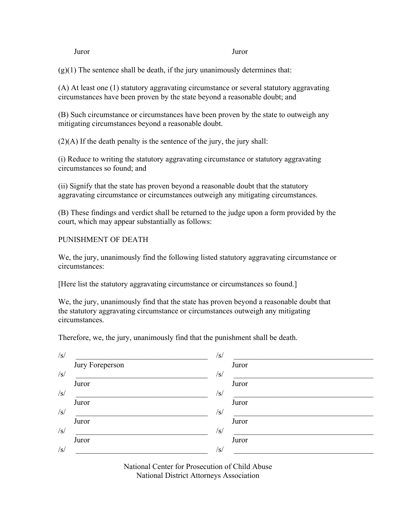Juror Juror

(g)(1) The sentence shall be death, if the jury unanimously determines that:

(A) At least one (1) statutory aggravating circumstance or several statutory aggravating circumstances have been proven by the state beyond a reasonable doubt; and

(B) Such circumstance or circumstances have been proven by the state to outweigh any mitigating circumstances beyond a reasonable doubt.

(2)(A) If the death penalty is the sentence of the jury, the jury shall:

(i) Reduce to writing the statutory aggravating circumstance or statutory aggravating circumstances so found; and

(ii) Signify that the state has proven beyond a reasonable doubt that the statutory aggravating circumstance or circumstances outweigh any mitigating circumstances.

(B) These findings and verdict shall be returned to the judge upon a form provided by the court, which may appear substantially as follows:

#### PUNISHMENT OF DEATH

We, the jury, unanimously find the following listed statutory aggravating circumstance or circumstances:

[Here list the statutory aggravating circumstance or circumstances so found.]

We, the jury, unanimously find that the state has proven beyond a reasonable doubt that the statutory aggravating circumstance or circumstances outweigh any mitigating circumstances.

Therefore, we, the jury, unanimously find that the punishment shall be death.

| /s/          |                 | $\sqrt{s/}}$ |  |
|--------------|-----------------|--------------|--|
|              | Jury Foreperson | Juror        |  |
| $\sqrt{s/}}$ |                 | $\sqrt{s/}$  |  |
|              | Juror           | Juror        |  |
| $\sqrt{s}$   |                 | $\sqrt{s}$   |  |
|              | Juror           | Juror        |  |
| $\sqrt{s/}}$ |                 | $\sqrt{s/}$  |  |
|              | Juror           | Juror        |  |
| /s/          |                 | $\sqrt{s}$   |  |
|              | Juror           | Juror        |  |
| $\sqrt{s/}}$ |                 | $\sqrt{s}$   |  |
|              |                 |              |  |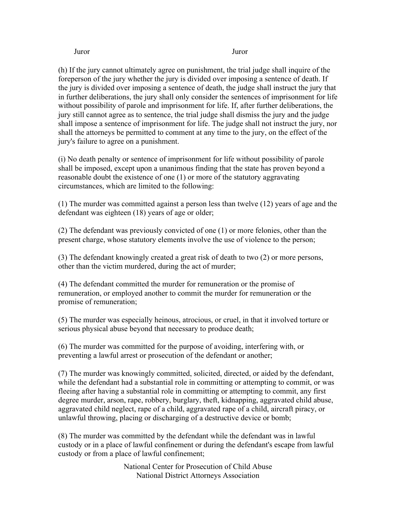#### Juror Juror

(h) If the jury cannot ultimately agree on punishment, the trial judge shall inquire of the foreperson of the jury whether the jury is divided over imposing a sentence of death. If the jury is divided over imposing a sentence of death, the judge shall instruct the jury that in further deliberations, the jury shall only consider the sentences of imprisonment for life without possibility of parole and imprisonment for life. If, after further deliberations, the jury still cannot agree as to sentence, the trial judge shall dismiss the jury and the judge shall impose a sentence of imprisonment for life. The judge shall not instruct the jury, nor shall the attorneys be permitted to comment at any time to the jury, on the effect of the jury's failure to agree on a punishment.

(i) No death penalty or sentence of imprisonment for life without possibility of parole shall be imposed, except upon a unanimous finding that the state has proven beyond a reasonable doubt the existence of one (1) or more of the statutory aggravating circumstances, which are limited to the following:

(1) The murder was committed against a person less than twelve (12) years of age and the defendant was eighteen (18) years of age or older;

(2) The defendant was previously convicted of one (1) or more felonies, other than the present charge, whose statutory elements involve the use of violence to the person;

(3) The defendant knowingly created a great risk of death to two (2) or more persons, other than the victim murdered, during the act of murder;

(4) The defendant committed the murder for remuneration or the promise of remuneration, or employed another to commit the murder for remuneration or the promise of remuneration;

(5) The murder was especially heinous, atrocious, or cruel, in that it involved torture or serious physical abuse beyond that necessary to produce death;

(6) The murder was committed for the purpose of avoiding, interfering with, or preventing a lawful arrest or prosecution of the defendant or another;

(7) The murder was knowingly committed, solicited, directed, or aided by the defendant, while the defendant had a substantial role in committing or attempting to commit, or was fleeing after having a substantial role in committing or attempting to commit, any first degree murder, arson, rape, robbery, burglary, theft, kidnapping, aggravated child abuse, aggravated child neglect, rape of a child, aggravated rape of a child, aircraft piracy, or unlawful throwing, placing or discharging of a destructive device or bomb;

(8) The murder was committed by the defendant while the defendant was in lawful custody or in a place of lawful confinement or during the defendant's escape from lawful custody or from a place of lawful confinement;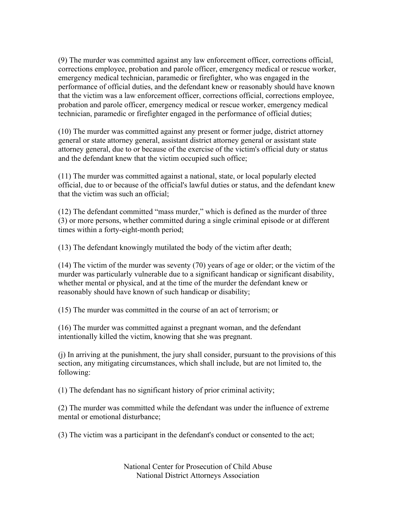(9) The murder was committed against any law enforcement officer, corrections official, corrections employee, probation and parole officer, emergency medical or rescue worker, emergency medical technician, paramedic or firefighter, who was engaged in the performance of official duties, and the defendant knew or reasonably should have known that the victim was a law enforcement officer, corrections official, corrections employee, probation and parole officer, emergency medical or rescue worker, emergency medical technician, paramedic or firefighter engaged in the performance of official duties;

(10) The murder was committed against any present or former judge, district attorney general or state attorney general, assistant district attorney general or assistant state attorney general, due to or because of the exercise of the victim's official duty or status and the defendant knew that the victim occupied such office;

(11) The murder was committed against a national, state, or local popularly elected official, due to or because of the official's lawful duties or status, and the defendant knew that the victim was such an official;

(12) The defendant committed "mass murder," which is defined as the murder of three (3) or more persons, whether committed during a single criminal episode or at different times within a forty-eight-month period;

(13) The defendant knowingly mutilated the body of the victim after death;

(14) The victim of the murder was seventy (70) years of age or older; or the victim of the murder was particularly vulnerable due to a significant handicap or significant disability, whether mental or physical, and at the time of the murder the defendant knew or reasonably should have known of such handicap or disability;

(15) The murder was committed in the course of an act of terrorism; or

(16) The murder was committed against a pregnant woman, and the defendant intentionally killed the victim, knowing that she was pregnant.

(j) In arriving at the punishment, the jury shall consider, pursuant to the provisions of this section, any mitigating circumstances, which shall include, but are not limited to, the following:

(1) The defendant has no significant history of prior criminal activity;

(2) The murder was committed while the defendant was under the influence of extreme mental or emotional disturbance;

(3) The victim was a participant in the defendant's conduct or consented to the act;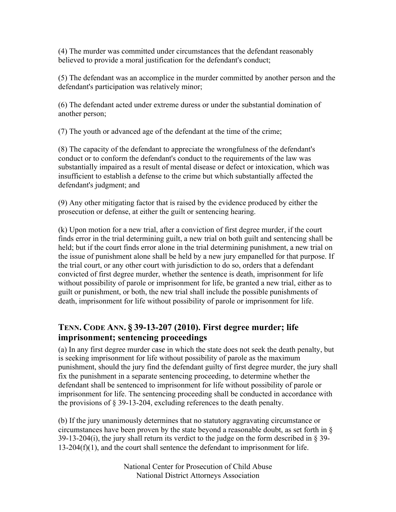(4) The murder was committed under circumstances that the defendant reasonably believed to provide a moral justification for the defendant's conduct;

(5) The defendant was an accomplice in the murder committed by another person and the defendant's participation was relatively minor;

(6) The defendant acted under extreme duress or under the substantial domination of another person;

(7) The youth or advanced age of the defendant at the time of the crime;

(8) The capacity of the defendant to appreciate the wrongfulness of the defendant's conduct or to conform the defendant's conduct to the requirements of the law was substantially impaired as a result of mental disease or defect or intoxication, which was insufficient to establish a defense to the crime but which substantially affected the defendant's judgment; and

(9) Any other mitigating factor that is raised by the evidence produced by either the prosecution or defense, at either the guilt or sentencing hearing.

(k) Upon motion for a new trial, after a conviction of first degree murder, if the court finds error in the trial determining guilt, a new trial on both guilt and sentencing shall be held; but if the court finds error alone in the trial determining punishment, a new trial on the issue of punishment alone shall be held by a new jury empanelled for that purpose. If the trial court, or any other court with jurisdiction to do so, orders that a defendant convicted of first degree murder, whether the sentence is death, imprisonment for life without possibility of parole or imprisonment for life, be granted a new trial, either as to guilt or punishment, or both, the new trial shall include the possible punishments of death, imprisonment for life without possibility of parole or imprisonment for life.

# **TENN. CODE ANN. § 39-13-207 (2010). First degree murder; life imprisonment; sentencing proceedings**

(a) In any first degree murder case in which the state does not seek the death penalty, but is seeking imprisonment for life without possibility of parole as the maximum punishment, should the jury find the defendant guilty of first degree murder, the jury shall fix the punishment in a separate sentencing proceeding, to determine whether the defendant shall be sentenced to imprisonment for life without possibility of parole or imprisonment for life. The sentencing proceeding shall be conducted in accordance with the provisions of § 39-13-204, excluding references to the death penalty.

(b) If the jury unanimously determines that no statutory aggravating circumstance or circumstances have been proven by the state beyond a reasonable doubt, as set forth in §  $39-13-204(i)$ , the jury shall return its verdict to the judge on the form described in § 39-13-204(f)(1), and the court shall sentence the defendant to imprisonment for life.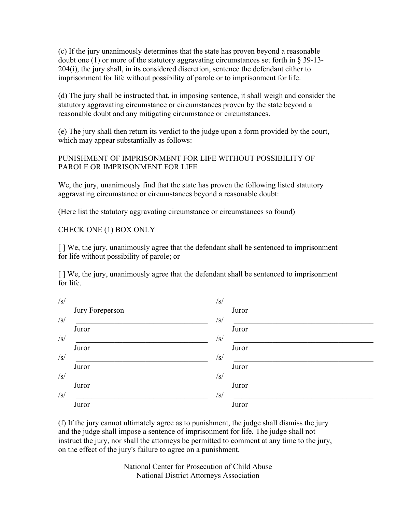(c) If the jury unanimously determines that the state has proven beyond a reasonable doubt one (1) or more of the statutory aggravating circumstances set forth in § 39-13- 204(i), the jury shall, in its considered discretion, sentence the defendant either to imprisonment for life without possibility of parole or to imprisonment for life.

(d) The jury shall be instructed that, in imposing sentence, it shall weigh and consider the statutory aggravating circumstance or circumstances proven by the state beyond a reasonable doubt and any mitigating circumstance or circumstances.

(e) The jury shall then return its verdict to the judge upon a form provided by the court, which may appear substantially as follows:

PUNISHMENT OF IMPRISONMENT FOR LIFE WITHOUT POSSIBILITY OF PAROLE OR IMPRISONMENT FOR LIFE

We, the jury, unanimously find that the state has proven the following listed statutory aggravating circumstance or circumstances beyond a reasonable doubt:

(Here list the statutory aggravating circumstance or circumstances so found)

#### CHECK ONE (1) BOX ONLY

[ ] We, the jury, unanimously agree that the defendant shall be sentenced to imprisonment for life without possibility of parole; or

[ ] We, the jury, unanimously agree that the defendant shall be sentenced to imprisonment for life.

| $\sqrt{s/}}$    | $\sqrt{s/}}$ |  |
|-----------------|--------------|--|
| Jury Foreperson | Juror        |  |
| $\sqrt{s}$      | $\sqrt{s/}$  |  |
| Juror           | Juror        |  |
| $\sqrt{s}$      | $\sqrt{s/}}$ |  |
| Juror           | Juror        |  |
| $\sqrt{s}$      | $\sqrt{s/}$  |  |
| Juror           | Juror        |  |
| $\sqrt{s}$      | $\sqrt{s}$   |  |
| Juror           | Juror        |  |
| $\sqrt{s}$      | $\sqrt{s/}$  |  |
| Juror           | Juror        |  |

(f) If the jury cannot ultimately agree as to punishment, the judge shall dismiss the jury and the judge shall impose a sentence of imprisonment for life. The judge shall not instruct the jury, nor shall the attorneys be permitted to comment at any time to the jury, on the effect of the jury's failure to agree on a punishment.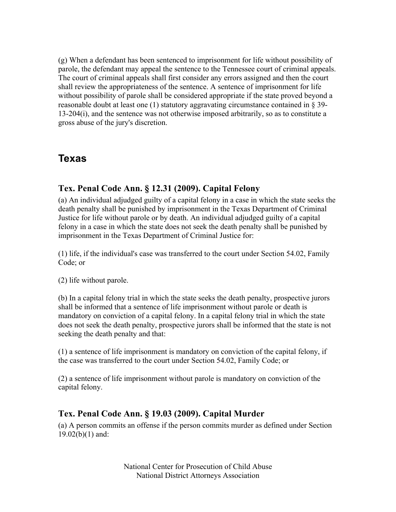(g) When a defendant has been sentenced to imprisonment for life without possibility of parole, the defendant may appeal the sentence to the Tennessee court of criminal appeals. The court of criminal appeals shall first consider any errors assigned and then the court shall review the appropriateness of the sentence. A sentence of imprisonment for life without possibility of parole shall be considered appropriate if the state proved beyond a reasonable doubt at least one (1) statutory aggravating circumstance contained in  $\S$  39-13-204(i), and the sentence was not otherwise imposed arbitrarily, so as to constitute a gross abuse of the jury's discretion.

# **Texas**

# **Tex. Penal Code Ann. § 12.31 (2009). Capital Felony**

(a) An individual adjudged guilty of a capital felony in a case in which the state seeks the death penalty shall be punished by imprisonment in the Texas Department of Criminal Justice for life without parole or by death. An individual adjudged guilty of a capital felony in a case in which the state does not seek the death penalty shall be punished by imprisonment in the Texas Department of Criminal Justice for:

(1) life, if the individual's case was transferred to the court under Section 54.02, Family Code; or

(2) life without parole.

(b) In a capital felony trial in which the state seeks the death penalty, prospective jurors shall be informed that a sentence of life imprisonment without parole or death is mandatory on conviction of a capital felony. In a capital felony trial in which the state does not seek the death penalty, prospective jurors shall be informed that the state is not seeking the death penalty and that:

(1) a sentence of life imprisonment is mandatory on conviction of the capital felony, if the case was transferred to the court under Section 54.02, Family Code; or

(2) a sentence of life imprisonment without parole is mandatory on conviction of the capital felony.

# **Tex. Penal Code Ann. § 19.03 (2009). Capital Murder**

(a) A person commits an offense if the person commits murder as defined under Section  $19.02(b)(1)$  and: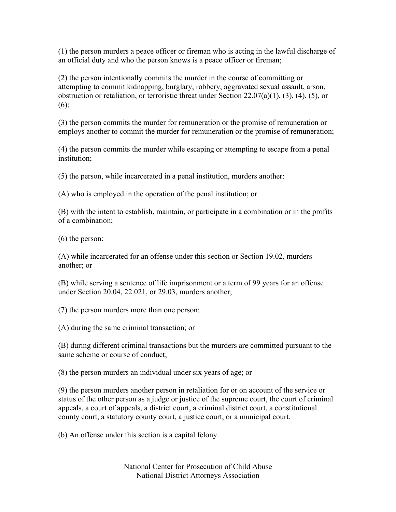(1) the person murders a peace officer or fireman who is acting in the lawful discharge of an official duty and who the person knows is a peace officer or fireman;

(2) the person intentionally commits the murder in the course of committing or attempting to commit kidnapping, burglary, robbery, aggravated sexual assault, arson, obstruction or retaliation, or terroristic threat under Section  $22.07(a)(1)$ ,  $(3)$ ,  $(4)$ ,  $(5)$ , or  $(6)$ ;

(3) the person commits the murder for remuneration or the promise of remuneration or employs another to commit the murder for remuneration or the promise of remuneration;

(4) the person commits the murder while escaping or attempting to escape from a penal institution;

(5) the person, while incarcerated in a penal institution, murders another:

(A) who is employed in the operation of the penal institution; or

(B) with the intent to establish, maintain, or participate in a combination or in the profits of a combination;

(6) the person:

(A) while incarcerated for an offense under this section or Section 19.02, murders another; or

(B) while serving a sentence of life imprisonment or a term of 99 years for an offense under Section 20.04, 22.021, or 29.03, murders another;

(7) the person murders more than one person:

(A) during the same criminal transaction; or

(B) during different criminal transactions but the murders are committed pursuant to the same scheme or course of conduct;

(8) the person murders an individual under six years of age; or

(9) the person murders another person in retaliation for or on account of the service or status of the other person as a judge or justice of the supreme court, the court of criminal appeals, a court of appeals, a district court, a criminal district court, a constitutional county court, a statutory county court, a justice court, or a municipal court.

(b) An offense under this section is a capital felony.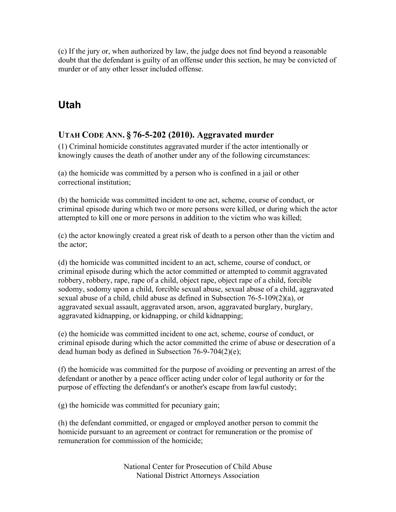(c) If the jury or, when authorized by law, the judge does not find beyond a reasonable doubt that the defendant is guilty of an offense under this section, he may be convicted of murder or of any other lesser included offense.

# **Utah**

### **UTAH CODE ANN. § 76-5-202 (2010). Aggravated murder**

(1) Criminal homicide constitutes aggravated murder if the actor intentionally or knowingly causes the death of another under any of the following circumstances:

(a) the homicide was committed by a person who is confined in a jail or other correctional institution;

(b) the homicide was committed incident to one act, scheme, course of conduct, or criminal episode during which two or more persons were killed, or during which the actor attempted to kill one or more persons in addition to the victim who was killed;

(c) the actor knowingly created a great risk of death to a person other than the victim and the actor;

(d) the homicide was committed incident to an act, scheme, course of conduct, or criminal episode during which the actor committed or attempted to commit aggravated robbery, robbery, rape, rape of a child, object rape, object rape of a child, forcible sodomy, sodomy upon a child, forcible sexual abuse, sexual abuse of a child, aggravated sexual abuse of a child, child abuse as defined in Subsection 76-5-109(2)(a), or aggravated sexual assault, aggravated arson, arson, aggravated burglary, burglary, aggravated kidnapping, or kidnapping, or child kidnapping;

(e) the homicide was committed incident to one act, scheme, course of conduct, or criminal episode during which the actor committed the crime of abuse or desecration of a dead human body as defined in Subsection 76-9-704(2)(e);

(f) the homicide was committed for the purpose of avoiding or preventing an arrest of the defendant or another by a peace officer acting under color of legal authority or for the purpose of effecting the defendant's or another's escape from lawful custody;

(g) the homicide was committed for pecuniary gain;

(h) the defendant committed, or engaged or employed another person to commit the homicide pursuant to an agreement or contract for remuneration or the promise of remuneration for commission of the homicide;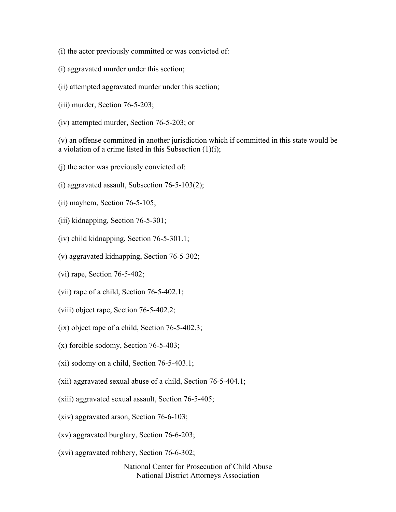- (i) the actor previously committed or was convicted of:
- (i) aggravated murder under this section;
- (ii) attempted aggravated murder under this section;
- (iii) murder, Section 76-5-203;
- (iv) attempted murder, Section 76-5-203; or

(v) an offense committed in another jurisdiction which if committed in this state would be a violation of a crime listed in this Subsection  $(1)(i)$ ;

- (j) the actor was previously convicted of:
- (i) aggravated assault, Subsection 76-5-103(2);
- (ii) mayhem, Section 76-5-105;
- (iii) kidnapping, Section 76-5-301;
- (iv) child kidnapping, Section 76-5-301.1;
- (v) aggravated kidnapping, Section 76-5-302;
- (vi) rape, Section 76-5-402;
- (vii) rape of a child, Section 76-5-402.1;
- (viii) object rape, Section 76-5-402.2;
- (ix) object rape of a child, Section 76-5-402.3;
- (x) forcible sodomy, Section 76-5-403;
- (xi) sodomy on a child, Section 76-5-403.1;
- (xii) aggravated sexual abuse of a child, Section 76-5-404.1;
- (xiii) aggravated sexual assault, Section 76-5-405;
- (xiv) aggravated arson, Section 76-6-103;
- (xv) aggravated burglary, Section 76-6-203;
- (xvi) aggravated robbery, Section 76-6-302;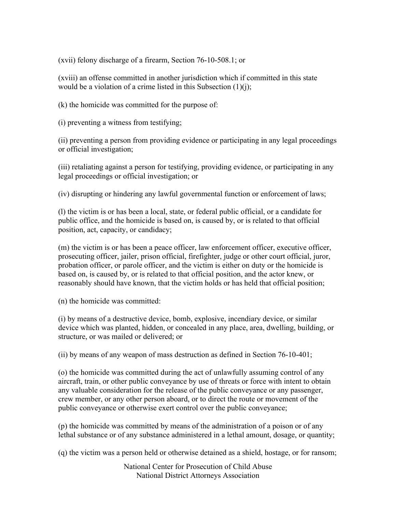(xvii) felony discharge of a firearm, Section 76-10-508.1; or

(xviii) an offense committed in another jurisdiction which if committed in this state would be a violation of a crime listed in this Subsection  $(1)(i)$ :

(k) the homicide was committed for the purpose of:

(i) preventing a witness from testifying;

(ii) preventing a person from providing evidence or participating in any legal proceedings or official investigation;

(iii) retaliating against a person for testifying, providing evidence, or participating in any legal proceedings or official investigation; or

(iv) disrupting or hindering any lawful governmental function or enforcement of laws;

(l) the victim is or has been a local, state, or federal public official, or a candidate for public office, and the homicide is based on, is caused by, or is related to that official position, act, capacity, or candidacy;

(m) the victim is or has been a peace officer, law enforcement officer, executive officer, prosecuting officer, jailer, prison official, firefighter, judge or other court official, juror, probation officer, or parole officer, and the victim is either on duty or the homicide is based on, is caused by, or is related to that official position, and the actor knew, or reasonably should have known, that the victim holds or has held that official position;

(n) the homicide was committed:

(i) by means of a destructive device, bomb, explosive, incendiary device, or similar device which was planted, hidden, or concealed in any place, area, dwelling, building, or structure, or was mailed or delivered; or

(ii) by means of any weapon of mass destruction as defined in Section 76-10-401;

(o) the homicide was committed during the act of unlawfully assuming control of any aircraft, train, or other public conveyance by use of threats or force with intent to obtain any valuable consideration for the release of the public conveyance or any passenger, crew member, or any other person aboard, or to direct the route or movement of the public conveyance or otherwise exert control over the public conveyance;

(p) the homicide was committed by means of the administration of a poison or of any lethal substance or of any substance administered in a lethal amount, dosage, or quantity;

(q) the victim was a person held or otherwise detained as a shield, hostage, or for ransom;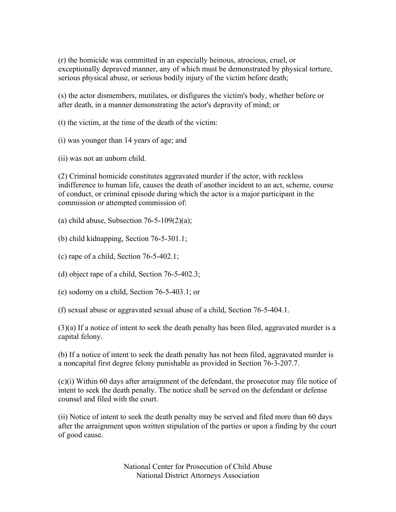(r) the homicide was committed in an especially heinous, atrocious, cruel, or exceptionally depraved manner, any of which must be demonstrated by physical torture, serious physical abuse, or serious bodily injury of the victim before death;

(s) the actor dismembers, mutilates, or disfigures the victim's body, whether before or after death, in a manner demonstrating the actor's depravity of mind; or

(t) the victim, at the time of the death of the victim:

(i) was younger than 14 years of age; and

(ii) was not an unborn child.

(2) Criminal homicide constitutes aggravated murder if the actor, with reckless indifference to human life, causes the death of another incident to an act, scheme, course of conduct, or criminal episode during which the actor is a major participant in the commission or attempted commission of:

(a) child abuse, Subsection  $76-5-109(2)(a)$ ;

(b) child kidnapping, Section 76-5-301.1;

(c) rape of a child, Section  $76-5-402.1$ ;

(d) object rape of a child, Section 76-5-402.3;

(e) sodomy on a child, Section 76-5-403.1; or

(f) sexual abuse or aggravated sexual abuse of a child, Section 76-5-404.1.

(3)(a) If a notice of intent to seek the death penalty has been filed, aggravated murder is a capital felony.

(b) If a notice of intent to seek the death penalty has not been filed, aggravated murder is a noncapital first degree felony punishable as provided in Section 76-3-207.7.

(c)(i) Within 60 days after arraignment of the defendant, the prosecutor may file notice of intent to seek the death penalty. The notice shall be served on the defendant or defense counsel and filed with the court.

(ii) Notice of intent to seek the death penalty may be served and filed more than 60 days after the arraignment upon written stipulation of the parties or upon a finding by the court of good cause.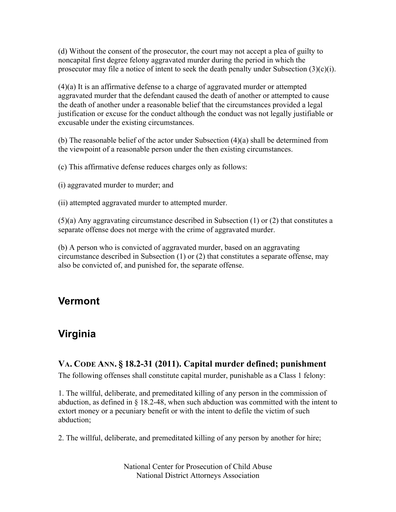(d) Without the consent of the prosecutor, the court may not accept a plea of guilty to noncapital first degree felony aggravated murder during the period in which the prosecutor may file a notice of intent to seek the death penalty under Subsection  $(3)(c)(i)$ .

(4)(a) It is an affirmative defense to a charge of aggravated murder or attempted aggravated murder that the defendant caused the death of another or attempted to cause the death of another under a reasonable belief that the circumstances provided a legal justification or excuse for the conduct although the conduct was not legally justifiable or excusable under the existing circumstances.

(b) The reasonable belief of the actor under Subsection (4)(a) shall be determined from the viewpoint of a reasonable person under the then existing circumstances.

(c) This affirmative defense reduces charges only as follows:

(i) aggravated murder to murder; and

(ii) attempted aggravated murder to attempted murder.

(5)(a) Any aggravating circumstance described in Subsection (1) or (2) that constitutes a separate offense does not merge with the crime of aggravated murder.

(b) A person who is convicted of aggravated murder, based on an aggravating circumstance described in Subsection (1) or (2) that constitutes a separate offense, may also be convicted of, and punished for, the separate offense.

## **Vermont**

# **Virginia**

### **VA. CODE ANN. § 18.2-31 (2011). Capital murder defined; punishment**

The following offenses shall constitute capital murder, punishable as a Class 1 felony:

1. The willful, deliberate, and premeditated killing of any person in the commission of abduction, as defined in § 18.2-48, when such abduction was committed with the intent to extort money or a pecuniary benefit or with the intent to defile the victim of such abduction;

2. The willful, deliberate, and premeditated killing of any person by another for hire;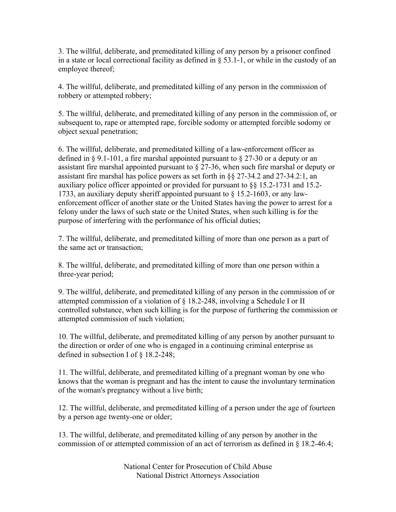3. The willful, deliberate, and premeditated killing of any person by a prisoner confined in a state or local correctional facility as defined in § 53.1-1, or while in the custody of an employee thereof;

4. The willful, deliberate, and premeditated killing of any person in the commission of robbery or attempted robbery;

5. The willful, deliberate, and premeditated killing of any person in the commission of, or subsequent to, rape or attempted rape, forcible sodomy or attempted forcible sodomy or object sexual penetration;

6. The willful, deliberate, and premeditated killing of a law-enforcement officer as defined in § 9.1-101, a fire marshal appointed pursuant to § 27-30 or a deputy or an assistant fire marshal appointed pursuant to § 27-36, when such fire marshal or deputy or assistant fire marshal has police powers as set forth in §§ 27-34.2 and 27-34.2:1, an auxiliary police officer appointed or provided for pursuant to §§ 15.2-1731 and 15.2- 1733, an auxiliary deputy sheriff appointed pursuant to § 15.2-1603, or any lawenforcement officer of another state or the United States having the power to arrest for a felony under the laws of such state or the United States, when such killing is for the purpose of interfering with the performance of his official duties;

7. The willful, deliberate, and premeditated killing of more than one person as a part of the same act or transaction;

8. The willful, deliberate, and premeditated killing of more than one person within a three-year period;

9. The willful, deliberate, and premeditated killing of any person in the commission of or attempted commission of a violation of § 18.2-248, involving a Schedule I or II controlled substance, when such killing is for the purpose of furthering the commission or attempted commission of such violation;

10. The willful, deliberate, and premeditated killing of any person by another pursuant to the direction or order of one who is engaged in a continuing criminal enterprise as defined in subsection I of § 18.2-248;

11. The willful, deliberate, and premeditated killing of a pregnant woman by one who knows that the woman is pregnant and has the intent to cause the involuntary termination of the woman's pregnancy without a live birth;

12. The willful, deliberate, and premeditated killing of a person under the age of fourteen by a person age twenty-one or older;

13. The willful, deliberate, and premeditated killing of any person by another in the commission of or attempted commission of an act of terrorism as defined in § 18.2-46.4;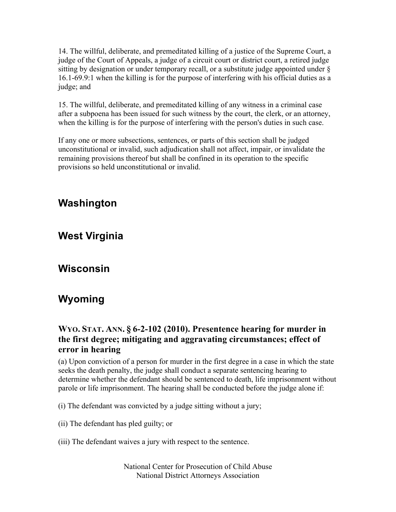14. The willful, deliberate, and premeditated killing of a justice of the Supreme Court, a judge of the Court of Appeals, a judge of a circuit court or district court, a retired judge sitting by designation or under temporary recall, or a substitute judge appointed under § 16.1-69.9:1 when the killing is for the purpose of interfering with his official duties as a judge; and

15. The willful, deliberate, and premeditated killing of any witness in a criminal case after a subpoena has been issued for such witness by the court, the clerk, or an attorney, when the killing is for the purpose of interfering with the person's duties in such case.

If any one or more subsections, sentences, or parts of this section shall be judged unconstitutional or invalid, such adjudication shall not affect, impair, or invalidate the remaining provisions thereof but shall be confined in its operation to the specific provisions so held unconstitutional or invalid.

# **Washington**

## **West Virginia**

### **Wisconsin**

## **Wyoming**

### **WYO. STAT. ANN. § 6-2-102 (2010). Presentence hearing for murder in the first degree; mitigating and aggravating circumstances; effect of error in hearing**

(a) Upon conviction of a person for murder in the first degree in a case in which the state seeks the death penalty, the judge shall conduct a separate sentencing hearing to determine whether the defendant should be sentenced to death, life imprisonment without parole or life imprisonment. The hearing shall be conducted before the judge alone if:

(i) The defendant was convicted by a judge sitting without a jury;

(ii) The defendant has pled guilty; or

(iii) The defendant waives a jury with respect to the sentence.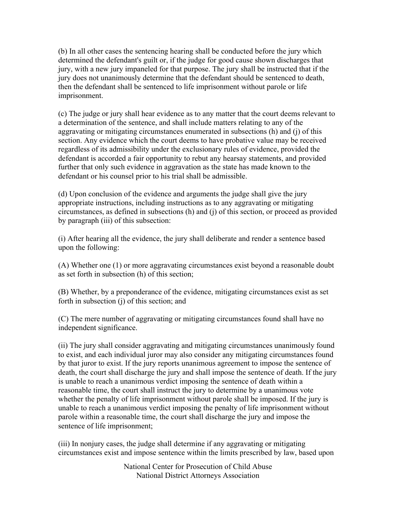(b) In all other cases the sentencing hearing shall be conducted before the jury which determined the defendant's guilt or, if the judge for good cause shown discharges that jury, with a new jury impaneled for that purpose. The jury shall be instructed that if the jury does not unanimously determine that the defendant should be sentenced to death, then the defendant shall be sentenced to life imprisonment without parole or life imprisonment.

(c) The judge or jury shall hear evidence as to any matter that the court deems relevant to a determination of the sentence, and shall include matters relating to any of the aggravating or mitigating circumstances enumerated in subsections (h) and (j) of this section. Any evidence which the court deems to have probative value may be received regardless of its admissibility under the exclusionary rules of evidence, provided the defendant is accorded a fair opportunity to rebut any hearsay statements, and provided further that only such evidence in aggravation as the state has made known to the defendant or his counsel prior to his trial shall be admissible.

(d) Upon conclusion of the evidence and arguments the judge shall give the jury appropriate instructions, including instructions as to any aggravating or mitigating circumstances, as defined in subsections (h) and (j) of this section, or proceed as provided by paragraph (iii) of this subsection:

(i) After hearing all the evidence, the jury shall deliberate and render a sentence based upon the following:

(A) Whether one (1) or more aggravating circumstances exist beyond a reasonable doubt as set forth in subsection (h) of this section;

(B) Whether, by a preponderance of the evidence, mitigating circumstances exist as set forth in subsection (j) of this section; and

(C) The mere number of aggravating or mitigating circumstances found shall have no independent significance.

(ii) The jury shall consider aggravating and mitigating circumstances unanimously found to exist, and each individual juror may also consider any mitigating circumstances found by that juror to exist. If the jury reports unanimous agreement to impose the sentence of death, the court shall discharge the jury and shall impose the sentence of death. If the jury is unable to reach a unanimous verdict imposing the sentence of death within a reasonable time, the court shall instruct the jury to determine by a unanimous vote whether the penalty of life imprisonment without parole shall be imposed. If the jury is unable to reach a unanimous verdict imposing the penalty of life imprisonment without parole within a reasonable time, the court shall discharge the jury and impose the sentence of life imprisonment;

(iii) In nonjury cases, the judge shall determine if any aggravating or mitigating circumstances exist and impose sentence within the limits prescribed by law, based upon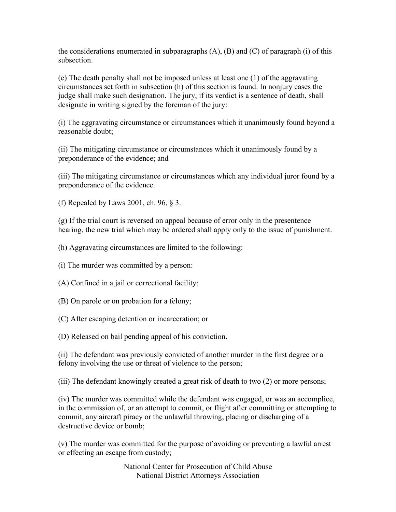the considerations enumerated in subparagraphs  $(A)$ ,  $(B)$  and  $(C)$  of paragraph  $(i)$  of this subsection.

(e) The death penalty shall not be imposed unless at least one (1) of the aggravating circumstances set forth in subsection (h) of this section is found. In nonjury cases the judge shall make such designation. The jury, if its verdict is a sentence of death, shall designate in writing signed by the foreman of the jury:

(i) The aggravating circumstance or circumstances which it unanimously found beyond a reasonable doubt;

(ii) The mitigating circumstance or circumstances which it unanimously found by a preponderance of the evidence; and

(iii) The mitigating circumstance or circumstances which any individual juror found by a preponderance of the evidence.

(f) Repealed by Laws 2001, ch. 96, § 3.

(g) If the trial court is reversed on appeal because of error only in the presentence hearing, the new trial which may be ordered shall apply only to the issue of punishment.

(h) Aggravating circumstances are limited to the following:

(i) The murder was committed by a person:

- (A) Confined in a jail or correctional facility;
- (B) On parole or on probation for a felony;
- (C) After escaping detention or incarceration; or

(D) Released on bail pending appeal of his conviction.

(ii) The defendant was previously convicted of another murder in the first degree or a felony involving the use or threat of violence to the person;

(iii) The defendant knowingly created a great risk of death to two (2) or more persons;

(iv) The murder was committed while the defendant was engaged, or was an accomplice, in the commission of, or an attempt to commit, or flight after committing or attempting to commit, any aircraft piracy or the unlawful throwing, placing or discharging of a destructive device or bomb;

(v) The murder was committed for the purpose of avoiding or preventing a lawful arrest or effecting an escape from custody;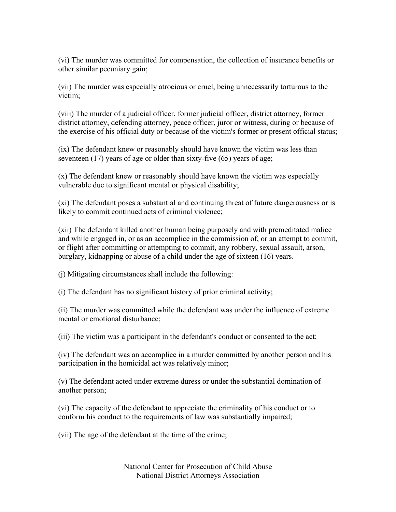(vi) The murder was committed for compensation, the collection of insurance benefits or other similar pecuniary gain;

(vii) The murder was especially atrocious or cruel, being unnecessarily torturous to the victim;

(viii) The murder of a judicial officer, former judicial officer, district attorney, former district attorney, defending attorney, peace officer, juror or witness, during or because of the exercise of his official duty or because of the victim's former or present official status;

(ix) The defendant knew or reasonably should have known the victim was less than seventeen (17) years of age or older than sixty-five (65) years of age;

(x) The defendant knew or reasonably should have known the victim was especially vulnerable due to significant mental or physical disability;

(xi) The defendant poses a substantial and continuing threat of future dangerousness or is likely to commit continued acts of criminal violence;

(xii) The defendant killed another human being purposely and with premeditated malice and while engaged in, or as an accomplice in the commission of, or an attempt to commit, or flight after committing or attempting to commit, any robbery, sexual assault, arson, burglary, kidnapping or abuse of a child under the age of sixteen (16) years.

(j) Mitigating circumstances shall include the following:

(i) The defendant has no significant history of prior criminal activity;

(ii) The murder was committed while the defendant was under the influence of extreme mental or emotional disturbance;

(iii) The victim was a participant in the defendant's conduct or consented to the act;

(iv) The defendant was an accomplice in a murder committed by another person and his participation in the homicidal act was relatively minor;

(v) The defendant acted under extreme duress or under the substantial domination of another person;

(vi) The capacity of the defendant to appreciate the criminality of his conduct or to conform his conduct to the requirements of law was substantially impaired;

(vii) The age of the defendant at the time of the crime;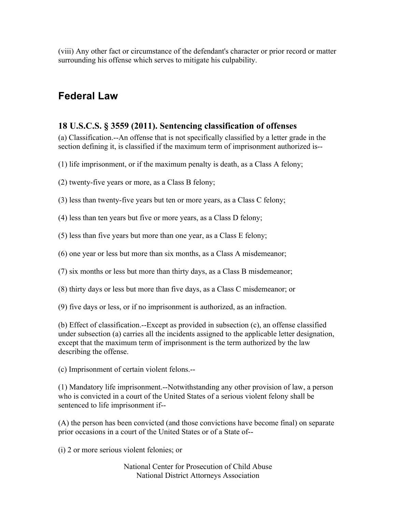(viii) Any other fact or circumstance of the defendant's character or prior record or matter surrounding his offense which serves to mitigate his culpability.

## **Federal Law**

### **18 U.S.C.S. § 3559 (2011). Sentencing classification of offenses**

(a) Classification.--An offense that is not specifically classified by a letter grade in the section defining it, is classified if the maximum term of imprisonment authorized is--

(1) life imprisonment, or if the maximum penalty is death, as a Class A felony;

(2) twenty-five years or more, as a Class B felony;

(3) less than twenty-five years but ten or more years, as a Class C felony;

(4) less than ten years but five or more years, as a Class D felony;

(5) less than five years but more than one year, as a Class E felony;

(6) one year or less but more than six months, as a Class A misdemeanor;

(7) six months or less but more than thirty days, as a Class B misdemeanor;

(8) thirty days or less but more than five days, as a Class C misdemeanor; or

(9) five days or less, or if no imprisonment is authorized, as an infraction.

(b) Effect of classification.--Except as provided in subsection (c), an offense classified under subsection (a) carries all the incidents assigned to the applicable letter designation, except that the maximum term of imprisonment is the term authorized by the law describing the offense.

(c) Imprisonment of certain violent felons.--

(1) Mandatory life imprisonment.--Notwithstanding any other provision of law, a person who is convicted in a court of the United States of a serious violent felony shall be sentenced to life imprisonment if--

(A) the person has been convicted (and those convictions have become final) on separate prior occasions in a court of the United States or of a State of--

(i) 2 or more serious violent felonies; or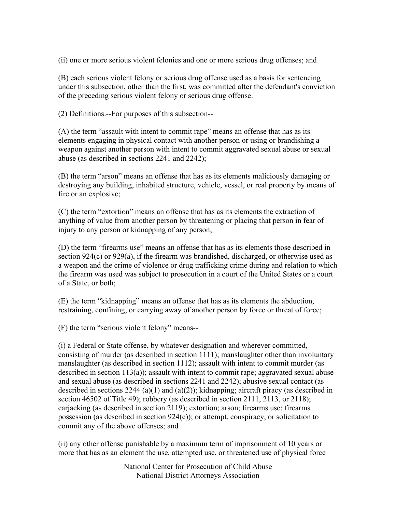(ii) one or more serious violent felonies and one or more serious drug offenses; and

(B) each serious violent felony or serious drug offense used as a basis for sentencing under this subsection, other than the first, was committed after the defendant's conviction of the preceding serious violent felony or serious drug offense.

(2) Definitions.--For purposes of this subsection--

(A) the term "assault with intent to commit rape" means an offense that has as its elements engaging in physical contact with another person or using or brandishing a weapon against another person with intent to commit aggravated sexual abuse or sexual abuse (as described in sections 2241 and 2242);

(B) the term "arson" means an offense that has as its elements maliciously damaging or destroying any building, inhabited structure, vehicle, vessel, or real property by means of fire or an explosive;

(C) the term "extortion" means an offense that has as its elements the extraction of anything of value from another person by threatening or placing that person in fear of injury to any person or kidnapping of any person;

(D) the term "firearms use" means an offense that has as its elements those described in section 924(c) or 929(a), if the firearm was brandished, discharged, or otherwise used as a weapon and the crime of violence or drug trafficking crime during and relation to which the firearm was used was subject to prosecution in a court of the United States or a court of a State, or both;

(E) the term "kidnapping" means an offense that has as its elements the abduction, restraining, confining, or carrying away of another person by force or threat of force;

(F) the term "serious violent felony" means--

(i) a Federal or State offense, by whatever designation and wherever committed, consisting of murder (as described in section 1111); manslaughter other than involuntary manslaughter (as described in section 1112); assault with intent to commit murder (as described in section 113(a)); assault with intent to commit rape; aggravated sexual abuse and sexual abuse (as described in sections 2241 and 2242); abusive sexual contact (as described in sections 2244 (a)(1) and (a)(2)); kidnapping; aircraft piracy (as described in section 46502 of Title 49); robbery (as described in section 2111, 2113, or 2118); carjacking (as described in section 2119); extortion; arson; firearms use; firearms possession (as described in section 924(c)); or attempt, conspiracy, or solicitation to commit any of the above offenses; and

(ii) any other offense punishable by a maximum term of imprisonment of 10 years or more that has as an element the use, attempted use, or threatened use of physical force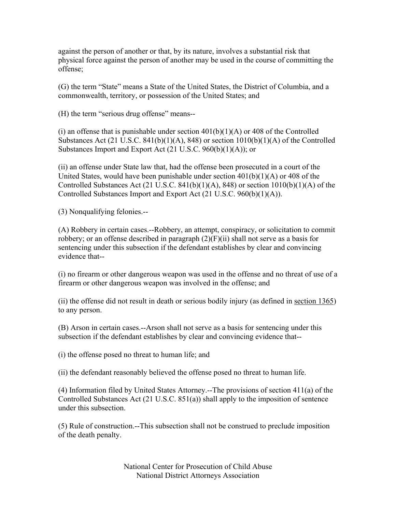against the person of another or that, by its nature, involves a substantial risk that physical force against the person of another may be used in the course of committing the offense;

(G) the term "State" means a State of the United States, the District of Columbia, and a commonwealth, territory, or possession of the United States; and

(H) the term "serious drug offense" means--

(i) an offense that is punishable under section  $401(b)(1)(A)$  or 408 of the Controlled Substances Act (21 U.S.C.  $841(b)(1)(A)$ , 848) or section  $1010(b)(1)(A)$  of the Controlled Substances Import and Export Act (21 U.S.C. 960(b)(1)(A)); or

(ii) an offense under State law that, had the offense been prosecuted in a court of the United States, would have been punishable under section  $401(b)(1)(A)$  or  $408$  of the Controlled Substances Act  $(21 \text{ U.S.C. } 841(b)(1)(\text{A}), 848)$  or section  $1010(b)(1)(\text{A})$  of the Controlled Substances Import and Export Act (21 U.S.C. 960(b)(1)(A)).

(3) Nonqualifying felonies.--

(A) Robbery in certain cases.--Robbery, an attempt, conspiracy, or solicitation to commit robbery; or an offense described in paragraph (2)(F)(ii) shall not serve as a basis for sentencing under this subsection if the defendant establishes by clear and convincing evidence that--

(i) no firearm or other dangerous weapon was used in the offense and no threat of use of a firearm or other dangerous weapon was involved in the offense; and

(ii) the offense did not result in death or serious bodily injury (as defined in section  $1365$ ) to any person.

(B) Arson in certain cases.--Arson shall not serve as a basis for sentencing under this subsection if the defendant establishes by clear and convincing evidence that--

(i) the offense posed no threat to human life; and

(ii) the defendant reasonably believed the offense posed no threat to human life.

(4) Information filed by United States Attorney.--The provisions of section 411(a) of the Controlled Substances Act (21 U.S.C. 851(a)) shall apply to the imposition of sentence under this subsection.

(5) Rule of construction.--This subsection shall not be construed to preclude imposition of the death penalty.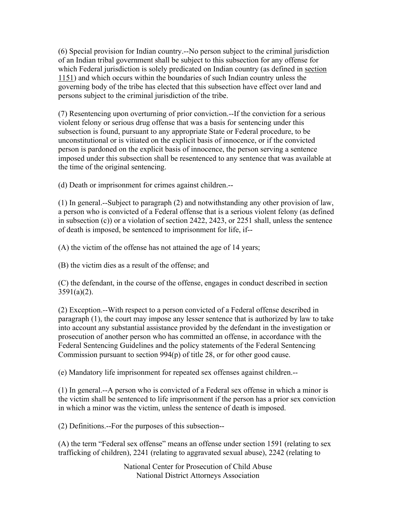(6) Special provision for Indian country.--No person subject to the criminal jurisdiction of an Indian tribal government shall be subject to this subsection for any offense for which Federal jurisdiction is solely predicated on Indian country (as defined in section 1151) and which occurs within the boundaries of such Indian country unless the governing body of the tribe has elected that this subsection have effect over land and persons subject to the criminal jurisdiction of the tribe.

(7) Resentencing upon overturning of prior conviction.--If the conviction for a serious violent felony or serious drug offense that was a basis for sentencing under this subsection is found, pursuant to any appropriate State or Federal procedure, to be unconstitutional or is vitiated on the explicit basis of innocence, or if the convicted person is pardoned on the explicit basis of innocence, the person serving a sentence imposed under this subsection shall be resentenced to any sentence that was available at the time of the original sentencing.

(d) Death or imprisonment for crimes against children.--

(1) In general.--Subject to paragraph (2) and notwithstanding any other provision of law, a person who is convicted of a Federal offense that is a serious violent felony (as defined in subsection (c)) or a violation of section 2422, 2423, or 2251 shall, unless the sentence of death is imposed, be sentenced to imprisonment for life, if--

(A) the victim of the offense has not attained the age of 14 years;

(B) the victim dies as a result of the offense; and

(C) the defendant, in the course of the offense, engages in conduct described in section  $3591(a)(2)$ .

(2) Exception.--With respect to a person convicted of a Federal offense described in paragraph (1), the court may impose any lesser sentence that is authorized by law to take into account any substantial assistance provided by the defendant in the investigation or prosecution of another person who has committed an offense, in accordance with the Federal Sentencing Guidelines and the policy statements of the Federal Sentencing Commission pursuant to section 994(p) of title 28, or for other good cause.

(e) Mandatory life imprisonment for repeated sex offenses against children.--

(1) In general.--A person who is convicted of a Federal sex offense in which a minor is the victim shall be sentenced to life imprisonment if the person has a prior sex conviction in which a minor was the victim, unless the sentence of death is imposed.

(2) Definitions.--For the purposes of this subsection--

(A) the term "Federal sex offense" means an offense under section 1591 (relating to sex trafficking of children), 2241 (relating to aggravated sexual abuse), 2242 (relating to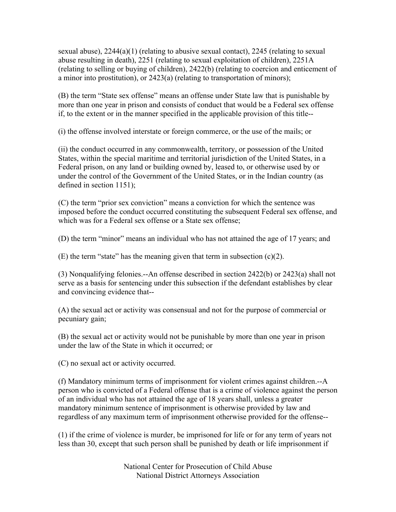sexual abuse), 2244(a)(1) (relating to abusive sexual contact), 2245 (relating to sexual abuse resulting in death), 2251 (relating to sexual exploitation of children), 2251A (relating to selling or buying of children), 2422(b) (relating to coercion and enticement of a minor into prostitution), or 2423(a) (relating to transportation of minors);

(B) the term "State sex offense" means an offense under State law that is punishable by more than one year in prison and consists of conduct that would be a Federal sex offense if, to the extent or in the manner specified in the applicable provision of this title--

(i) the offense involved interstate or foreign commerce, or the use of the mails; or

(ii) the conduct occurred in any commonwealth, territory, or possession of the United States, within the special maritime and territorial jurisdiction of the United States, in a Federal prison, on any land or building owned by, leased to, or otherwise used by or under the control of the Government of the United States, or in the Indian country (as defined in section 1151);

(C) the term "prior sex conviction" means a conviction for which the sentence was imposed before the conduct occurred constituting the subsequent Federal sex offense, and which was for a Federal sex offense or a State sex offense;

(D) the term "minor" means an individual who has not attained the age of 17 years; and

 $(E)$  the term "state" has the meaning given that term in subsection  $(c)(2)$ .

(3) Nonqualifying felonies.--An offense described in section 2422(b) or 2423(a) shall not serve as a basis for sentencing under this subsection if the defendant establishes by clear and convincing evidence that--

(A) the sexual act or activity was consensual and not for the purpose of commercial or pecuniary gain;

(B) the sexual act or activity would not be punishable by more than one year in prison under the law of the State in which it occurred; or

(C) no sexual act or activity occurred.

(f) Mandatory minimum terms of imprisonment for violent crimes against children.--A person who is convicted of a Federal offense that is a crime of violence against the person of an individual who has not attained the age of 18 years shall, unless a greater mandatory minimum sentence of imprisonment is otherwise provided by law and regardless of any maximum term of imprisonment otherwise provided for the offense--

(1) if the crime of violence is murder, be imprisoned for life or for any term of years not less than 30, except that such person shall be punished by death or life imprisonment if